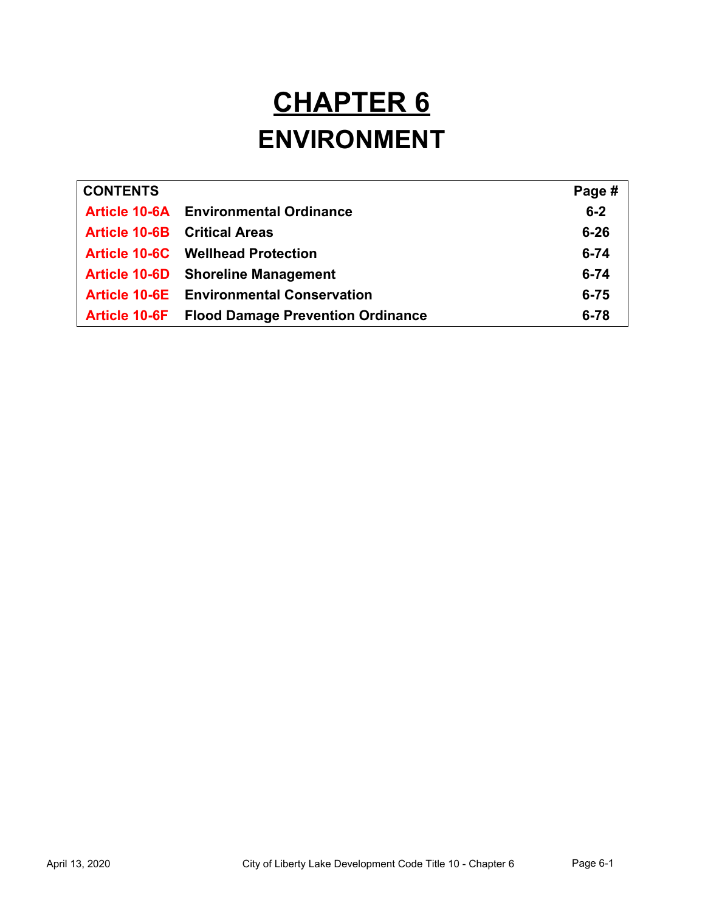# **CHAPTER 6 ENVIRONMENT**

| <b>CONTENTS</b>      |                                                 | Page #   |
|----------------------|-------------------------------------------------|----------|
|                      | <b>Article 10-6A</b> Environmental Ordinance    | $6-2$    |
|                      | <b>Article 10-6B</b> Critical Areas             | $6 - 26$ |
|                      | <b>Article 10-6C</b> Wellhead Protection        | $6 - 74$ |
|                      | <b>Article 10-6D</b> Shoreline Management       | $6 - 74$ |
|                      | <b>Article 10-6E</b> Environmental Conservation | $6 - 75$ |
| <b>Article 10-6F</b> | <b>Flood Damage Prevention Ordinance</b>        | $6 - 78$ |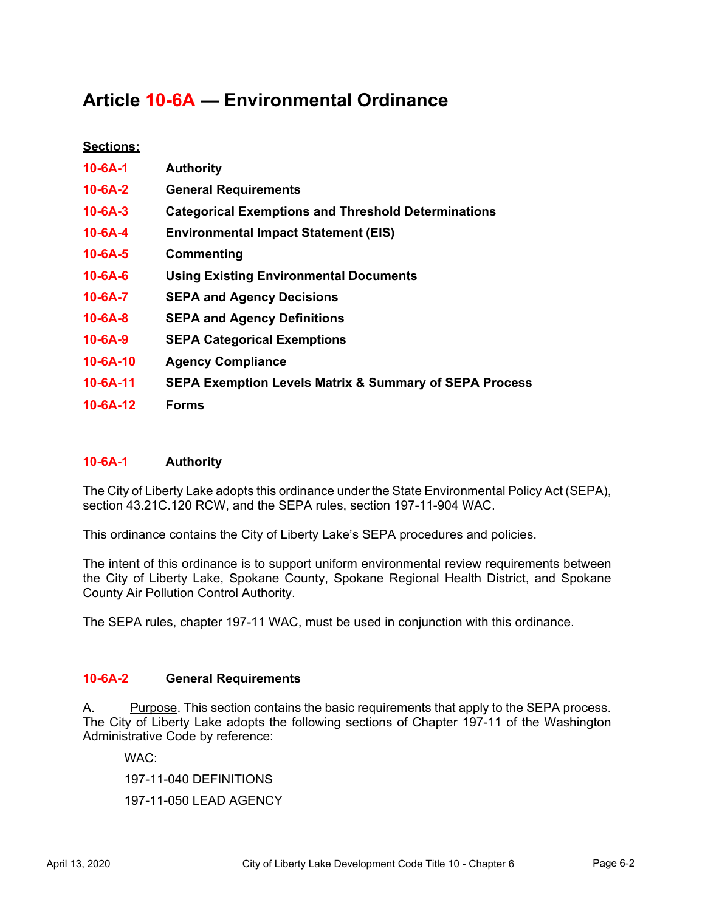# **Article 10-6A — Environmental Ordinance**

# **Sections:**

| $10 - 6A - 1$  | <b>Authority</b>                                                  |
|----------------|-------------------------------------------------------------------|
| $10 - 6A - 2$  | <b>General Requirements</b>                                       |
| $10 - 6A - 3$  | <b>Categorical Exemptions and Threshold Determinations</b>        |
| $10 - 6A - 4$  | <b>Environmental Impact Statement (EIS)</b>                       |
| $10 - 6A - 5$  | Commenting                                                        |
| $10 - 6A - 6$  | <b>Using Existing Environmental Documents</b>                     |
| $10 - 6A - 7$  | <b>SEPA and Agency Decisions</b>                                  |
| $10 - 6A - 8$  | <b>SEPA and Agency Definitions</b>                                |
| $10 - 6A - 9$  | <b>SEPA Categorical Exemptions</b>                                |
| $10 - 6A - 10$ | <b>Agency Compliance</b>                                          |
| $10 - 6A - 11$ | <b>SEPA Exemption Levels Matrix &amp; Summary of SEPA Process</b> |
| $10 - 6A - 12$ | <b>Forms</b>                                                      |
|                |                                                                   |

# **10-6A-1 Authority**

The City of Liberty Lake adopts this ordinance under the State Environmental Policy Act (SEPA), section 43.21C.120 RCW, and the SEPA rules, section 197-11-904 WAC.

This ordinance contains the City of Liberty Lake's SEPA procedures and policies.

The intent of this ordinance is to support uniform environmental review requirements between the City of Liberty Lake, Spokane County, Spokane Regional Health District, and Spokane County Air Pollution Control Authority.

The SEPA rules, chapter 197-11 WAC, must be used in conjunction with this ordinance.

# **10-6A-2 General Requirements**

A. Purpose. This section contains the basic requirements that apply to the SEPA process. The City of Liberty Lake adopts the following sections of Chapter 197-11 of the Washington Administrative Code by reference:

WAC:

197-11-040 DEFINITIONS

197-11-050 LEAD AGENCY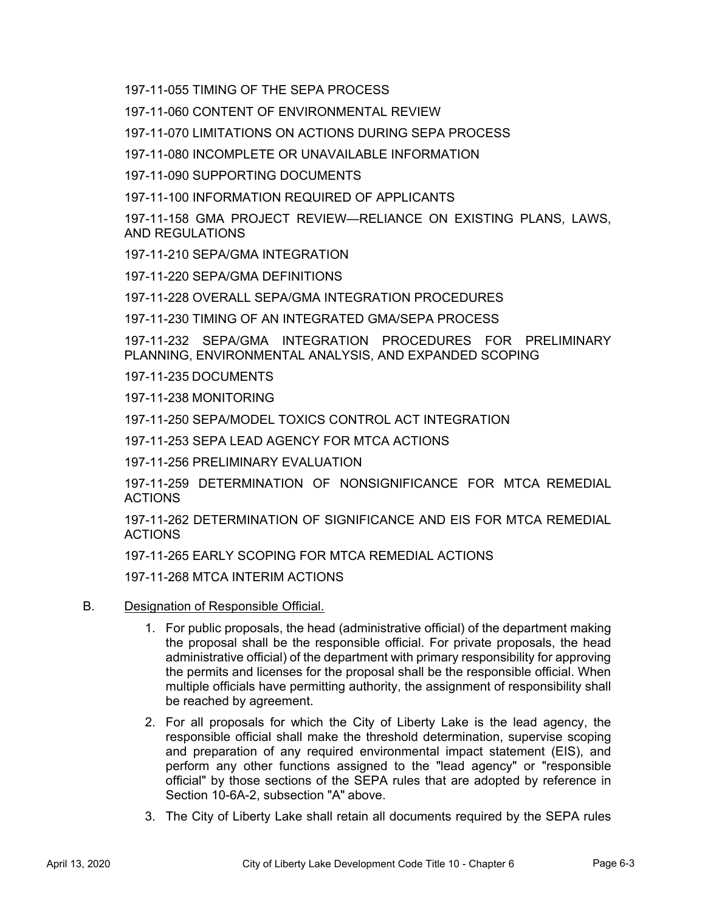197-11-055 TIMING OF THE SEPA PROCESS

197-11-060 CONTENT OF ENVIRONMENTAL REVIEW

197-11-070 LIMITATIONS ON ACTIONS DURING SEPA PROCESS

197-11-080 INCOMPLETE OR UNAVAILABLE INFORMATION

197-11-090 SUPPORTING DOCUMENTS

197-11-100 INFORMATION REQUIRED OF APPLICANTS

197-11-158 GMA PROJECT REVIEW—RELIANCE ON EXISTING PLANS, LAWS, AND REGULATIONS

197-11-210 SEPA/GMA INTEGRATION

197-11-220 SEPA/GMA DEFINITIONS

197-11-228 OVERALL SEPA/GMA INTEGRATION PROCEDURES

197-11-230 TIMING OF AN INTEGRATED GMA/SEPA PROCESS

197-11-232 SEPA/GMA INTEGRATION PROCEDURES FOR PRELIMINARY PLANNING, ENVIRONMENTAL ANALYSIS, AND EXPANDED SCOPING

197-11-235 DOCUMENTS

197-11-238 MONITORING

197-11-250 SEPA/MODEL TOXICS CONTROL ACT INTEGRATION

197-11-253 SEPA LEAD AGENCY FOR MTCA ACTIONS

197-11-256 PRELIMINARY EVALUATION

197-11-259 DETERMINATION OF NONSIGNIFICANCE FOR MTCA REMEDIAL ACTIONS

197-11-262 DETERMINATION OF SIGNIFICANCE AND EIS FOR MTCA REMEDIAL ACTIONS

197-11-265 EARLY SCOPING FOR MTCA REMEDIAL ACTIONS

197-11-268 MTCA INTERIM ACTIONS

- B. Designation of Responsible Official.
	- 1. For public proposals, the head (administrative official) of the department making the proposal shall be the responsible official. For private proposals, the head administrative official) of the department with primary responsibility for approving the permits and licenses for the proposal shall be the responsible official. When multiple officials have permitting authority, the assignment of responsibility shall be reached by agreement.
	- 2. For all proposals for which the City of Liberty Lake is the lead agency, the responsible official shall make the threshold determination, supervise scoping and preparation of any required environmental impact statement (EIS), and perform any other functions assigned to the "lead agency" or "responsible official" by those sections of the SEPA rules that are adopted by reference in Section 10-6A-2, subsection "A" above.
	- 3. The City of Liberty Lake shall retain all documents required by the SEPA rules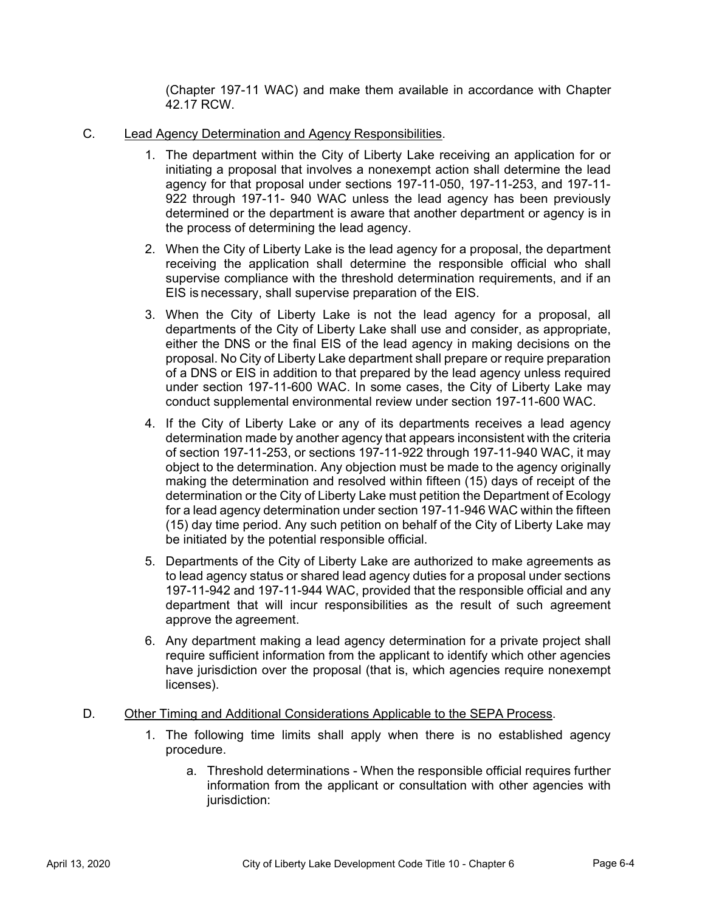(Chapter 197-11 WAC) and make them available in accordance with Chapter 42.17 RCW.

- C. Lead Agency Determination and Agency Responsibilities.
	- 1. The department within the City of Liberty Lake receiving an application for or initiating a proposal that involves a nonexempt action shall determine the lead agency for that proposal under sections 197-11-050, 197-11-253, and 197-11- 922 through 197-11- 940 WAC unless the lead agency has been previously determined or the department is aware that another department or agency is in the process of determining the lead agency.
	- 2. When the City of Liberty Lake is the lead agency for a proposal, the department receiving the application shall determine the responsible official who shall supervise compliance with the threshold determination requirements, and if an EIS is necessary, shall supervise preparation of the EIS.
	- 3. When the City of Liberty Lake is not the lead agency for a proposal, all departments of the City of Liberty Lake shall use and consider, as appropriate, either the DNS or the final EIS of the lead agency in making decisions on the proposal. No City of Liberty Lake department shall prepare or require preparation of a DNS or EIS in addition to that prepared by the lead agency unless required under section 197-11-600 WAC. In some cases, the City of Liberty Lake may conduct supplemental environmental review under section 197-11-600 WAC.
	- 4. If the City of Liberty Lake or any of its departments receives a lead agency determination made by another agency that appears inconsistent with the criteria of section 197-11-253, or sections 197-11-922 through 197-11-940 WAC, it may object to the determination. Any objection must be made to the agency originally making the determination and resolved within fifteen (15) days of receipt of the determination or the City of Liberty Lake must petition the Department of Ecology for a lead agency determination under section 197-11-946 WAC within the fifteen (15) day time period. Any such petition on behalf of the City of Liberty Lake may be initiated by the potential responsible official.
	- 5. Departments of the City of Liberty Lake are authorized to make agreements as to lead agency status or shared lead agency duties for a proposal under sections 197-11-942 and 197-11-944 WAC, provided that the responsible official and any department that will incur responsibilities as the result of such agreement approve the agreement.
	- 6. Any department making a lead agency determination for a private project shall require sufficient information from the applicant to identify which other agencies have jurisdiction over the proposal (that is, which agencies require nonexempt licenses).
- D. Other Timing and Additional Considerations Applicable to the SEPA Process.
	- 1. The following time limits shall apply when there is no established agency procedure.
		- a. Threshold determinations When the responsible official requires further information from the applicant or consultation with other agencies with jurisdiction: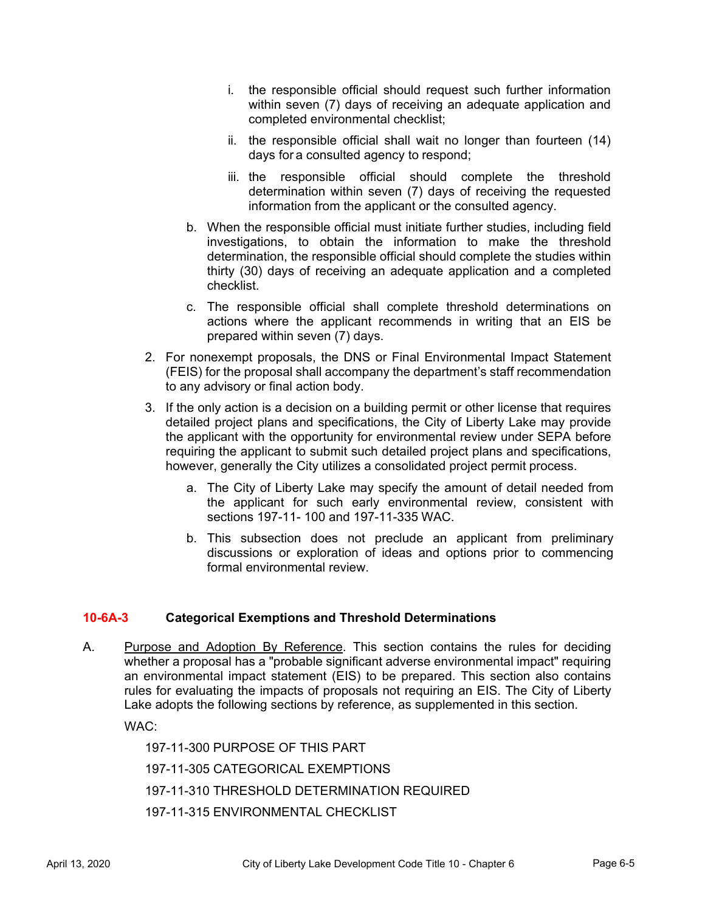- i. the responsible official should request such further information within seven (7) days of receiving an adequate application and completed environmental checklist;
- ii. the responsible official shall wait no longer than fourteen (14) days for a consulted agency to respond;
- iii. the responsible official should complete the threshold determination within seven (7) days of receiving the requested information from the applicant or the consulted agency.
- b. When the responsible official must initiate further studies, including field investigations, to obtain the information to make the threshold determination, the responsible official should complete the studies within thirty (30) days of receiving an adequate application and a completed checklist.
- c. The responsible official shall complete threshold determinations on actions where the applicant recommends in writing that an EIS be prepared within seven (7) days.
- 2. For nonexempt proposals, the DNS or Final Environmental Impact Statement (FEIS) for the proposal shall accompany the department's staff recommendation to any advisory or final action body.
- 3. If the only action is a decision on a building permit or other license that requires detailed project plans and specifications, the City of Liberty Lake may provide the applicant with the opportunity for environmental review under SEPA before requiring the applicant to submit such detailed project plans and specifications, however, generally the City utilizes a consolidated project permit process.
	- a. The City of Liberty Lake may specify the amount of detail needed from the applicant for such early environmental review, consistent with sections 197-11- 100 and 197-11-335 WAC.
	- b. This subsection does not preclude an applicant from preliminary discussions or exploration of ideas and options prior to commencing formal environmental review.

# **10-6A-3 Categorical Exemptions and Threshold Determinations**

A. Purpose and Adoption By Reference. This section contains the rules for deciding whether a proposal has a "probable significant adverse environmental impact" requiring an environmental impact statement (EIS) to be prepared. This section also contains rules for evaluating the impacts of proposals not requiring an EIS. The City of Liberty Lake adopts the following sections by reference, as supplemented in this section.

WAC:

197-11-300 PURPOSE OF THIS PART 197-11-305 CATEGORICAL EXEMPTIONS 197-11-310 THRESHOLD DETERMINATION REQUIRED 197-11-315 ENVIRONMENTAL CHECKLIST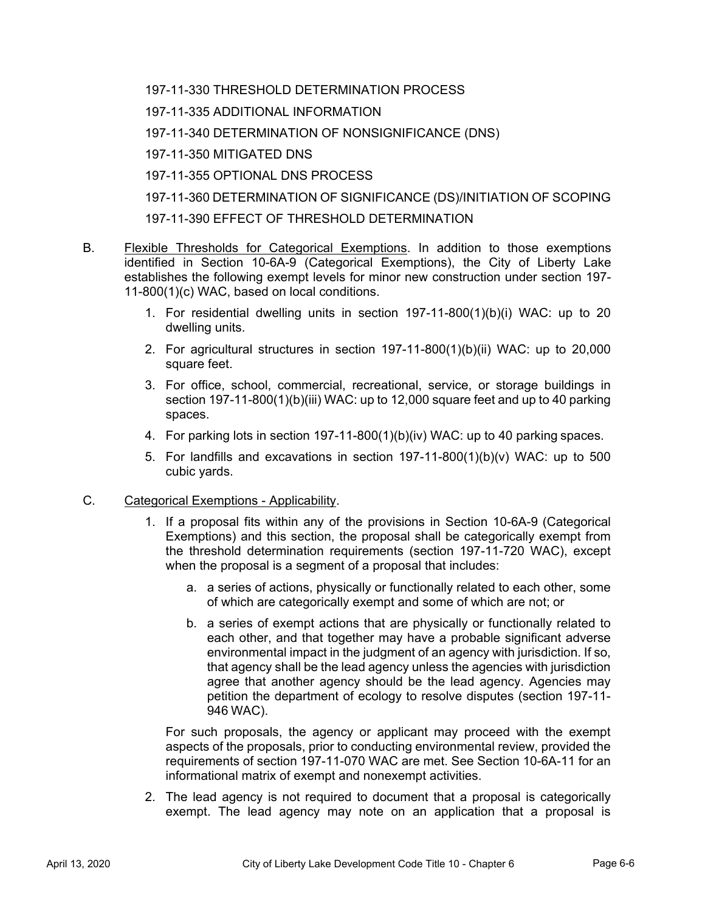197-11-330 THRESHOLD DETERMINATION PROCESS

197-11-335 ADDITIONAL INFORMATION

197-11-340 DETERMINATION OF NONSIGNIFICANCE (DNS)

197-11-350 MITIGATED DNS

197-11-355 OPTIONAL DNS PROCESS

197-11-360 DETERMINATION OF SIGNIFICANCE (DS)/INITIATION OF SCOPING

197-11-390 EFFECT OF THRESHOLD DETERMINATION

- B. Flexible Thresholds for Categorical Exemptions. In addition to those exemptions identified in Section 10-6A-9 (Categorical Exemptions), the City of Liberty Lake establishes the following exempt levels for minor new construction under section 197- 11-800(1)(c) WAC, based on local conditions.
	- 1. For residential dwelling units in section 197-11-800(1)(b)(i) WAC: up to 20 dwelling units.
	- 2. For agricultural structures in section 197-11-800(1)(b)(ii) WAC: up to 20,000 square feet.
	- 3. For office, school, commercial, recreational, service, or storage buildings in section 197-11-800(1)(b)(iii) WAC: up to 12,000 square feet and up to 40 parking spaces.
	- 4. For parking lots in section 197-11-800(1)(b)(iv) WAC: up to 40 parking spaces.
	- 5. For landfills and excavations in section  $197-11-800(1)(b)(v)$  WAC: up to 500 cubic yards.

# C. Categorical Exemptions - Applicability.

- 1. If a proposal fits within any of the provisions in Section 10-6A-9 (Categorical Exemptions) and this section, the proposal shall be categorically exempt from the threshold determination requirements (section 197-11-720 WAC), except when the proposal is a segment of a proposal that includes:
	- a. a series of actions, physically or functionally related to each other, some of which are categorically exempt and some of which are not; or
	- b. a series of exempt actions that are physically or functionally related to each other, and that together may have a probable significant adverse environmental impact in the judgment of an agency with jurisdiction. If so, that agency shall be the lead agency unless the agencies with jurisdiction agree that another agency should be the lead agency. Agencies may petition the department of ecology to resolve disputes (section 197-11- 946 WAC).

 For such proposals, the agency or applicant may proceed with the exempt aspects of the proposals, prior to conducting environmental review, provided the requirements of section 197-11-070 WAC are met. See Section 10-6A-11 for an informational matrix of exempt and nonexempt activities.

2. The lead agency is not required to document that a proposal is categorically exempt. The lead agency may note on an application that a proposal is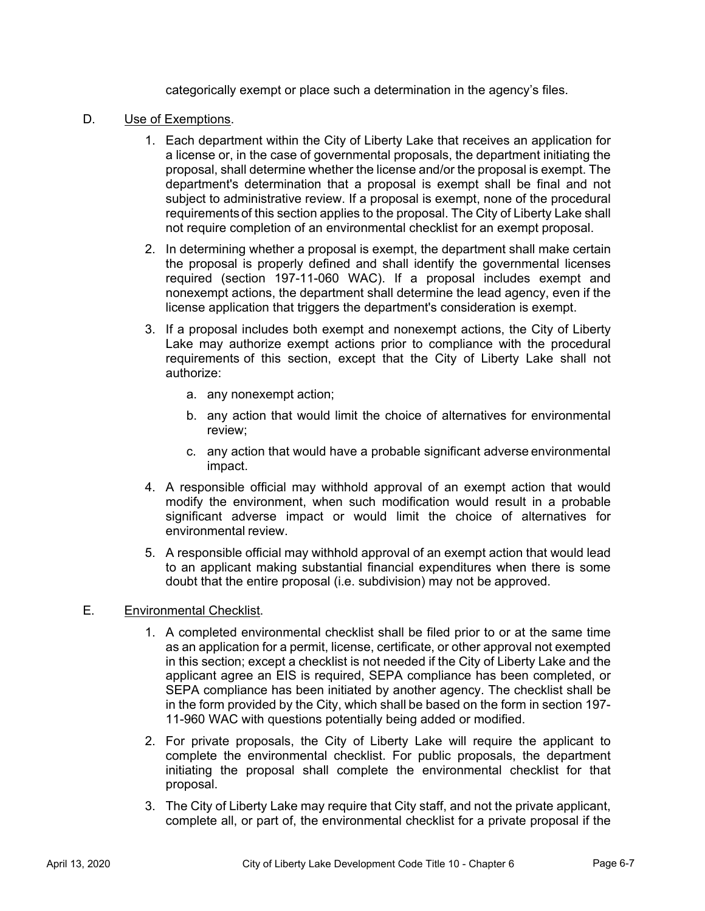categorically exempt or place such a determination in the agency's files.

#### D. Use of Exemptions.

- 1. Each department within the City of Liberty Lake that receives an application for a license or, in the case of governmental proposals, the department initiating the proposal, shall determine whether the license and/or the proposal is exempt. The department's determination that a proposal is exempt shall be final and not subject to administrative review. If a proposal is exempt, none of the procedural requirements of this section applies to the proposal. The City of Liberty Lake shall not require completion of an environmental checklist for an exempt proposal.
- 2. In determining whether a proposal is exempt, the department shall make certain the proposal is properly defined and shall identify the governmental licenses required (section 197-11-060 WAC). If a proposal includes exempt and nonexempt actions, the department shall determine the lead agency, even if the license application that triggers the department's consideration is exempt.
- 3. If a proposal includes both exempt and nonexempt actions, the City of Liberty Lake may authorize exempt actions prior to compliance with the procedural requirements of this section, except that the City of Liberty Lake shall not authorize:
	- a. any nonexempt action;
	- b. any action that would limit the choice of alternatives for environmental review;
	- c. any action that would have a probable significant adverse environmental impact.
- 4. A responsible official may withhold approval of an exempt action that would modify the environment, when such modification would result in a probable significant adverse impact or would limit the choice of alternatives for environmental review.
- 5. A responsible official may withhold approval of an exempt action that would lead to an applicant making substantial financial expenditures when there is some doubt that the entire proposal (i.e. subdivision) may not be approved.

# E. Environmental Checklist.

- 1. A completed environmental checklist shall be filed prior to or at the same time as an application for a permit, license, certificate, or other approval not exempted in this section; except a checklist is not needed if the City of Liberty Lake and the applicant agree an EIS is required, SEPA compliance has been completed, or SEPA compliance has been initiated by another agency. The checklist shall be in the form provided by the City, which shall be based on the form in section 197- 11-960 WAC with questions potentially being added or modified.
- 2. For private proposals, the City of Liberty Lake will require the applicant to complete the environmental checklist. For public proposals, the department initiating the proposal shall complete the environmental checklist for that proposal.
- 3. The City of Liberty Lake may require that City staff, and not the private applicant, complete all, or part of, the environmental checklist for a private proposal if the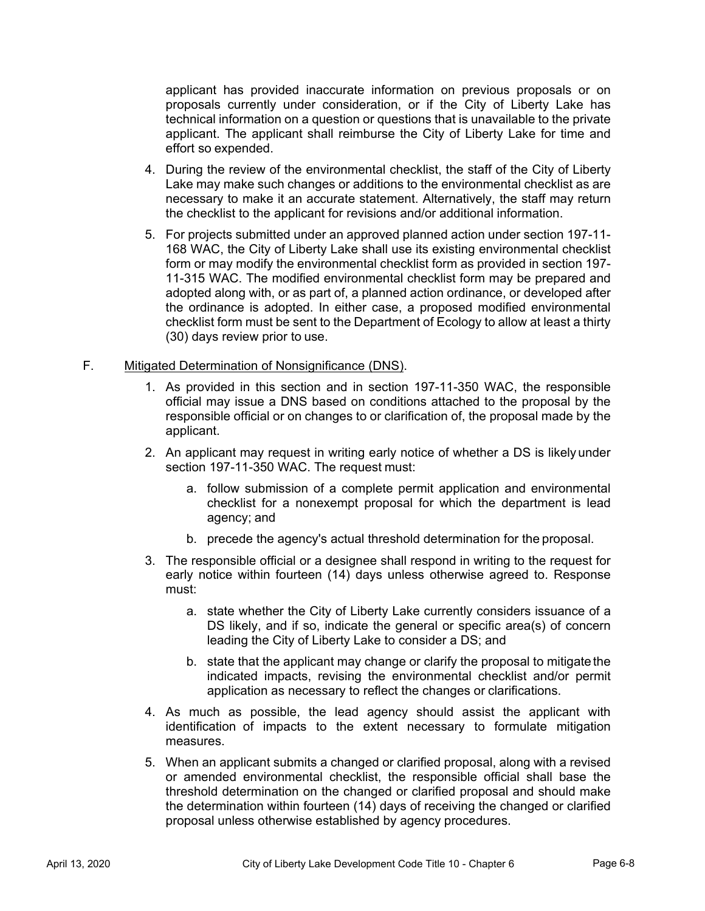applicant has provided inaccurate information on previous proposals or on proposals currently under consideration, or if the City of Liberty Lake has technical information on a question or questions that is unavailable to the private applicant. The applicant shall reimburse the City of Liberty Lake for time and effort so expended.

- 4. During the review of the environmental checklist, the staff of the City of Liberty Lake may make such changes or additions to the environmental checklist as are necessary to make it an accurate statement. Alternatively, the staff may return the checklist to the applicant for revisions and/or additional information.
- 5. For projects submitted under an approved planned action under section 197-11- 168 WAC, the City of Liberty Lake shall use its existing environmental checklist form or may modify the environmental checklist form as provided in section 197- 11-315 WAC. The modified environmental checklist form may be prepared and adopted along with, or as part of, a planned action ordinance, or developed after the ordinance is adopted. In either case, a proposed modified environmental checklist form must be sent to the Department of Ecology to allow at least a thirty (30) days review prior to use.

#### F. Mitigated Determination of Nonsignificance (DNS).

- 1. As provided in this section and in section 197-11-350 WAC, the responsible official may issue a DNS based on conditions attached to the proposal by the responsible official or on changes to or clarification of, the proposal made by the applicant.
- 2. An applicant may request in writing early notice of whether a DS is likely under section 197-11-350 WAC. The request must:
	- a. follow submission of a complete permit application and environmental checklist for a nonexempt proposal for which the department is lead agency; and
	- b. precede the agency's actual threshold determination for the proposal.
- 3. The responsible official or a designee shall respond in writing to the request for early notice within fourteen (14) days unless otherwise agreed to. Response must:
	- a. state whether the City of Liberty Lake currently considers issuance of a DS likely, and if so, indicate the general or specific area(s) of concern leading the City of Liberty Lake to consider a DS; and
	- b. state that the applicant may change or clarify the proposal to mitigate the indicated impacts, revising the environmental checklist and/or permit application as necessary to reflect the changes or clarifications.
- 4. As much as possible, the lead agency should assist the applicant with identification of impacts to the extent necessary to formulate mitigation measures.
- 5. When an applicant submits a changed or clarified proposal, along with a revised or amended environmental checklist, the responsible official shall base the threshold determination on the changed or clarified proposal and should make the determination within fourteen (14) days of receiving the changed or clarified proposal unless otherwise established by agency procedures.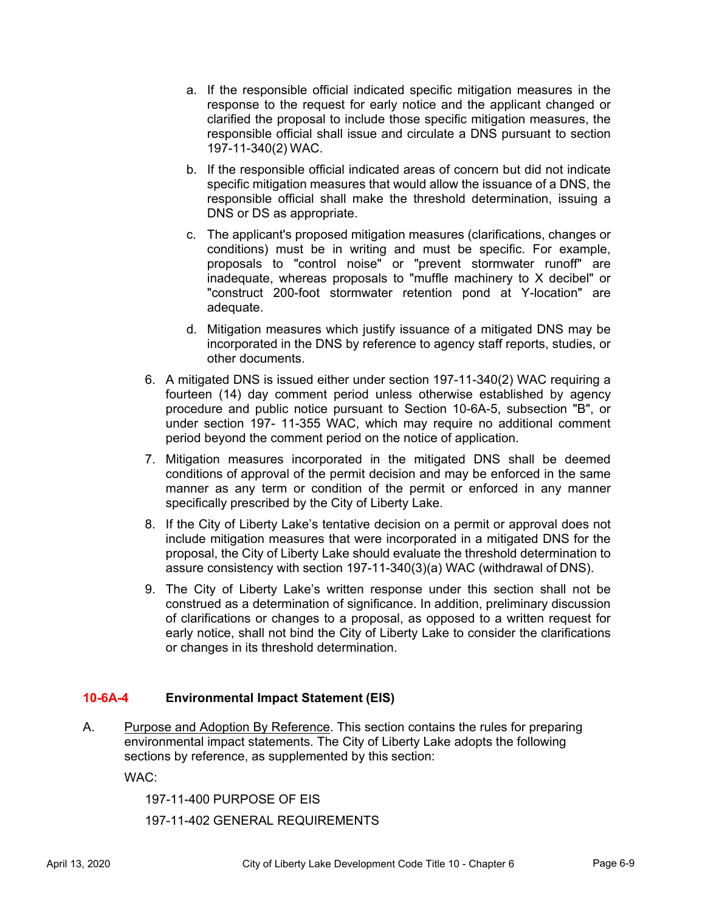- a. If the responsible official indicated specific mitigation measures in the response to the request for early notice and the applicant changed or clarified the proposal to include those specific mitigation measures, the responsible official shall issue and circulate a DNS pursuant to section 197-11-340(2) WAC.
- b. If the responsible official indicated areas of concern but did not indicate specific mitigation measures that would allow the issuance of a DNS, the responsible official shall make the threshold determination, issuing a DNS or DS as appropriate.
- c. The applicant's proposed mitigation measures (clarifications, changes or conditions) must be in writing and must be specific. For example, proposals to "control noise" or "prevent stormwater runoff" are inadequate, whereas proposals to "muffle machinery to X decibel" or "construct 200-foot stormwater retention pond at Y-location" are adequate.
- d. Mitigation measures which justify issuance of a mitigated DNS may be incorporated in the DNS by reference to agency staff reports, studies, or other documents.
- 6. A mitigated DNS is issued either under section 197-11-340(2) WAC requiring a fourteen (14) day comment period unless otherwise established by agency procedure and public notice pursuant to Section 10-6A-5, subsection "B", or under section 197- 11-355 WAC, which may require no additional comment period beyond the comment period on the notice of application.
- 7. Mitigation measures incorporated in the mitigated DNS shall be deemed conditions of approval of the permit decision and may be enforced in the same manner as any term or condition of the permit or enforced in any manner specifically prescribed by the City of Liberty Lake.
- 8. If the City of Liberty Lake's tentative decision on a permit or approval does not include mitigation measures that were incorporated in a mitigated DNS for the proposal, the City of Liberty Lake should evaluate the threshold determination to assure consistency with section 197-11-340(3)(a) WAC (withdrawal of DNS).
- 9. The City of Liberty Lake's written response under this section shall not be construed as a determination of significance. In addition, preliminary discussion of clarifications or changes to a proposal, as opposed to a written request for early notice, shall not bind the City of Liberty Lake to consider the clarifications or changes in its threshold determination.

# **10-6A-4 Environmental Impact Statement (EIS)**

A. Purpose and Adoption By Reference. This section contains the rules for preparing environmental impact statements. The City of Liberty Lake adopts the following sections by reference, as supplemented by this section:

WAC:

197-11-400 PURPOSE OF EIS

197-11-402 GENERAL REQUIREMENTS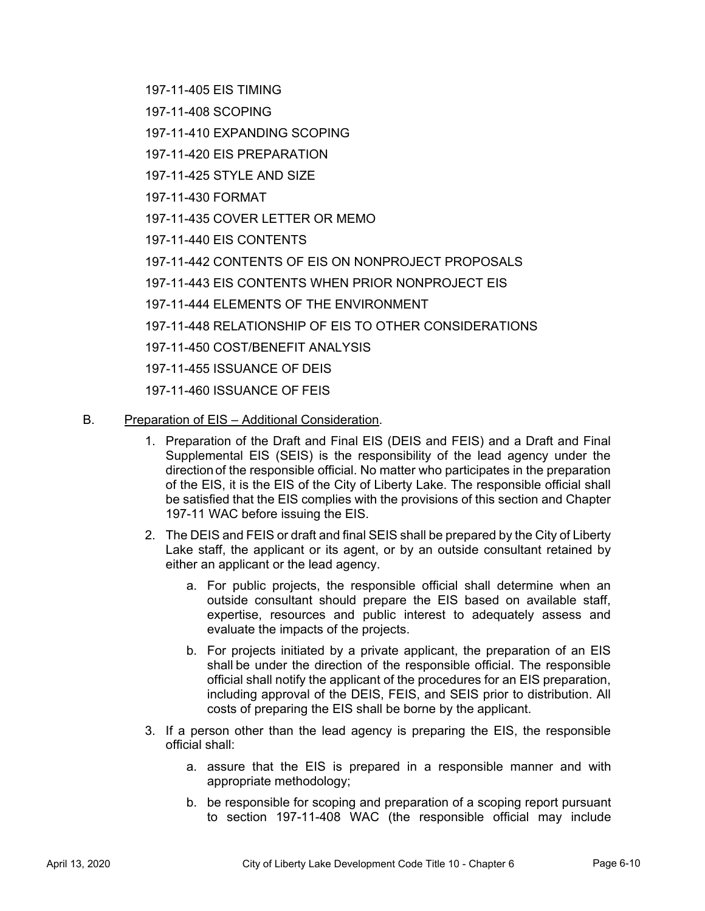197-11-405 EIS TIMING

- 197-11-408 SCOPING
- 197-11-410 EXPANDING SCOPING
- 197-11-420 EIS PREPARATION
- 197-11-425 STYLE AND SIZE
- 197-11-430 FORMAT
- 197-11-435 COVER LETTER OR MEMO
- 197-11-440 EIS CONTENTS
- 197-11-442 CONTENTS OF EIS ON NONPROJECT PROPOSALS
- 197-11-443 EIS CONTENTS WHEN PRIOR NONPROJECT EIS
- 197-11-444 ELEMENTS OF THE ENVIRONMENT
- 197-11-448 RELATIONSHIP OF EIS TO OTHER CONSIDERATIONS
- 197-11-450 COST/BENEFIT ANALYSIS
- 197-11-455 ISSUANCE OF DEIS
- 197-11-460 ISSUANCE OF FEIS
- B. Preparation of EIS Additional Consideration.
	- 1. Preparation of the Draft and Final EIS (DEIS and FEIS) and a Draft and Final Supplemental EIS (SEIS) is the responsibility of the lead agency under the direction of the responsible official. No matter who participates in the preparation of the EIS, it is the EIS of the City of Liberty Lake. The responsible official shall be satisfied that the EIS complies with the provisions of this section and Chapter 197-11 WAC before issuing the EIS.
	- 2. The DEIS and FEIS or draft and final SEIS shall be prepared by the City of Liberty Lake staff, the applicant or its agent, or by an outside consultant retained by either an applicant or the lead agency.
		- a. For public projects, the responsible official shall determine when an outside consultant should prepare the EIS based on available staff, expertise, resources and public interest to adequately assess and evaluate the impacts of the projects.
		- b. For projects initiated by a private applicant, the preparation of an EIS shall be under the direction of the responsible official. The responsible official shall notify the applicant of the procedures for an EIS preparation, including approval of the DEIS, FEIS, and SEIS prior to distribution. All costs of preparing the EIS shall be borne by the applicant.
	- 3. If a person other than the lead agency is preparing the EIS, the responsible official shall:
		- a. assure that the EIS is prepared in a responsible manner and with appropriate methodology;
		- b. be responsible for scoping and preparation of a scoping report pursuant to section 197-11-408 WAC (the responsible official may include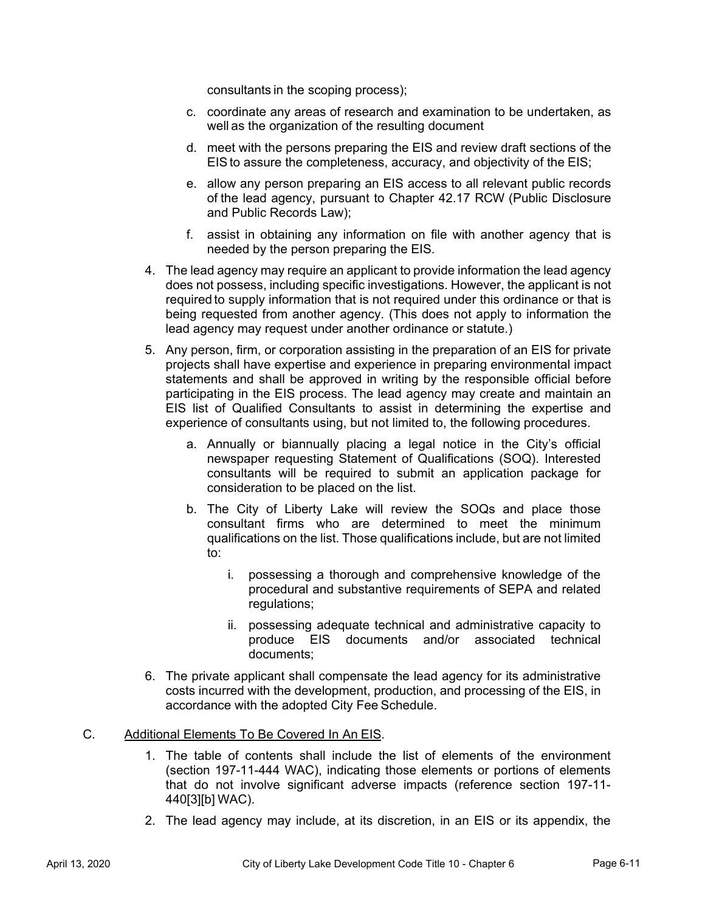consultants in the scoping process);

- c. coordinate any areas of research and examination to be undertaken, as well as the organization of the resulting document
- d. meet with the persons preparing the EIS and review draft sections of the EIS to assure the completeness, accuracy, and objectivity of the EIS;
- e. allow any person preparing an EIS access to all relevant public records of the lead agency, pursuant to Chapter 42.17 RCW (Public Disclosure and Public Records Law);
- f. assist in obtaining any information on file with another agency that is needed by the person preparing the EIS.
- 4. The lead agency may require an applicant to provide information the lead agency does not possess, including specific investigations. However, the applicant is not required to supply information that is not required under this ordinance or that is being requested from another agency. (This does not apply to information the lead agency may request under another ordinance or statute.)
- 5. Any person, firm, or corporation assisting in the preparation of an EIS for private projects shall have expertise and experience in preparing environmental impact statements and shall be approved in writing by the responsible official before participating in the EIS process. The lead agency may create and maintain an EIS list of Qualified Consultants to assist in determining the expertise and experience of consultants using, but not limited to, the following procedures.
	- a. Annually or biannually placing a legal notice in the City's official newspaper requesting Statement of Qualifications (SOQ). Interested consultants will be required to submit an application package for consideration to be placed on the list.
	- b. The City of Liberty Lake will review the SOQs and place those consultant firms who are determined to meet the minimum qualifications on the list. Those qualifications include, but are not limited to:
		- i. possessing a thorough and comprehensive knowledge of the procedural and substantive requirements of SEPA and related regulations;
		- ii. possessing adequate technical and administrative capacity to produce EIS documents and/or associated technical documents;
- 6. The private applicant shall compensate the lead agency for its administrative costs incurred with the development, production, and processing of the EIS, in accordance with the adopted City Fee Schedule.

#### C. Additional Elements To Be Covered In An EIS.

- 1. The table of contents shall include the list of elements of the environment (section 197-11-444 WAC), indicating those elements or portions of elements that do not involve significant adverse impacts (reference section 197-11- 440[3][b] WAC).
- 2. The lead agency may include, at its discretion, in an EIS or its appendix, the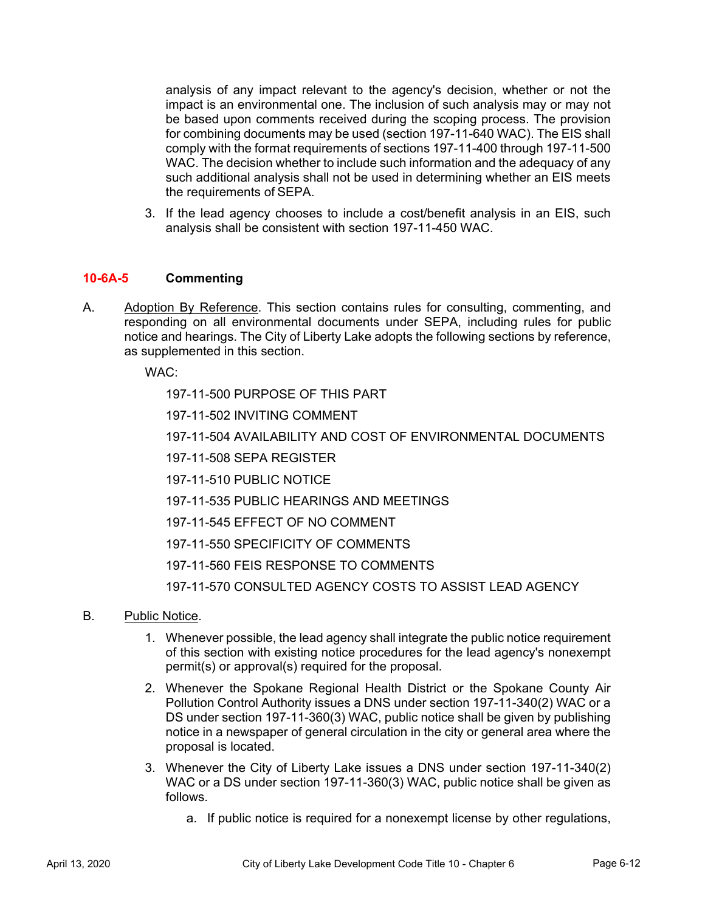analysis of any impact relevant to the agency's decision, whether or not the impact is an environmental one. The inclusion of such analysis may or may not be based upon comments received during the scoping process. The provision for combining documents may be used (section 197-11-640 WAC). The EIS shall comply with the format requirements of sections 197-11-400 through 197-11-500 WAC. The decision whether to include such information and the adequacy of any such additional analysis shall not be used in determining whether an EIS meets the requirements of SEPA.

3. If the lead agency chooses to include a cost/benefit analysis in an EIS, such analysis shall be consistent with section 197-11-450 WAC.

# **10-6A-5 Commenting**

A. Adoption By Reference. This section contains rules for consulting, commenting, and responding on all environmental documents under SEPA, including rules for public notice and hearings. The City of Liberty Lake adopts the following sections by reference, as supplemented in this section.

WAC:

197-11-500 PURPOSE OF THIS PART

197-11-502 INVITING COMMENT

197-11-504 AVAILABILITY AND COST OF ENVIRONMENTAL DOCUMENTS

197-11-508 SEPA REGISTER

197-11-510 PUBLIC NOTICE

197-11-535 PUBLIC HEARINGS AND MEETINGS

197-11-545 EFFECT OF NO COMMENT

197-11-550 SPECIFICITY OF COMMENTS

197-11-560 FEIS RESPONSE TO COMMENTS

197-11-570 CONSULTED AGENCY COSTS TO ASSIST LEAD AGENCY

- B. Public Notice.
	- 1. Whenever possible, the lead agency shall integrate the public notice requirement of this section with existing notice procedures for the lead agency's nonexempt permit(s) or approval(s) required for the proposal.
	- 2. Whenever the Spokane Regional Health District or the Spokane County Air Pollution Control Authority issues a DNS under section 197-11-340(2) WAC or a DS under section 197-11-360(3) WAC, public notice shall be given by publishing notice in a newspaper of general circulation in the city or general area where the proposal is located.
	- 3. Whenever the City of Liberty Lake issues a DNS under section 197-11-340(2) WAC or a DS under section 197-11-360(3) WAC, public notice shall be given as follows.
		- a. If public notice is required for a nonexempt license by other regulations,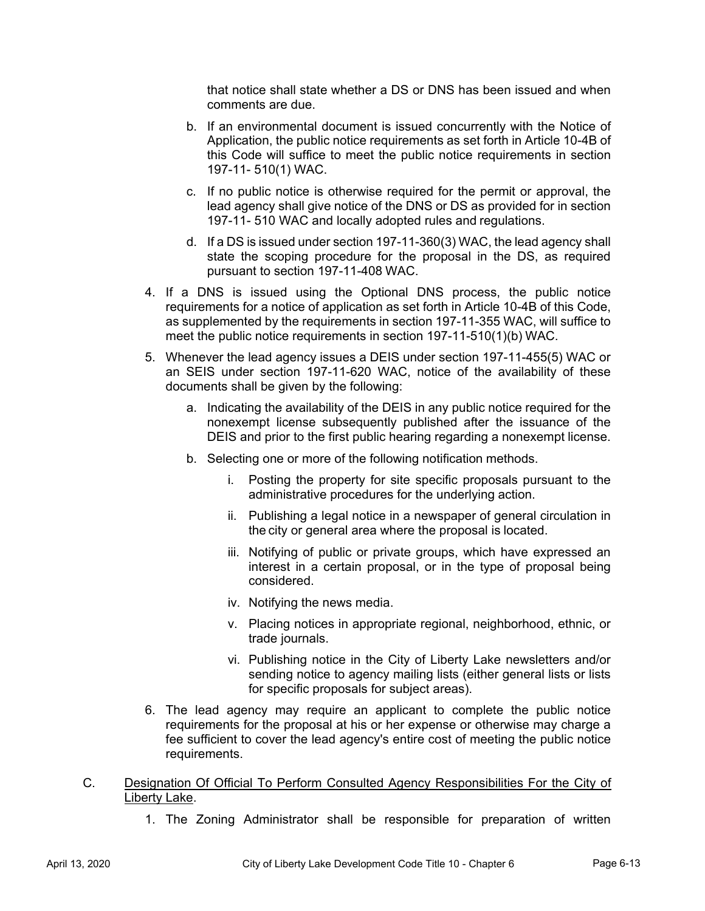that notice shall state whether a DS or DNS has been issued and when comments are due.

- b. If an environmental document is issued concurrently with the Notice of Application, the public notice requirements as set forth in Article 10-4B of this Code will suffice to meet the public notice requirements in section 197-11- 510(1) WAC.
- c. If no public notice is otherwise required for the permit or approval, the lead agency shall give notice of the DNS or DS as provided for in section 197-11- 510 WAC and locally adopted rules and regulations.
- d. If a DS is issued under section 197-11-360(3) WAC, the lead agency shall state the scoping procedure for the proposal in the DS, as required pursuant to section 197-11-408 WAC.
- 4. If a DNS is issued using the Optional DNS process, the public notice requirements for a notice of application as set forth in Article 10-4B of this Code, as supplemented by the requirements in section 197-11-355 WAC, will suffice to meet the public notice requirements in section 197-11-510(1)(b) WAC.
- 5. Whenever the lead agency issues a DEIS under section 197-11-455(5) WAC or an SEIS under section 197-11-620 WAC, notice of the availability of these documents shall be given by the following:
	- a. Indicating the availability of the DEIS in any public notice required for the nonexempt license subsequently published after the issuance of the DEIS and prior to the first public hearing regarding a nonexempt license.
	- b. Selecting one or more of the following notification methods.
		- i. Posting the property for site specific proposals pursuant to the administrative procedures for the underlying action.
		- ii. Publishing a legal notice in a newspaper of general circulation in the city or general area where the proposal is located.
		- iii. Notifying of public or private groups, which have expressed an interest in a certain proposal, or in the type of proposal being considered.
		- iv. Notifying the news media.
		- v. Placing notices in appropriate regional, neighborhood, ethnic, or trade journals.
		- vi. Publishing notice in the City of Liberty Lake newsletters and/or sending notice to agency mailing lists (either general lists or lists for specific proposals for subject areas).
- 6. The lead agency may require an applicant to complete the public notice requirements for the proposal at his or her expense or otherwise may charge a fee sufficient to cover the lead agency's entire cost of meeting the public notice requirements.
- C. Designation Of Official To Perform Consulted Agency Responsibilities For the City of Liberty Lake.
	- 1. The Zoning Administrator shall be responsible for preparation of written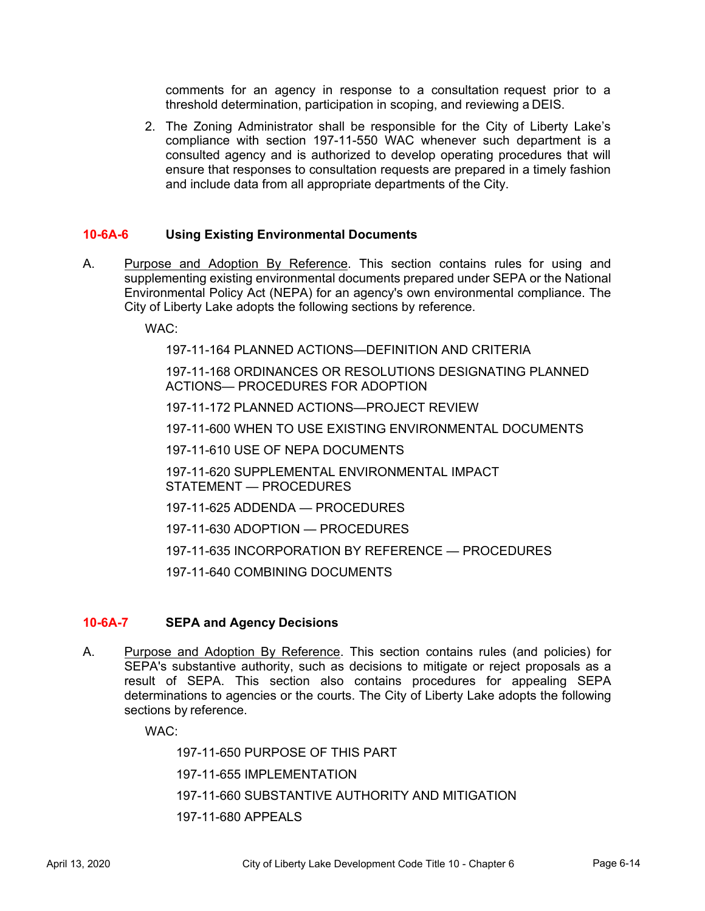comments for an agency in response to a consultation request prior to a threshold determination, participation in scoping, and reviewing a DEIS.

2. The Zoning Administrator shall be responsible for the City of Liberty Lake's compliance with section 197-11-550 WAC whenever such department is a consulted agency and is authorized to develop operating procedures that will ensure that responses to consultation requests are prepared in a timely fashion and include data from all appropriate departments of the City.

#### **10-6A-6 Using Existing Environmental Documents**

A. Purpose and Adoption By Reference. This section contains rules for using and supplementing existing environmental documents prepared under SEPA or the National Environmental Policy Act (NEPA) for an agency's own environmental compliance. The City of Liberty Lake adopts the following sections by reference.

WAC:

197-11-164 PLANNED ACTIONS—DEFINITION AND CRITERIA

197-11-168 ORDINANCES OR RESOLUTIONS DESIGNATING PLANNED ACTIONS— PROCEDURES FOR ADOPTION

197-11-172 PLANNED ACTIONS—PROJECT REVIEW

197-11-600 WHEN TO USE EXISTING ENVIRONMENTAL DOCUMENTS

197-11-610 USE OF NEPA DOCUMENTS

197-11-620 SUPPLEMENTAL ENVIRONMENTAL IMPACT STATEMENT — PROCEDURES

197-11-625 ADDENDA — PROCEDURES

197-11-630 ADOPTION — PROCEDURES

197-11-635 INCORPORATION BY REFERENCE — PROCEDURES

197-11-640 COMBINING DOCUMENTS

# **10-6A-7 SEPA and Agency Decisions**

A. Purpose and Adoption By Reference. This section contains rules (and policies) for SEPA's substantive authority, such as decisions to mitigate or reject proposals as a result of SEPA. This section also contains procedures for appealing SEPA determinations to agencies or the courts. The City of Liberty Lake adopts the following sections by reference.

WAC:

197-11-650 PURPOSE OF THIS PART

197-11-655 IMPLEMENTATION

197-11-660 SUBSTANTIVE AUTHORITY AND MITIGATION

197-11-680 APPEALS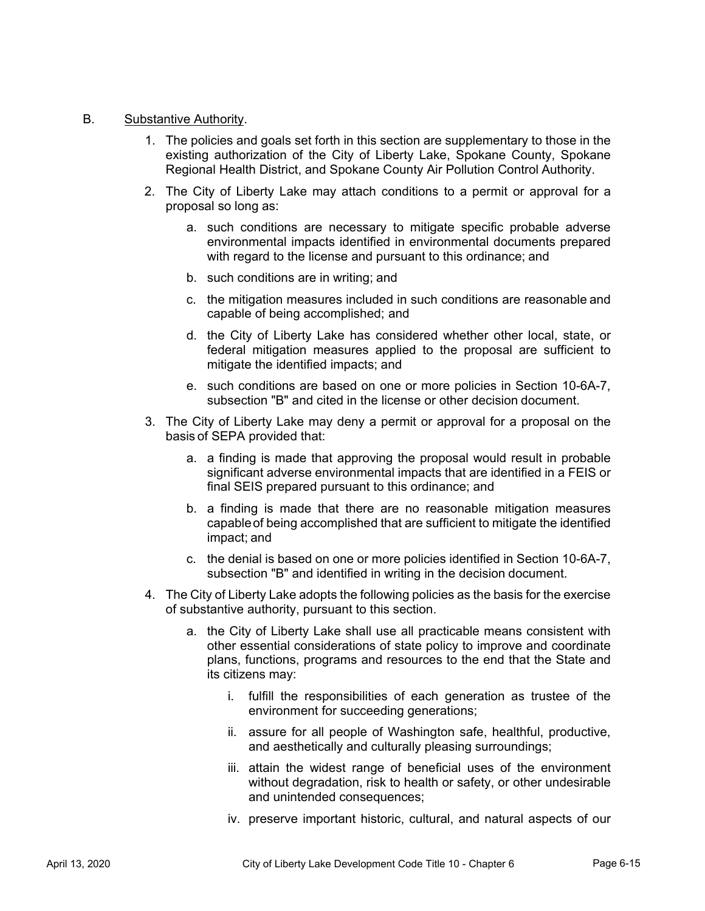#### B. Substantive Authority.

- 1. The policies and goals set forth in this section are supplementary to those in the existing authorization of the City of Liberty Lake, Spokane County, Spokane Regional Health District, and Spokane County Air Pollution Control Authority.
- 2. The City of Liberty Lake may attach conditions to a permit or approval for a proposal so long as:
	- a. such conditions are necessary to mitigate specific probable adverse environmental impacts identified in environmental documents prepared with regard to the license and pursuant to this ordinance; and
	- b. such conditions are in writing; and
	- c. the mitigation measures included in such conditions are reasonable and capable of being accomplished; and
	- d. the City of Liberty Lake has considered whether other local, state, or federal mitigation measures applied to the proposal are sufficient to mitigate the identified impacts; and
	- e. such conditions are based on one or more policies in Section 10-6A-7, subsection "B" and cited in the license or other decision document.
- 3. The City of Liberty Lake may deny a permit or approval for a proposal on the basis of SEPA provided that:
	- a. a finding is made that approving the proposal would result in probable significant adverse environmental impacts that are identified in a FEIS or final SEIS prepared pursuant to this ordinance; and
	- b. a finding is made that there are no reasonable mitigation measures capable of being accomplished that are sufficient to mitigate the identified impact; and
	- c. the denial is based on one or more policies identified in Section 10-6A-7, subsection "B" and identified in writing in the decision document.
- 4. The City of Liberty Lake adopts the following policies as the basis for the exercise of substantive authority, pursuant to this section.
	- a. the City of Liberty Lake shall use all practicable means consistent with other essential considerations of state policy to improve and coordinate plans, functions, programs and resources to the end that the State and its citizens may:
		- i. fulfill the responsibilities of each generation as trustee of the environment for succeeding generations;
		- ii. assure for all people of Washington safe, healthful, productive, and aesthetically and culturally pleasing surroundings;
		- iii. attain the widest range of beneficial uses of the environment without degradation, risk to health or safety, or other undesirable and unintended consequences;
		- iv. preserve important historic, cultural, and natural aspects of our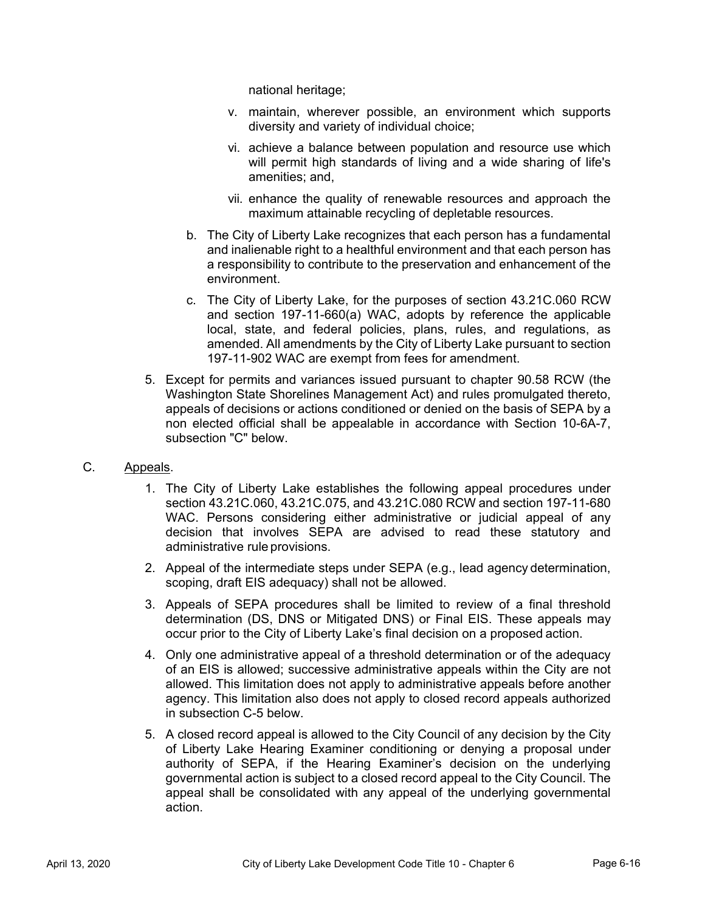national heritage;

- v. maintain, wherever possible, an environment which supports diversity and variety of individual choice;
- vi. achieve a balance between population and resource use which will permit high standards of living and a wide sharing of life's amenities; and,
- vii. enhance the quality of renewable resources and approach the maximum attainable recycling of depletable resources.
- b. The City of Liberty Lake recognizes that each person has a fundamental and inalienable right to a healthful environment and that each person has a responsibility to contribute to the preservation and enhancement of the environment.
- c. The City of Liberty Lake, for the purposes of section 43.21C.060 RCW and section 197-11-660(a) WAC, adopts by reference the applicable local, state, and federal policies, plans, rules, and regulations, as amended. All amendments by the City of Liberty Lake pursuant to section 197-11-902 WAC are exempt from fees for amendment.
- 5. Except for permits and variances issued pursuant to chapter 90.58 RCW (the Washington State Shorelines Management Act) and rules promulgated thereto, appeals of decisions or actions conditioned or denied on the basis of SEPA by a non elected official shall be appealable in accordance with Section 10-6A-7, subsection "C" below.

# C. Appeals.

- 1. The City of Liberty Lake establishes the following appeal procedures under section 43.21C.060, 43.21C.075, and 43.21C.080 RCW and section 197-11-680 WAC. Persons considering either administrative or judicial appeal of any decision that involves SEPA are advised to read these statutory and administrative rule provisions.
- 2. Appeal of the intermediate steps under SEPA (e.g., lead agency determination, scoping, draft EIS adequacy) shall not be allowed.
- 3. Appeals of SEPA procedures shall be limited to review of a final threshold determination (DS, DNS or Mitigated DNS) or Final EIS. These appeals may occur prior to the City of Liberty Lake's final decision on a proposed action.
- 4. Only one administrative appeal of a threshold determination or of the adequacy of an EIS is allowed; successive administrative appeals within the City are not allowed. This limitation does not apply to administrative appeals before another agency. This limitation also does not apply to closed record appeals authorized in subsection C-5 below.
- 5. A closed record appeal is allowed to the City Council of any decision by the City of Liberty Lake Hearing Examiner conditioning or denying a proposal under authority of SEPA, if the Hearing Examiner's decision on the underlying governmental action is subject to a closed record appeal to the City Council. The appeal shall be consolidated with any appeal of the underlying governmental action.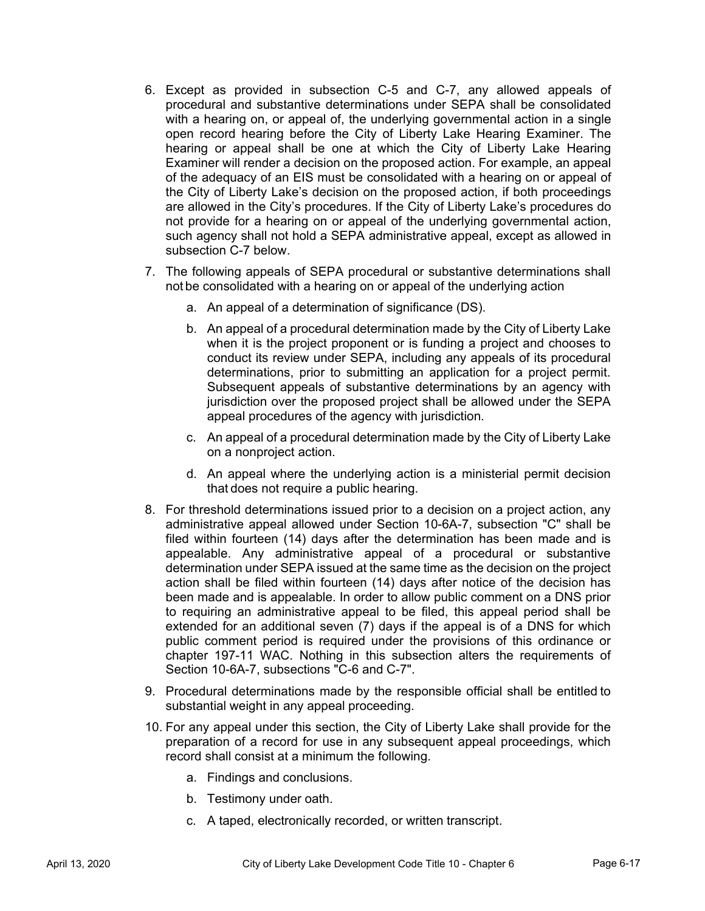- 6. Except as provided in subsection C-5 and C-7, any allowed appeals of procedural and substantive determinations under SEPA shall be consolidated with a hearing on, or appeal of, the underlying governmental action in a single open record hearing before the City of Liberty Lake Hearing Examiner. The hearing or appeal shall be one at which the City of Liberty Lake Hearing Examiner will render a decision on the proposed action. For example, an appeal of the adequacy of an EIS must be consolidated with a hearing on or appeal of the City of Liberty Lake's decision on the proposed action, if both proceedings are allowed in the City's procedures. If the City of Liberty Lake's procedures do not provide for a hearing on or appeal of the underlying governmental action, such agency shall not hold a SEPA administrative appeal, except as allowed in subsection C-7 below.
- 7. The following appeals of SEPA procedural or substantive determinations shall not be consolidated with a hearing on or appeal of the underlying action
	- a. An appeal of a determination of significance (DS).
	- b. An appeal of a procedural determination made by the City of Liberty Lake when it is the project proponent or is funding a project and chooses to conduct its review under SEPA, including any appeals of its procedural determinations, prior to submitting an application for a project permit. Subsequent appeals of substantive determinations by an agency with jurisdiction over the proposed project shall be allowed under the SEPA appeal procedures of the agency with jurisdiction.
	- c. An appeal of a procedural determination made by the City of Liberty Lake on a nonproject action.
	- d. An appeal where the underlying action is a ministerial permit decision that does not require a public hearing.
- 8. For threshold determinations issued prior to a decision on a project action, any administrative appeal allowed under Section 10-6A-7, subsection "C" shall be filed within fourteen (14) days after the determination has been made and is appealable. Any administrative appeal of a procedural or substantive determination under SEPA issued at the same time as the decision on the project action shall be filed within fourteen (14) days after notice of the decision has been made and is appealable. In order to allow public comment on a DNS prior to requiring an administrative appeal to be filed, this appeal period shall be extended for an additional seven (7) days if the appeal is of a DNS for which public comment period is required under the provisions of this ordinance or chapter 197-11 WAC. Nothing in this subsection alters the requirements of Section 10-6A-7, subsections "C-6 and C-7".
- 9. Procedural determinations made by the responsible official shall be entitled to substantial weight in any appeal proceeding.
- 10. For any appeal under this section, the City of Liberty Lake shall provide for the preparation of a record for use in any subsequent appeal proceedings, which record shall consist at a minimum the following.
	- a. Findings and conclusions.
	- b. Testimony under oath.
	- c. A taped, electronically recorded, or written transcript.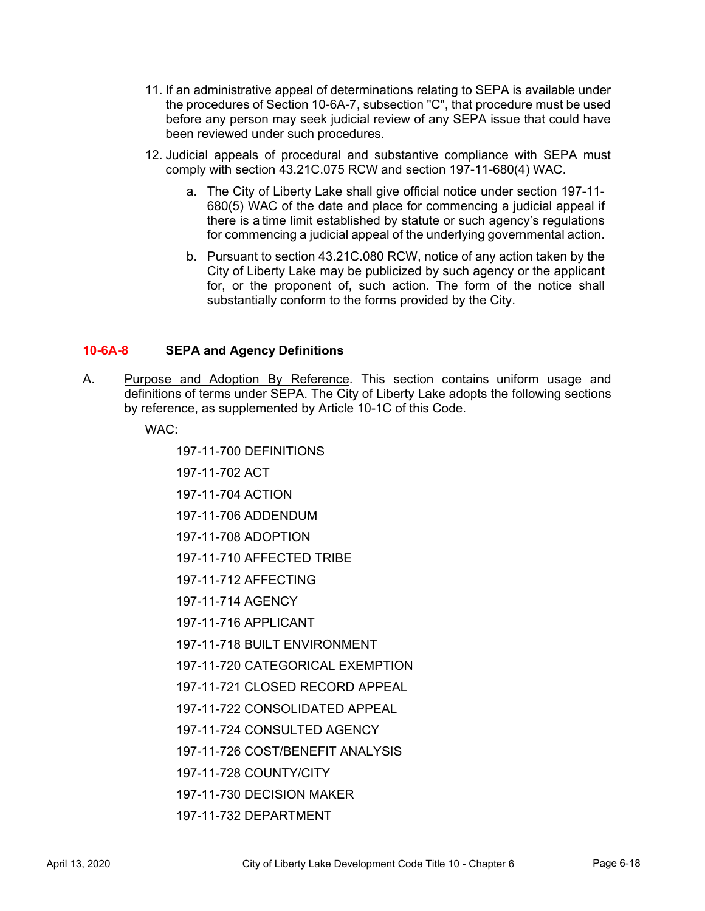- 11. If an administrative appeal of determinations relating to SEPA is available under the procedures of Section 10-6A-7, subsection "C", that procedure must be used before any person may seek judicial review of any SEPA issue that could have been reviewed under such procedures.
- 12. Judicial appeals of procedural and substantive compliance with SEPA must comply with section 43.21C.075 RCW and section 197-11-680(4) WAC.
	- a. The City of Liberty Lake shall give official notice under section 197-11- 680(5) WAC of the date and place for commencing a judicial appeal if there is a time limit established by statute or such agency's regulations for commencing a judicial appeal of the underlying governmental action.
	- b. Pursuant to section 43.21C.080 RCW, notice of any action taken by the City of Liberty Lake may be publicized by such agency or the applicant for, or the proponent of, such action. The form of the notice shall substantially conform to the forms provided by the City.

# **10-6A-8 SEPA and Agency Definitions**

A. Purpose and Adoption By Reference. This section contains uniform usage and definitions of terms under SEPA. The City of Liberty Lake adopts the following sections by reference, as supplemented by Article 10-1C of this Code.

WAC:

197-11-700 DEFINITIONS

197-11-702 ACT

197-11-704 ACTION

197-11-706 ADDENDUM

197-11-708 ADOPTION

197-11-710 AFFECTED TRIBE

197-11-712 AFFECTING

197-11-714 AGENCY

197-11-716 APPLICANT

197-11-718 BUILT ENVIRONMENT

197-11-720 CATEGORICAL EXEMPTION

197-11-721 CLOSED RECORD APPEAL

197-11-722 CONSOLIDATED APPEAL

197-11-724 CONSULTED AGENCY

197-11-726 COST/BENEFIT ANALYSIS

197-11-728 COUNTY/CITY

197-11-730 DECISION MAKER

197-11-732 DEPARTMENT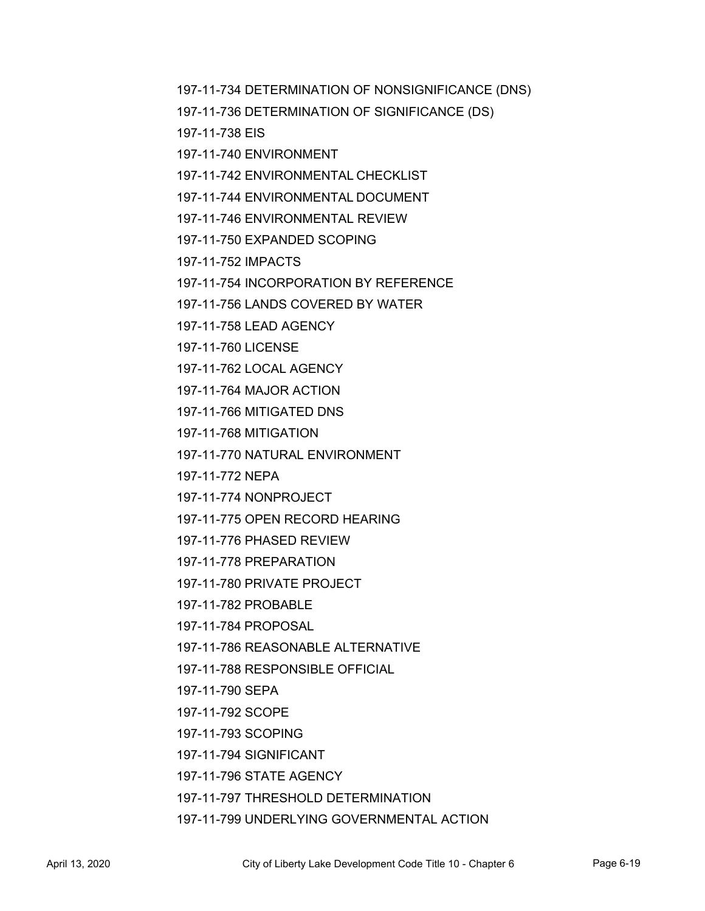197-11-734 DETERMINATION OF NONSIGNIFICANCE (DNS)

197-11-736 DETERMINATION OF SIGNIFICANCE (DS)

197-11-738 EIS

197-11-740 ENVIRONMENT

197-11-742 ENVIRONMENTAL CHECKLIST

197-11-744 ENVIRONMENTAL DOCUMENT

197-11-746 ENVIRONMENTAL REVIEW

197-11-750 EXPANDED SCOPING

197-11-752 IMPACTS

197-11-754 INCORPORATION BY REFERENCE

197-11-756 LANDS COVERED BY WATER

197-11-758 LEAD AGENCY

197-11-760 LICENSE

197-11-762 LOCAL AGENCY

197-11-764 MAJOR ACTION

197-11-766 MITIGATED DNS

197-11-768 MITIGATION

197-11-770 NATURAL ENVIRONMENT

197-11-772 NEPA

197-11-774 NONPROJECT

197-11-775 OPEN RECORD HEARING

197-11-776 PHASED REVIEW

197-11-778 PREPARATION

197-11-780 PRIVATE PROJECT

197-11-782 PROBABLE

197-11-784 PROPOSAL

197-11-786 REASONABLE ALTERNATIVE

197-11-788 RESPONSIBLE OFFICIAL

197-11-790 SEPA

197-11-792 SCOPE

197-11-793 SCOPING

197-11-794 SIGNIFICANT

197-11-796 STATE AGENCY

197-11-797 THRESHOLD DETERMINATION

197-11-799 UNDERLYING GOVERNMENTAL ACTION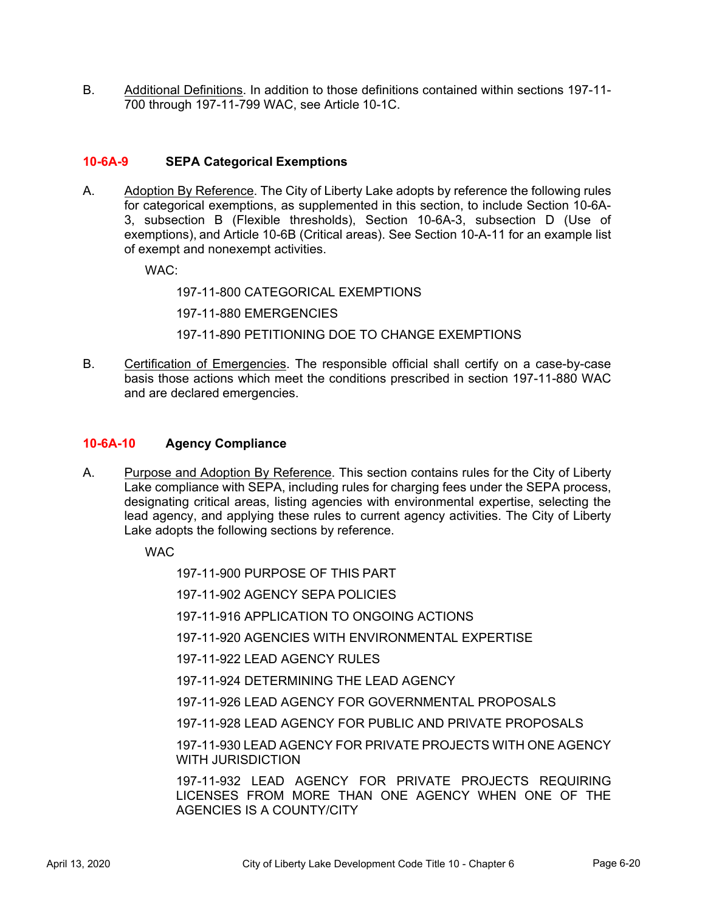B. Additional Definitions. In addition to those definitions contained within sections 197-11-700 through 197-11-799 WAC, see Article 10-1C.

# **10-6A-9 SEPA Categorical Exemptions**

A. Adoption By Reference. The City of Liberty Lake adopts by reference the following rules for categorical exemptions, as supplemented in this section, to include Section 10-6A-3, subsection B (Flexible thresholds), Section 10-6A-3, subsection D (Use of exemptions), and Article 10-6B (Critical areas). See Section 10-A-11 for an example list of exempt and nonexempt activities.

WAC:

197-11-800 CATEGORICAL EXEMPTIONS

197-11-880 EMERGENCIES

197-11-890 PETITIONING DOE TO CHANGE EXEMPTIONS

B. Certification of Emergencies. The responsible official shall certify on a case-by-case basis those actions which meet the conditions prescribed in section 197-11-880 WAC and are declared emergencies.

#### **10-6A-10 Agency Compliance**

A. Purpose and Adoption By Reference. This section contains rules for the City of Liberty Lake compliance with SEPA, including rules for charging fees under the SEPA process, designating critical areas, listing agencies with environmental expertise, selecting the lead agency, and applying these rules to current agency activities. The City of Liberty Lake adopts the following sections by reference.

**WAC** 

197-11-900 PURPOSE OF THIS PART

197-11-902 AGENCY SEPA POLICIES

197-11-916 APPLICATION TO ONGOING ACTIONS

- 197-11-920 AGENCIES WITH ENVIRONMENTAL EXPERTISE
- 197-11-922 LEAD AGENCY RULES
- 197-11-924 DETERMINING THE LEAD AGENCY
- 197-11-926 LEAD AGENCY FOR GOVERNMENTAL PROPOSALS
- 197-11-928 LEAD AGENCY FOR PUBLIC AND PRIVATE PROPOSALS

197-11-930 LEAD AGENCY FOR PRIVATE PROJECTS WITH ONE AGENCY WITH JURISDICTION

197-11-932 LEAD AGENCY FOR PRIVATE PROJECTS REQUIRING LICENSES FROM MORE THAN ONE AGENCY WHEN ONE OF THE AGENCIES IS A COUNTY/CITY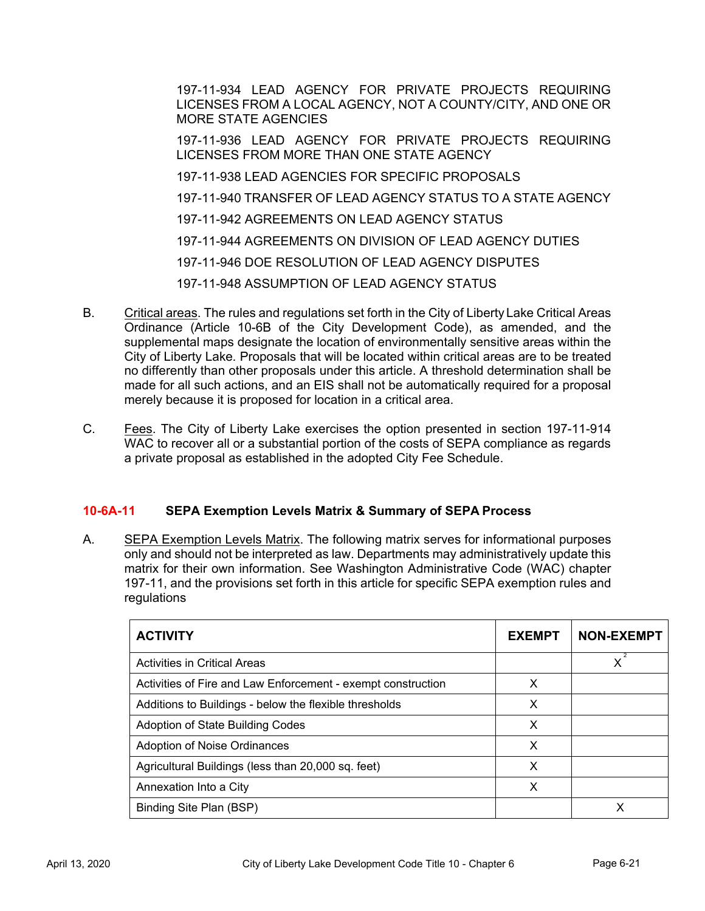197-11-934 LEAD AGENCY FOR PRIVATE PROJECTS REQUIRING LICENSES FROM A LOCAL AGENCY, NOT A COUNTY/CITY, AND ONE OR MORE STATE AGENCIES

197-11-936 LEAD AGENCY FOR PRIVATE PROJECTS REQUIRING LICENSES FROM MORE THAN ONE STATE AGENCY

197-11-938 LEAD AGENCIES FOR SPECIFIC PROPOSALS

197-11-940 TRANSFER OF LEAD AGENCY STATUS TO A STATE AGENCY

- 197-11-942 AGREEMENTS ON LEAD AGENCY STATUS
- 197-11-944 AGREEMENTS ON DIVISION OF LEAD AGENCY DUTIES

197-11-946 DOE RESOLUTION OF LEAD AGENCY DISPUTES

197-11-948 ASSUMPTION OF LEAD AGENCY STATUS

- B. Critical areas. The rules and regulations set forth in the City of Liberty Lake Critical Areas Ordinance (Article 10-6B of the City Development Code), as amended, and the supplemental maps designate the location of environmentally sensitive areas within the City of Liberty Lake*.* Proposals that will be located within critical areas are to be treated no differently than other proposals under this article. A threshold determination shall be made for all such actions, and an EIS shall not be automatically required for a proposal merely because it is proposed for location in a critical area.
- C. Fees. The City of Liberty Lake exercises the option presented in section 197-11-914 WAC to recover all or a substantial portion of the costs of SEPA compliance as regards a private proposal as established in the adopted City Fee Schedule.

# **10-6A-11 SEPA Exemption Levels Matrix & Summary of SEPA Process**

A. SEPA Exemption Levels Matrix. The following matrix serves for informational purposes only and should not be interpreted as law. Departments may administratively update this matrix for their own information. See Washington Administrative Code (WAC) chapter 197-11, and the provisions set forth in this article for specific SEPA exemption rules and regulations

| <b>ACTIVITY</b>                                              | <b>EXEMPT</b> | <b>NON-EXEMPT</b> |
|--------------------------------------------------------------|---------------|-------------------|
| <b>Activities in Critical Areas</b>                          |               |                   |
| Activities of Fire and Law Enforcement - exempt construction | X             |                   |
| Additions to Buildings - below the flexible thresholds       | X             |                   |
| Adoption of State Building Codes                             | X             |                   |
| Adoption of Noise Ordinances                                 | X             |                   |
| Agricultural Buildings (less than 20,000 sq. feet)           | X             |                   |
| Annexation Into a City                                       | Х             |                   |
| Binding Site Plan (BSP)                                      |               |                   |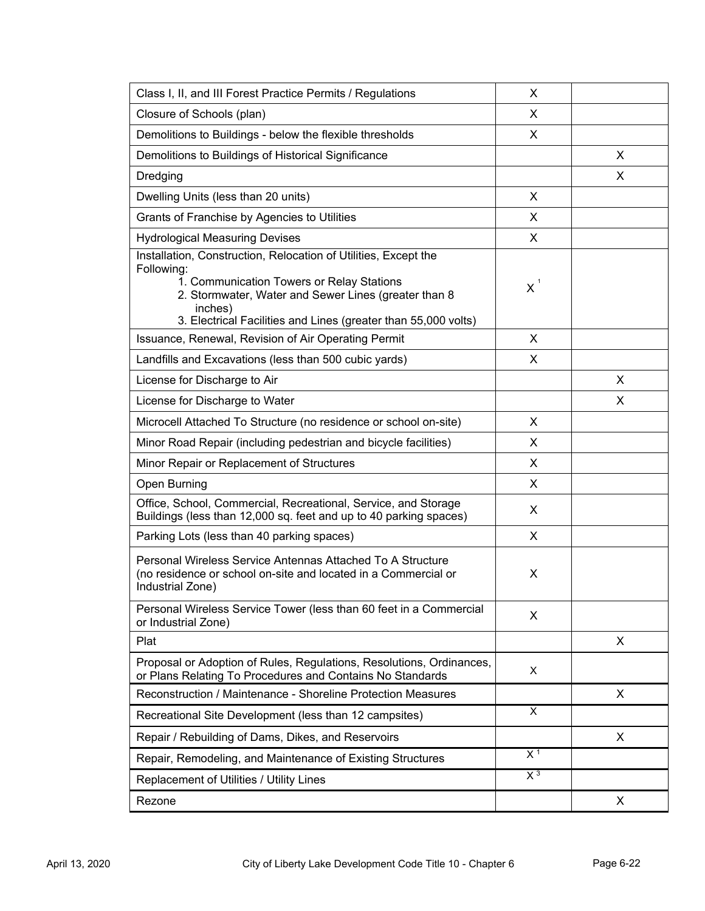| Class I, II, and III Forest Practice Permits / Regulations                                                                                                                                                                                                      | X              |   |
|-----------------------------------------------------------------------------------------------------------------------------------------------------------------------------------------------------------------------------------------------------------------|----------------|---|
| Closure of Schools (plan)                                                                                                                                                                                                                                       | X              |   |
| Demolitions to Buildings - below the flexible thresholds                                                                                                                                                                                                        | X              |   |
| Demolitions to Buildings of Historical Significance                                                                                                                                                                                                             |                | X |
| Dredging                                                                                                                                                                                                                                                        |                | X |
| Dwelling Units (less than 20 units)                                                                                                                                                                                                                             | X              |   |
| Grants of Franchise by Agencies to Utilities                                                                                                                                                                                                                    | X              |   |
| <b>Hydrological Measuring Devises</b>                                                                                                                                                                                                                           | X              |   |
| Installation, Construction, Relocation of Utilities, Except the<br>Following:<br>1. Communication Towers or Relay Stations<br>2. Stormwater, Water and Sewer Lines (greater than 8<br>inches)<br>3. Electrical Facilities and Lines (greater than 55,000 volts) | $X^1$          |   |
| Issuance, Renewal, Revision of Air Operating Permit                                                                                                                                                                                                             | X              |   |
| Landfills and Excavations (less than 500 cubic yards)                                                                                                                                                                                                           | X              |   |
| License for Discharge to Air                                                                                                                                                                                                                                    |                | X |
| License for Discharge to Water                                                                                                                                                                                                                                  |                | X |
| Microcell Attached To Structure (no residence or school on-site)                                                                                                                                                                                                | X              |   |
| Minor Road Repair (including pedestrian and bicycle facilities)                                                                                                                                                                                                 | X              |   |
| Minor Repair or Replacement of Structures                                                                                                                                                                                                                       | X              |   |
| Open Burning                                                                                                                                                                                                                                                    | X              |   |
| Office, School, Commercial, Recreational, Service, and Storage<br>Buildings (less than 12,000 sq. feet and up to 40 parking spaces)                                                                                                                             | X              |   |
| Parking Lots (less than 40 parking spaces)                                                                                                                                                                                                                      | X              |   |
| Personal Wireless Service Antennas Attached To A Structure<br>(no residence or school on-site and located in a Commercial or<br>Industrial Zone)                                                                                                                | X              |   |
| Personal Wireless Service Tower (less than 60 feet in a Commercial<br>or Industrial Zone)                                                                                                                                                                       | X              |   |
| Plat                                                                                                                                                                                                                                                            |                | X |
| Proposal or Adoption of Rules, Regulations, Resolutions, Ordinances,<br>or Plans Relating To Procedures and Contains No Standards                                                                                                                               | X              |   |
| Reconstruction / Maintenance - Shoreline Protection Measures                                                                                                                                                                                                    |                | X |
| Recreational Site Development (less than 12 campsites)                                                                                                                                                                                                          | X              |   |
| Repair / Rebuilding of Dams, Dikes, and Reservoirs                                                                                                                                                                                                              |                | X |
| Repair, Remodeling, and Maintenance of Existing Structures                                                                                                                                                                                                      | X <sup>1</sup> |   |
| Replacement of Utilities / Utility Lines                                                                                                                                                                                                                        | X <sup>3</sup> |   |
| Rezone                                                                                                                                                                                                                                                          |                | X |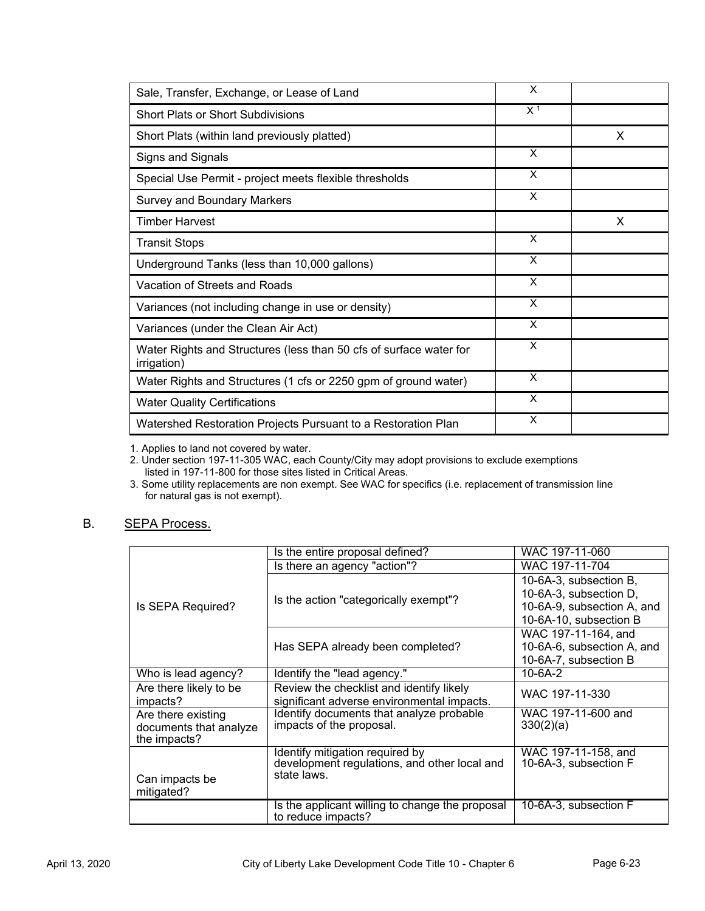| Sale, Transfer, Exchange, or Lease of Land                                        | X              |   |
|-----------------------------------------------------------------------------------|----------------|---|
| <b>Short Plats or Short Subdivisions</b>                                          | X <sup>1</sup> |   |
| Short Plats (within land previously platted)                                      |                | x |
| Signs and Signals                                                                 | X              |   |
| Special Use Permit - project meets flexible thresholds                            | X              |   |
| <b>Survey and Boundary Markers</b>                                                | X              |   |
| <b>Timber Harvest</b>                                                             |                | x |
| <b>Transit Stops</b>                                                              | X              |   |
| Underground Tanks (less than 10,000 gallons)                                      | X              |   |
| Vacation of Streets and Roads                                                     | X              |   |
| Variances (not including change in use or density)                                | X              |   |
| Variances (under the Clean Air Act)                                               | X              |   |
| Water Rights and Structures (less than 50 cfs of surface water for<br>irrigation) | X              |   |
| Water Rights and Structures (1 cfs or 2250 gpm of ground water)                   | X              |   |
| <b>Water Quality Certifications</b>                                               | X              |   |
| Watershed Restoration Projects Pursuant to a Restoration Plan                     | X              |   |

1. Applies to land not covered by water.

2. Under section 197-11-305 WAC, each County/City may adopt provisions to exclude exemptions listed in 197-11-800 for those sites listed in Critical Areas.

3. Some utility replacements are non exempt. See WAC for specifics (i.e. replacement of transmission line for natural gas is not exempt).

#### B. SEPA Process.

|                        | Is the entire proposal defined?                                                 | WAC 197-11-060                               |  |  |
|------------------------|---------------------------------------------------------------------------------|----------------------------------------------|--|--|
|                        | Is there an agency "action"?                                                    | WAC 197-11-704                               |  |  |
|                        |                                                                                 | 10-6A-3, subsection B,                       |  |  |
|                        | Is the action "categorically exempt"?                                           | 10-6A-3, subsection D,                       |  |  |
| Is SEPA Required?      |                                                                                 | 10-6A-9, subsection A, and                   |  |  |
|                        |                                                                                 | 10-6A-10, subsection B                       |  |  |
|                        |                                                                                 | WAC 197-11-164, and                          |  |  |
|                        | Has SEPA already been completed?                                                | 10-6A-6, subsection A, and                   |  |  |
|                        |                                                                                 | 10-6A-7, subsection B                        |  |  |
| Who is lead agency?    | Identify the "lead agency."                                                     | $10 - 6A - 2$                                |  |  |
| Are there likely to be | Review the checklist and identify likely                                        | WAC 197-11-330                               |  |  |
| impacts?               | significant adverse environmental impacts.                                      |                                              |  |  |
| Are there existing     | Identify documents that analyze probable                                        | WAC 197-11-600 and                           |  |  |
| documents that analyze | impacts of the proposal.                                                        | 330(2)(a)                                    |  |  |
| the impacts?           |                                                                                 |                                              |  |  |
|                        | Identify mitigation required by<br>development regulations, and other local and | WAC 197-11-158, and<br>10-6A-3, subsection F |  |  |
|                        | state laws.                                                                     |                                              |  |  |
| Can impacts be         |                                                                                 |                                              |  |  |
| mitigated?             |                                                                                 |                                              |  |  |
|                        | Is the applicant willing to change the proposal<br>to reduce impacts?           | 10-6A-3, subsection F                        |  |  |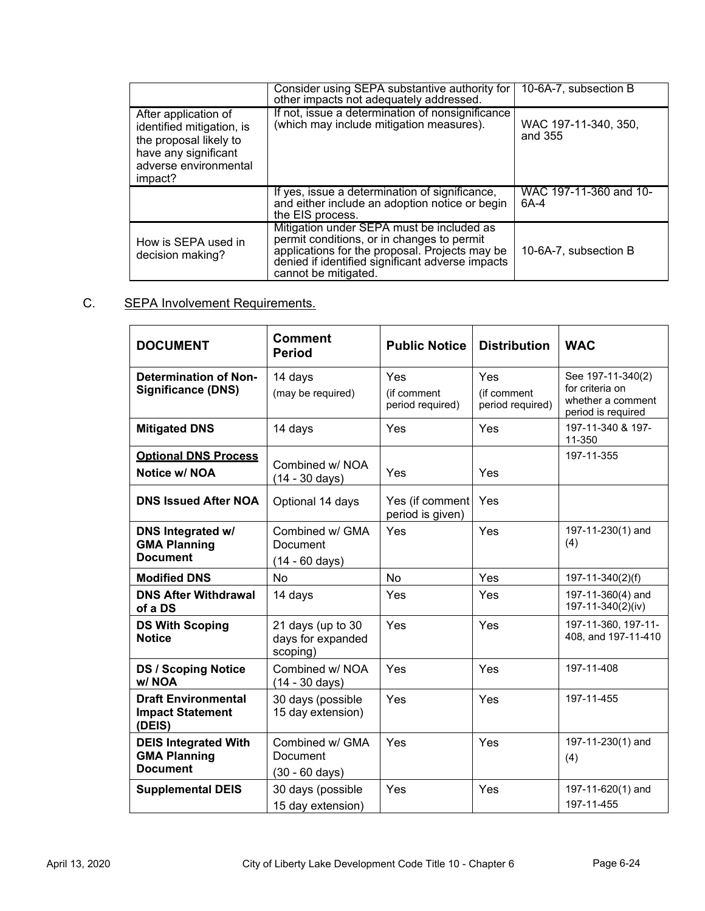|                                                                                                                                         | Consider using SEPA substantive authority for<br>other impacts not adequately addressed.                                                                                                                              | 10-6A-7, subsection B           |
|-----------------------------------------------------------------------------------------------------------------------------------------|-----------------------------------------------------------------------------------------------------------------------------------------------------------------------------------------------------------------------|---------------------------------|
| After application of<br>identified mitigation, is<br>the proposal likely to<br>have any significant<br>adverse environmental<br>impact? | If not, issue a determination of nonsignificance<br>(which may include mitigation measures).                                                                                                                          | WAC 197-11-340, 350,<br>and 355 |
|                                                                                                                                         | If yes, issue a determination of significance,<br>and either include an adoption notice or begin<br>the EIS process.                                                                                                  | WAC 197-11-360 and 10-<br>6A-4  |
| How is SEPA used in<br>decision making?                                                                                                 | Mitigation under SEPA must be included as<br>permit conditions, or in changes to permit<br>applications for the proposal. Projects may be<br>denied if identified significant adverse impacts<br>cannot be mitigated. | 10-6A-7, subsection B           |

# C. SEPA Involvement Requirements.

| <b>DOCUMENT</b>                                                       | <b>Comment</b><br><b>Period</b>                         | <b>Public Notice</b>                   | <b>Distribution</b>                    | <b>WAC</b>                                                                      |
|-----------------------------------------------------------------------|---------------------------------------------------------|----------------------------------------|----------------------------------------|---------------------------------------------------------------------------------|
| <b>Determination of Non-</b><br><b>Significance (DNS)</b>             | 14 days<br>(may be required)                            | Yes<br>(if comment<br>period required) | Yes<br>(if comment<br>period required) | See 197-11-340(2)<br>for criteria on<br>whether a comment<br>period is required |
| <b>Mitigated DNS</b>                                                  | 14 days                                                 | Yes                                    | Yes                                    | 197-11-340 & 197-<br>11-350                                                     |
| <b>Optional DNS Process</b><br>Notice w/ NOA                          | Combined w/ NOA<br>(14 - 30 days)                       | Yes                                    | Yes                                    | 197-11-355                                                                      |
| <b>DNS Issued After NOA</b>                                           | Optional 14 days                                        | Yes (if comment<br>period is given)    | Yes                                    |                                                                                 |
| <b>DNS Integrated w/</b><br><b>GMA Planning</b><br><b>Document</b>    | Combined w/ GMA<br>Document<br>(14 - 60 days)           | Yes                                    | Yes                                    | 197-11-230(1) and<br>(4)                                                        |
| <b>Modified DNS</b>                                                   | No                                                      | No                                     | Yes                                    | 197-11-340(2)(f)                                                                |
| <b>DNS After Withdrawal</b><br>of a DS                                | 14 days                                                 | Yes                                    | Yes                                    | 197-11-360(4) and<br>197-11-340(2)(iv)                                          |
| <b>DS With Scoping</b><br><b>Notice</b>                               | 21 days (up to 30<br>days for expanded<br>scoping)      | Yes                                    | Yes                                    | 197-11-360, 197-11-<br>408, and 197-11-410                                      |
| <b>DS / Scoping Notice</b><br>w/NOA                                   | Combined w/ NOA<br>(14 - 30 days)                       | Yes                                    | Yes                                    | 197-11-408                                                                      |
| <b>Draft Environmental</b><br><b>Impact Statement</b><br>(DEIS)       | 30 days (possible<br>15 day extension)                  | Yes                                    | Yes                                    | 197-11-455                                                                      |
| <b>DEIS Integrated With</b><br><b>GMA Planning</b><br><b>Document</b> | Combined w/ GMA<br>Document<br>$(30 - 60 \text{ days})$ | Yes                                    | Yes                                    | 197-11-230(1) and<br>(4)                                                        |
| <b>Supplemental DEIS</b>                                              | 30 days (possible<br>15 day extension)                  | Yes                                    | Yes                                    | 197-11-620(1) and<br>197-11-455                                                 |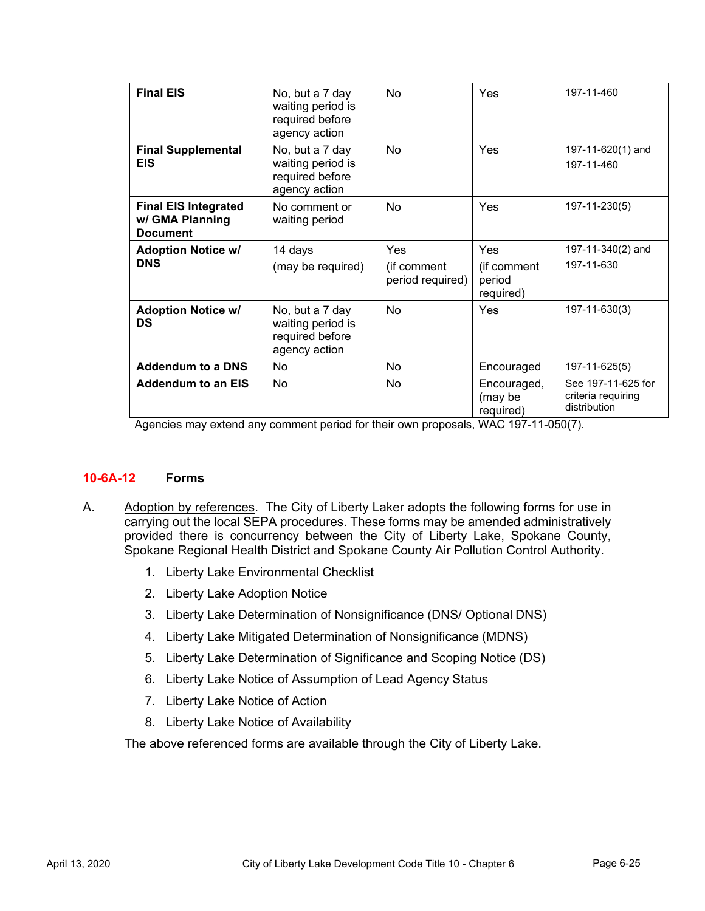| <b>Final EIS</b>                                                  | No, but a 7 day<br>waiting period is<br>required before<br>agency action | No                                     | Yes                                       | 197-11-460                                               |
|-------------------------------------------------------------------|--------------------------------------------------------------------------|----------------------------------------|-------------------------------------------|----------------------------------------------------------|
| <b>Final Supplemental</b><br><b>EIS</b>                           | No, but a 7 day<br>waiting period is<br>required before<br>agency action | No                                     | Yes                                       | 197-11-620(1) and<br>197-11-460                          |
| <b>Final EIS Integrated</b><br>w/ GMA Planning<br><b>Document</b> | No comment or<br>waiting period                                          | No                                     | Yes                                       | 197-11-230(5)                                            |
| <b>Adoption Notice w/</b><br><b>DNS</b>                           | 14 days<br>(may be required)                                             | Yes<br>(if comment<br>period required) | Yes<br>(if comment<br>period<br>required) | 197-11-340(2) and<br>197-11-630                          |
| <b>Adoption Notice w/</b><br><b>DS</b>                            | No, but a 7 day<br>waiting period is<br>required before<br>agency action | No                                     | Yes                                       | 197-11-630(3)                                            |
| <b>Addendum to a DNS</b>                                          | No                                                                       | No.                                    | Encouraged                                | 197-11-625(5)                                            |
| <b>Addendum to an EIS</b>                                         | No                                                                       | No                                     | Encouraged,<br>(may be<br>required)       | See 197-11-625 for<br>criteria requiring<br>distribution |

Agencies may extend any comment period for their own proposals, WAC 197-11-050(7).

# **10-6A-12 Forms**

- A. Adoption by references. The City of Liberty Laker adopts the following forms for use in carrying out the local SEPA procedures. These forms may be amended administratively provided there is concurrency between the City of Liberty Lake, Spokane County, Spokane Regional Health District and Spokane County Air Pollution Control Authority.
	- 1. Liberty Lake Environmental Checklist
	- 2. Liberty Lake Adoption Notice
	- 3. Liberty Lake Determination of Nonsignificance (DNS/ Optional DNS)
	- 4. Liberty Lake Mitigated Determination of Nonsignificance (MDNS)
	- 5. Liberty Lake Determination of Significance and Scoping Notice (DS)
	- 6. Liberty Lake Notice of Assumption of Lead Agency Status
	- 7. Liberty Lake Notice of Action
	- 8. Liberty Lake Notice of Availability

The above referenced forms are available through the City of Liberty Lake.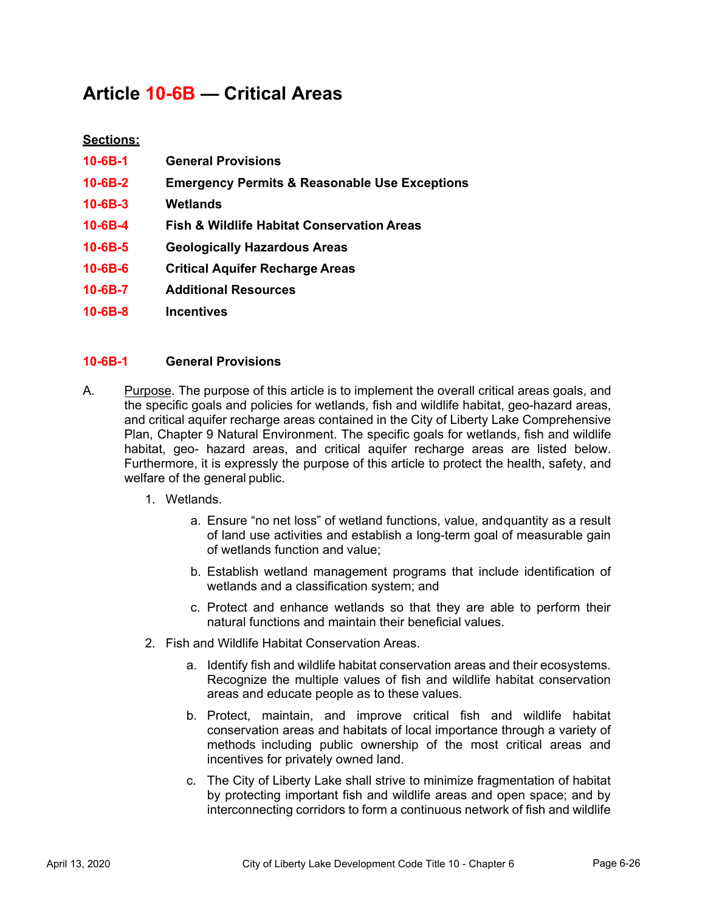# **Article 10-6B — Critical Areas**

# **Sections:**

| 10-6B-1       | <b>General Provisions</b>                                |
|---------------|----------------------------------------------------------|
| 10-6B-2       | <b>Emergency Permits &amp; Reasonable Use Exceptions</b> |
| $10 - 6B - 3$ | Wetlands                                                 |
| 10-6B-4       | <b>Fish &amp; Wildlife Habitat Conservation Areas</b>    |
| 10-6B-5       | <b>Geologically Hazardous Areas</b>                      |
| 10-6B-6       | <b>Critical Aquifer Recharge Areas</b>                   |
| 10-6B-7       | <b>Additional Resources</b>                              |

**10-6B-8 Incentives** 

# **10-6B-1 General Provisions**

- A. Purpose. The purpose of this article is to implement the overall critical areas goals, and the specific goals and policies for wetlands, fish and wildlife habitat, geo-hazard areas, and critical aquifer recharge areas contained in the City of Liberty Lake Comprehensive Plan, Chapter 9 Natural Environment. The specific goals for wetlands, fish and wildlife habitat, geo- hazard areas, and critical aquifer recharge areas are listed below. Furthermore, it is expressly the purpose of this article to protect the health, safety, and welfare of the general public.
	- 1. Wetlands.
		- a. Ensure "no net loss" of wetland functions, value, and quantity as a result of land use activities and establish a long-term goal of measurable gain of wetlands function and value;
		- b. Establish wetland management programs that include identification of wetlands and a classification system; and
		- c. Protect and enhance wetlands so that they are able to perform their natural functions and maintain their beneficial values.
	- 2. Fish and Wildlife Habitat Conservation Areas.
		- a. Identify fish and wildlife habitat conservation areas and their ecosystems. Recognize the multiple values of fish and wildlife habitat conservation areas and educate people as to these values.
		- b. Protect, maintain, and improve critical fish and wildlife habitat conservation areas and habitats of local importance through a variety of methods including public ownership of the most critical areas and incentives for privately owned land.
		- c. The City of Liberty Lake shall strive to minimize fragmentation of habitat by protecting important fish and wildlife areas and open space; and by interconnecting corridors to form a continuous network of fish and wildlife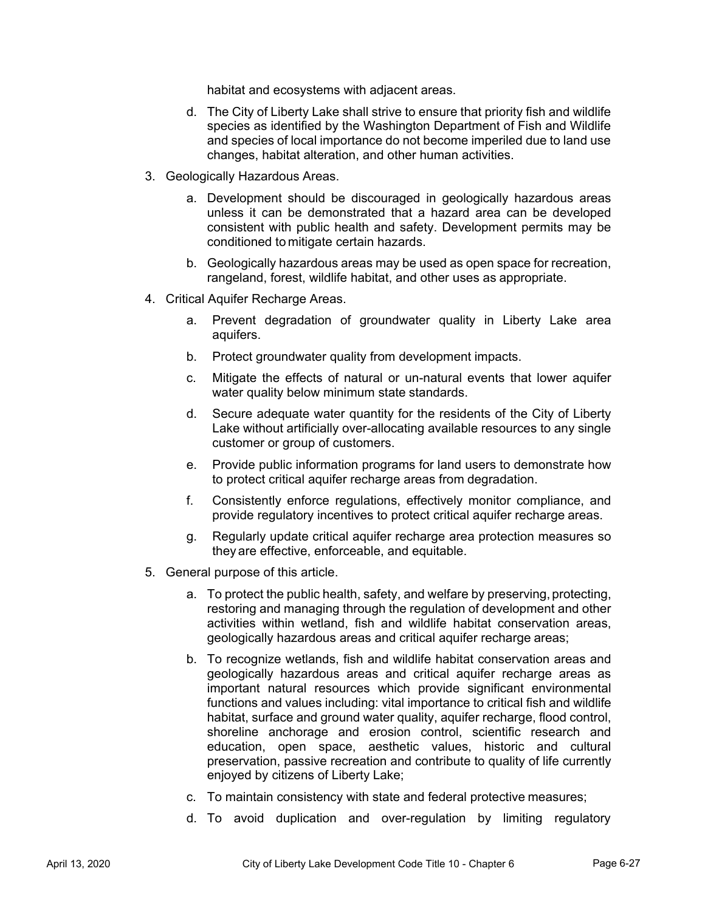habitat and ecosystems with adjacent areas.

- d. The City of Liberty Lake shall strive to ensure that priority fish and wildlife species as identified by the Washington Department of Fish and Wildlife and species of local importance do not become imperiled due to land use changes, habitat alteration, and other human activities.
- 3. Geologically Hazardous Areas.
	- a. Development should be discouraged in geologically hazardous areas unless it can be demonstrated that a hazard area can be developed consistent with public health and safety. Development permits may be conditioned to mitigate certain hazards.
	- b. Geologically hazardous areas may be used as open space for recreation, rangeland, forest, wildlife habitat, and other uses as appropriate.
- 4. Critical Aquifer Recharge Areas.
	- a. Prevent degradation of groundwater quality in Liberty Lake area aquifers.
	- b. Protect groundwater quality from development impacts.
	- c. Mitigate the effects of natural or un-natural events that lower aquifer water quality below minimum state standards.
	- d. Secure adequate water quantity for the residents of the City of Liberty Lake without artificially over-allocating available resources to any single customer or group of customers.
	- e. Provide public information programs for land users to demonstrate how to protect critical aquifer recharge areas from degradation.
	- f. Consistently enforce regulations, effectively monitor compliance, and provide regulatory incentives to protect critical aquifer recharge areas.
	- g. Regularly update critical aquifer recharge area protection measures so they are effective, enforceable, and equitable.
- 5. General purpose of this article.
	- a. To protect the public health, safety, and welfare by preserving, protecting, restoring and managing through the regulation of development and other activities within wetland, fish and wildlife habitat conservation areas, geologically hazardous areas and critical aquifer recharge areas;
	- b. To recognize wetlands, fish and wildlife habitat conservation areas and geologically hazardous areas and critical aquifer recharge areas as important natural resources which provide significant environmental functions and values including: vital importance to critical fish and wildlife habitat, surface and ground water quality, aquifer recharge, flood control, shoreline anchorage and erosion control, scientific research and education, open space, aesthetic values, historic and cultural preservation, passive recreation and contribute to quality of life currently enjoyed by citizens of Liberty Lake;
	- c. To maintain consistency with state and federal protective measures;
	- d. To avoid duplication and over-regulation by limiting regulatory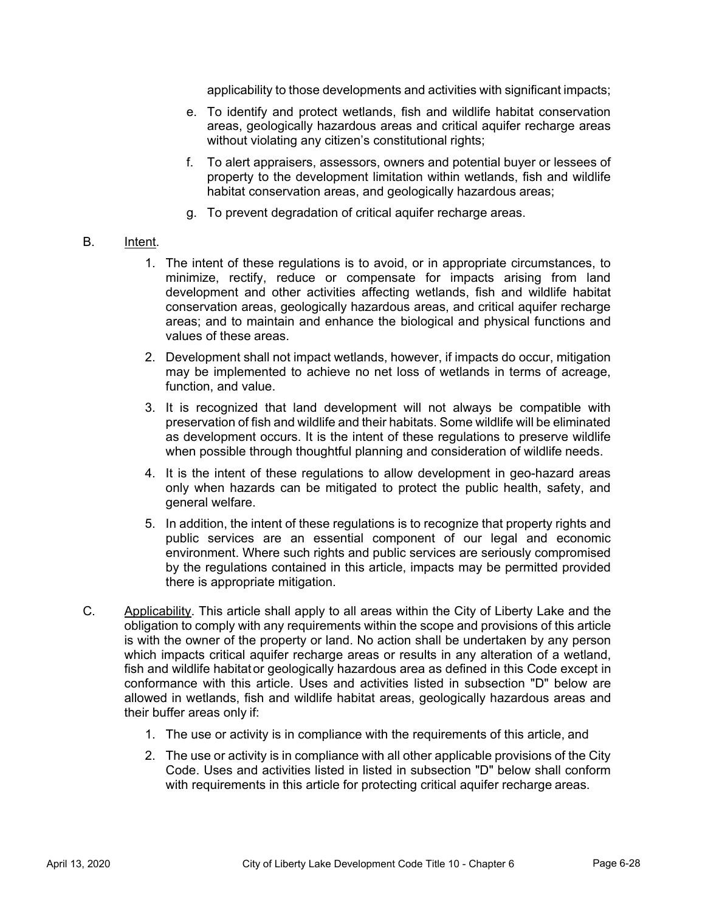applicability to those developments and activities with significant impacts;

- e. To identify and protect wetlands, fish and wildlife habitat conservation areas, geologically hazardous areas and critical aquifer recharge areas without violating any citizen's constitutional rights;
- f. To alert appraisers, assessors, owners and potential buyer or lessees of property to the development limitation within wetlands, fish and wildlife habitat conservation areas, and geologically hazardous areas;
- g. To prevent degradation of critical aquifer recharge areas.

# B. Intent.

- 1. The intent of these regulations is to avoid, or in appropriate circumstances, to minimize, rectify, reduce or compensate for impacts arising from land development and other activities affecting wetlands, fish and wildlife habitat conservation areas, geologically hazardous areas, and critical aquifer recharge areas; and to maintain and enhance the biological and physical functions and values of these areas.
- 2. Development shall not impact wetlands, however, if impacts do occur, mitigation may be implemented to achieve no net loss of wetlands in terms of acreage, function, and value.
- 3. It is recognized that land development will not always be compatible with preservation of fish and wildlife and their habitats. Some wildlife will be eliminated as development occurs. It is the intent of these regulations to preserve wildlife when possible through thoughtful planning and consideration of wildlife needs.
- 4. It is the intent of these regulations to allow development in geo-hazard areas only when hazards can be mitigated to protect the public health, safety, and general welfare.
- 5. In addition, the intent of these regulations is to recognize that property rights and public services are an essential component of our legal and economic environment. Where such rights and public services are seriously compromised by the regulations contained in this article, impacts may be permitted provided there is appropriate mitigation.
- C. Applicability. This article shall apply to all areas within the City of Liberty Lake and the obligation to comply with any requirements within the scope and provisions of this article is with the owner of the property or land. No action shall be undertaken by any person which impacts critical aquifer recharge areas or results in any alteration of a wetland, fish and wildlife habitat or geologically hazardous area as defined in this Code except in conformance with this article. Uses and activities listed in subsection "D" below are allowed in wetlands, fish and wildlife habitat areas, geologically hazardous areas and their buffer areas only if:
	- 1. The use or activity is in compliance with the requirements of this article, and
	- 2. The use or activity is in compliance with all other applicable provisions of the City Code. Uses and activities listed in listed in subsection "D" below shall conform with requirements in this article for protecting critical aquifer recharge areas.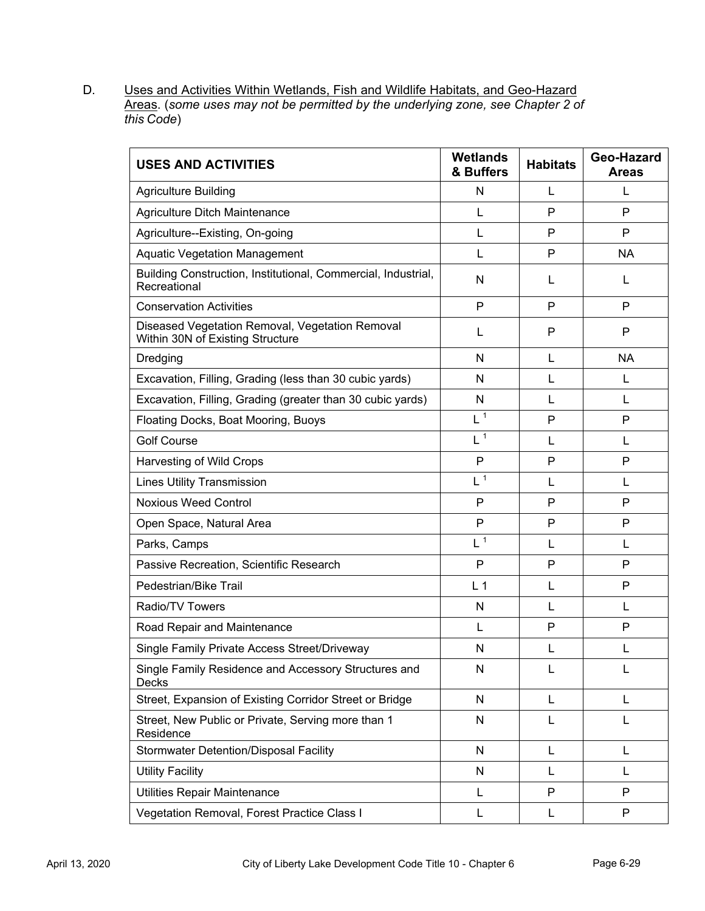D. Uses and Activities Within Wetlands, Fish and Wildlife Habitats, and Geo-Hazard Areas. (*some uses may not be permitted by the underlying zone, see Chapter 2 of this Code*)

| <b>USES AND ACTIVITIES</b>                                                          | <b>Wetlands</b><br>& Buffers | <b>Habitats</b> | Geo-Hazard<br><b>Areas</b> |
|-------------------------------------------------------------------------------------|------------------------------|-----------------|----------------------------|
| <b>Agriculture Building</b>                                                         | N                            | L               | L                          |
| Agriculture Ditch Maintenance                                                       | L                            | P               | P                          |
| Agriculture--Existing, On-going                                                     | L                            | P               | P                          |
| <b>Aquatic Vegetation Management</b>                                                | L                            | P               | <b>NA</b>                  |
| Building Construction, Institutional, Commercial, Industrial,<br>Recreational       | N                            | L               | L                          |
| <b>Conservation Activities</b>                                                      | $\mathsf{P}$                 | P               | P                          |
| Diseased Vegetation Removal, Vegetation Removal<br>Within 30N of Existing Structure | L                            | P               | P                          |
| Dredging                                                                            | N                            | L               | <b>NA</b>                  |
| Excavation, Filling, Grading (less than 30 cubic yards)                             | N                            | L               | L                          |
| Excavation, Filling, Grading (greater than 30 cubic yards)                          | N                            | L               | L                          |
| Floating Docks, Boat Mooring, Buoys                                                 | $L^{\overline{1}}$           | P               | P                          |
| <b>Golf Course</b>                                                                  | $L^{\frac{1}{1}}$            | L               | L                          |
| Harvesting of Wild Crops                                                            | P                            | P               | P                          |
| <b>Lines Utility Transmission</b>                                                   | L <sup>1</sup>               | L               | L                          |
| <b>Noxious Weed Control</b>                                                         | $\mathsf{P}$                 | P               | P                          |
| Open Space, Natural Area                                                            | P                            | P               | P                          |
| Parks, Camps                                                                        | L <sup>1</sup>               | L               | L                          |
| Passive Recreation, Scientific Research                                             | P                            | P               | P                          |
| Pedestrian/Bike Trail                                                               | L <sub>1</sub>               | L               | P                          |
| Radio/TV Towers                                                                     | N                            | L               | L                          |
| Road Repair and Maintenance                                                         | L                            | P               | P                          |
| Single Family Private Access Street/Driveway                                        | N                            | L               | L                          |
| Single Family Residence and Accessory Structures and<br>Decks                       | N                            | L               | L                          |
| Street, Expansion of Existing Corridor Street or Bridge                             | N                            | L               | L                          |
| Street, New Public or Private, Serving more than 1<br>Residence                     | N                            | L               | L                          |
| <b>Stormwater Detention/Disposal Facility</b>                                       | N                            | L               | L                          |
| <b>Utility Facility</b>                                                             | N                            | L               | L                          |
| Utilities Repair Maintenance                                                        | L                            | $\mathsf{P}$    | P                          |
| Vegetation Removal, Forest Practice Class I                                         | L                            | L               | P                          |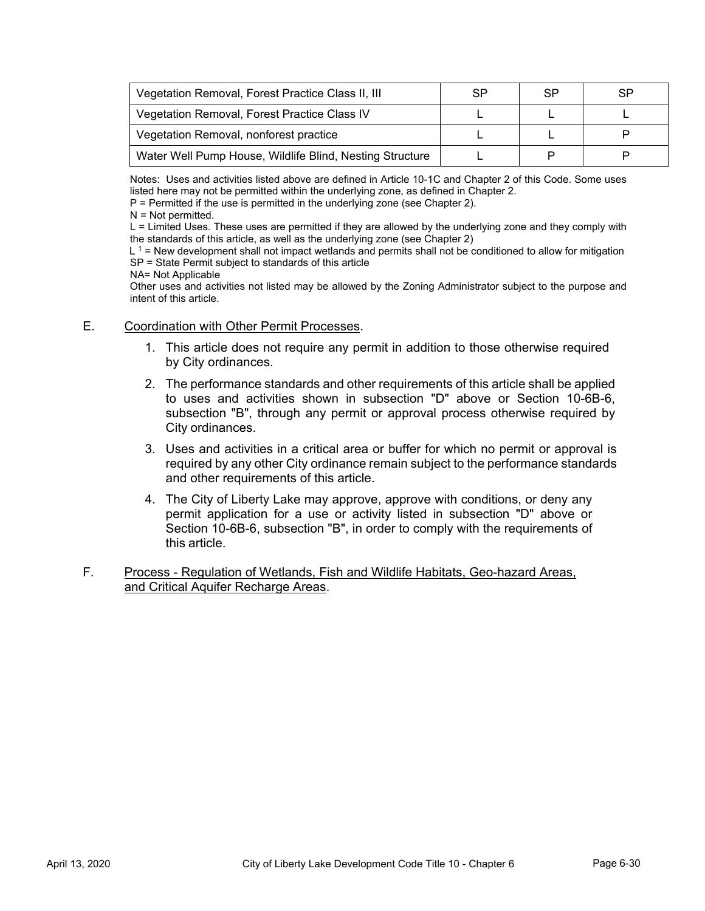| Vegetation Removal, Forest Practice Class II, III        | SP | <b>SP</b> | SP |
|----------------------------------------------------------|----|-----------|----|
| Vegetation Removal, Forest Practice Class IV             |    |           |    |
| Vegetation Removal, nonforest practice                   |    |           |    |
| Water Well Pump House, Wildlife Blind, Nesting Structure |    |           |    |

Notes: Uses and activities listed above are defined in Article 10-1C and Chapter 2 of this Code. Some uses listed here may not be permitted within the underlying zone, as defined in Chapter 2.

P = Permitted if the use is permitted in the underlying zone (see Chapter 2).

 $N = Not$  permitted.

L = Limited Uses. These uses are permitted if they are allowed by the underlying zone and they comply with the standards of this article, as well as the underlying zone (see Chapter 2)

 $L<sup>1</sup>$  = New development shall not impact wetlands and permits shall not be conditioned to allow for mitigation SP = State Permit subject to standards of this article

NA= Not Applicable

Other uses and activities not listed may be allowed by the Zoning Administrator subject to the purpose and intent of this article.

#### E. Coordination with Other Permit Processes.

- 1. This article does not require any permit in addition to those otherwise required by City ordinances.
- 2. The performance standards and other requirements of this article shall be applied to uses and activities shown in subsection "D" above or Section 10-6B-6, subsection "B", through any permit or approval process otherwise required by City ordinances.
- 3. Uses and activities in a critical area or buffer for which no permit or approval is required by any other City ordinance remain subject to the performance standards and other requirements of this article.
- 4. The City of Liberty Lake may approve, approve with conditions, or deny any permit application for a use or activity listed in subsection "D" above or Section 10-6B-6, subsection "B", in order to comply with the requirements of this article.
- F. Process Regulation of Wetlands, Fish and Wildlife Habitats, Geo-hazard Areas, and Critical Aquifer Recharge Areas.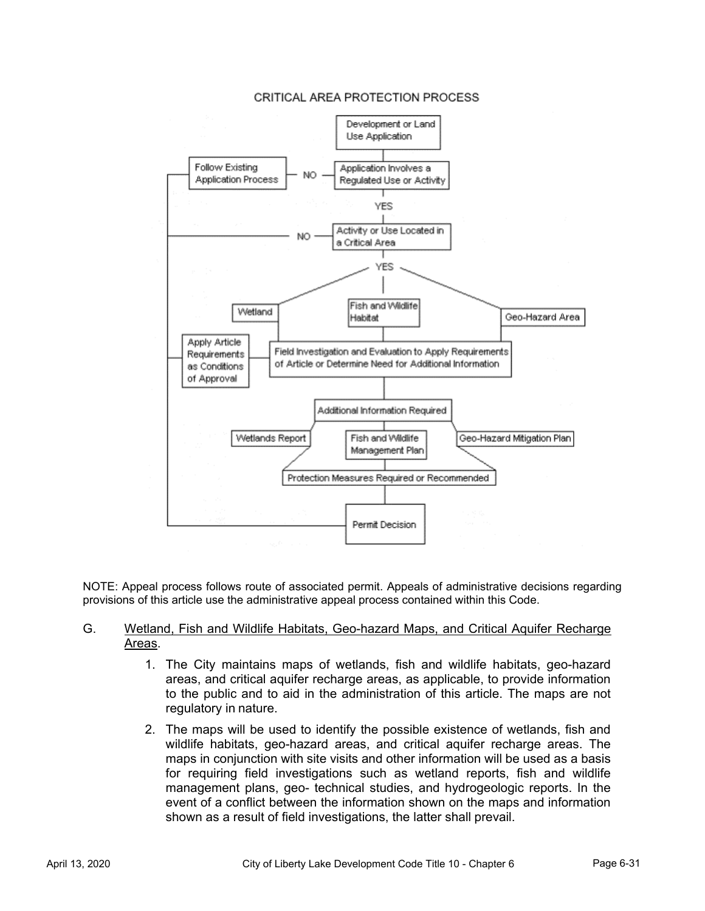#### CRITICAL AREA PROTECTION PROCESS



NOTE: Appeal process follows route of associated permit. Appeals of administrative decisions regarding provisions of this article use the administrative appeal process contained within this Code.

#### G. Wetland, Fish and Wildlife Habitats, Geo-hazard Maps, and Critical Aquifer Recharge Areas.

- 1. The City maintains maps of wetlands, fish and wildlife habitats, geo-hazard areas, and critical aquifer recharge areas, as applicable, to provide information to the public and to aid in the administration of this article. The maps are not regulatory in nature.
- 2. The maps will be used to identify the possible existence of wetlands, fish and wildlife habitats, geo-hazard areas, and critical aquifer recharge areas. The maps in conjunction with site visits and other information will be used as a basis for requiring field investigations such as wetland reports, fish and wildlife management plans, geo- technical studies, and hydrogeologic reports. In the event of a conflict between the information shown on the maps and information shown as a result of field investigations, the latter shall prevail.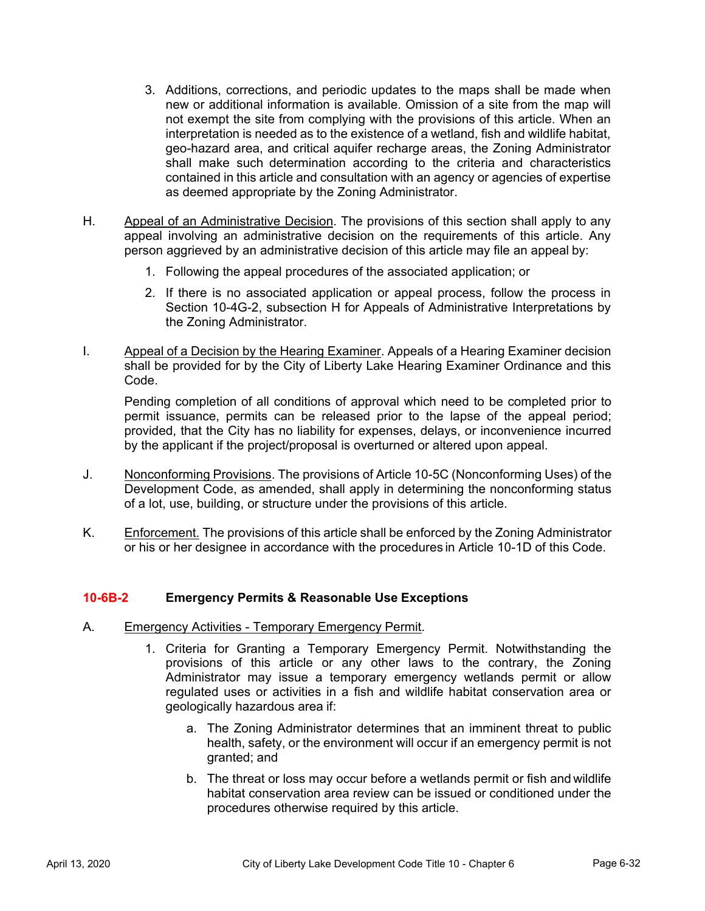- 3. Additions, corrections, and periodic updates to the maps shall be made when new or additional information is available. Omission of a site from the map will not exempt the site from complying with the provisions of this article. When an interpretation is needed as to the existence of a wetland, fish and wildlife habitat, geo-hazard area, and critical aquifer recharge areas, the Zoning Administrator shall make such determination according to the criteria and characteristics contained in this article and consultation with an agency or agencies of expertise as deemed appropriate by the Zoning Administrator.
- H. Appeal of an Administrative Decision. The provisions of this section shall apply to any appeal involving an administrative decision on the requirements of this article. Any person aggrieved by an administrative decision of this article may file an appeal by:
	- 1. Following the appeal procedures of the associated application; or
	- 2. If there is no associated application or appeal process, follow the process in Section 10-4G-2, subsection H for Appeals of Administrative Interpretations by the Zoning Administrator.
- I. Appeal of a Decision by the Hearing Examiner. Appeals of a Hearing Examiner decision shall be provided for by the City of Liberty Lake Hearing Examiner Ordinance and this Code.

Pending completion of all conditions of approval which need to be completed prior to permit issuance, permits can be released prior to the lapse of the appeal period; provided, that the City has no liability for expenses, delays, or inconvenience incurred by the applicant if the project/proposal is overturned or altered upon appeal.

- J. Nonconforming Provisions. The provisions of Article 10-5C (Nonconforming Uses) of the Development Code, as amended, shall apply in determining the nonconforming status of a lot, use, building, or structure under the provisions of this article.
- K. Enforcement. The provisions of this article shall be enforced by the Zoning Administrator or his or her designee in accordance with the procedures in Article 10-1D of this Code.

# **10-6B-2 Emergency Permits & Reasonable Use Exceptions**

- A. Emergency Activities Temporary Emergency Permit.
	- 1. Criteria for Granting a Temporary Emergency Permit. Notwithstanding the provisions of this article or any other laws to the contrary, the Zoning Administrator may issue a temporary emergency wetlands permit or allow regulated uses or activities in a fish and wildlife habitat conservation area or geologically hazardous area if:
		- a. The Zoning Administrator determines that an imminent threat to public health, safety, or the environment will occur if an emergency permit is not granted; and
		- b. The threat or loss may occur before a wetlands permit or fish and wildlife habitat conservation area review can be issued or conditioned under the procedures otherwise required by this article.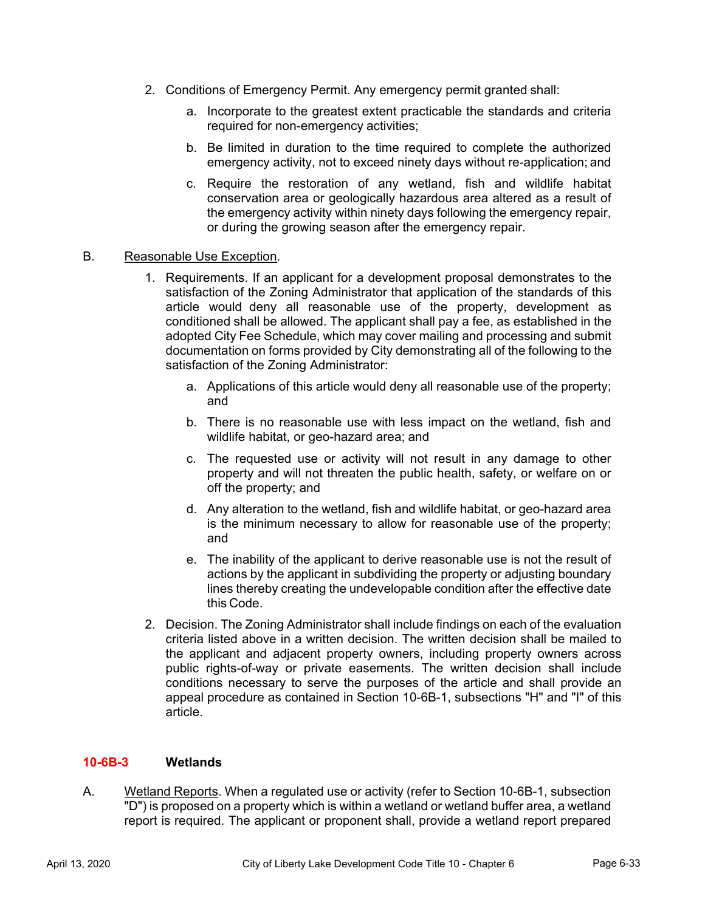- 2. Conditions of Emergency Permit. Any emergency permit granted shall:
	- a. Incorporate to the greatest extent practicable the standards and criteria required for non-emergency activities;
	- b. Be limited in duration to the time required to complete the authorized emergency activity, not to exceed ninety days without re-application; and
	- c. Require the restoration of any wetland, fish and wildlife habitat conservation area or geologically hazardous area altered as a result of the emergency activity within ninety days following the emergency repair, or during the growing season after the emergency repair.

#### B. Reasonable Use Exception.

- 1. Requirements. If an applicant for a development proposal demonstrates to the satisfaction of the Zoning Administrator that application of the standards of this article would deny all reasonable use of the property, development as conditioned shall be allowed. The applicant shall pay a fee, as established in the adopted City Fee Schedule, which may cover mailing and processing and submit documentation on forms provided by City demonstrating all of the following to the satisfaction of the Zoning Administrator:
	- a. Applications of this article would deny all reasonable use of the property; and
	- b. There is no reasonable use with less impact on the wetland, fish and wildlife habitat, or geo-hazard area; and
	- c. The requested use or activity will not result in any damage to other property and will not threaten the public health, safety, or welfare on or off the property; and
	- d. Any alteration to the wetland, fish and wildlife habitat, or geo-hazard area is the minimum necessary to allow for reasonable use of the property; and
	- e. The inability of the applicant to derive reasonable use is not the result of actions by the applicant in subdividing the property or adjusting boundary lines thereby creating the undevelopable condition after the effective date this Code.
- 2. Decision. The Zoning Administrator shall include findings on each of the evaluation criteria listed above in a written decision. The written decision shall be mailed to the applicant and adjacent property owners, including property owners across public rights-of-way or private easements. The written decision shall include conditions necessary to serve the purposes of the article and shall provide an appeal procedure as contained in Section 10-6B-1, subsections "H" and "I" of this article.

# **10-6B-3 Wetlands**

A. Wetland Reports. When a regulated use or activity (refer to Section 10-6B-1, subsection "D") is proposed on a property which is within a wetland or wetland buffer area, a wetland report is required. The applicant or proponent shall, provide a wetland report prepared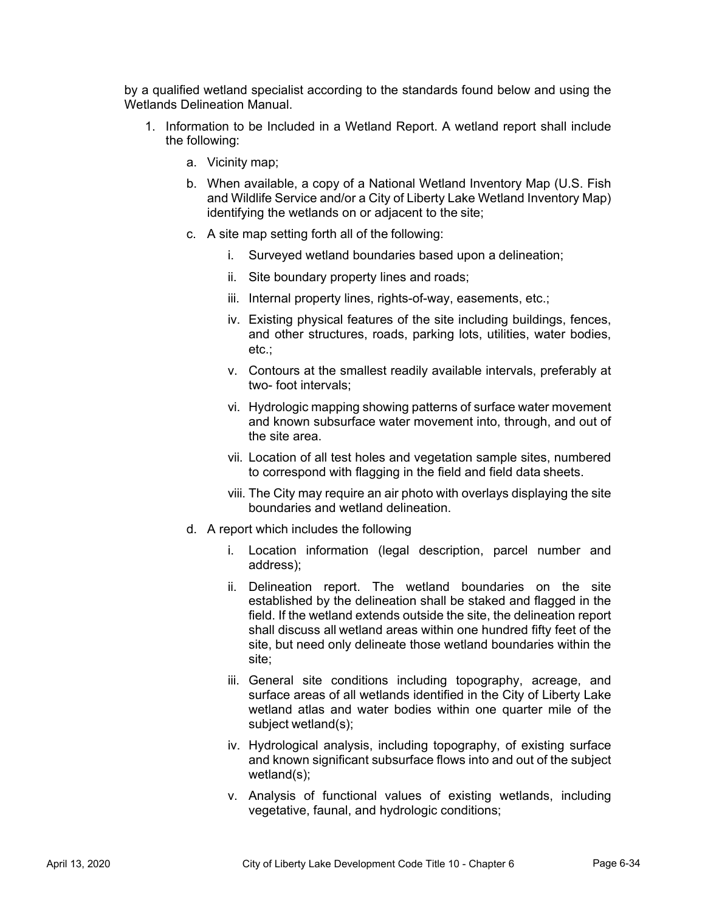by a qualified wetland specialist according to the standards found below and using the Wetlands Delineation Manual.

- 1. Information to be Included in a Wetland Report. A wetland report shall include the following:
	- a. Vicinity map;
	- b. When available, a copy of a National Wetland Inventory Map (U.S. Fish and Wildlife Service and/or a City of Liberty Lake Wetland Inventory Map) identifying the wetlands on or adjacent to the site;
	- c. A site map setting forth all of the following:
		- i. Surveyed wetland boundaries based upon a delineation;
		- ii. Site boundary property lines and roads;
		- iii. Internal property lines, rights-of-way, easements, etc.;
		- iv. Existing physical features of the site including buildings, fences, and other structures, roads, parking lots, utilities, water bodies, etc.;
		- v. Contours at the smallest readily available intervals, preferably at two- foot intervals;
		- vi. Hydrologic mapping showing patterns of surface water movement and known subsurface water movement into, through, and out of the site area.
		- vii. Location of all test holes and vegetation sample sites, numbered to correspond with flagging in the field and field data sheets.
		- viii. The City may require an air photo with overlays displaying the site boundaries and wetland delineation.
	- d. A report which includes the following
		- i. Location information (legal description, parcel number and address);
		- ii. Delineation report. The wetland boundaries on the site established by the delineation shall be staked and flagged in the field. If the wetland extends outside the site, the delineation report shall discuss all wetland areas within one hundred fifty feet of the site, but need only delineate those wetland boundaries within the site;
		- iii. General site conditions including topography, acreage, and surface areas of all wetlands identified in the City of Liberty Lake wetland atlas and water bodies within one quarter mile of the subject wetland(s);
		- iv. Hydrological analysis, including topography, of existing surface and known significant subsurface flows into and out of the subject wetland(s);
		- v. Analysis of functional values of existing wetlands, including vegetative, faunal, and hydrologic conditions;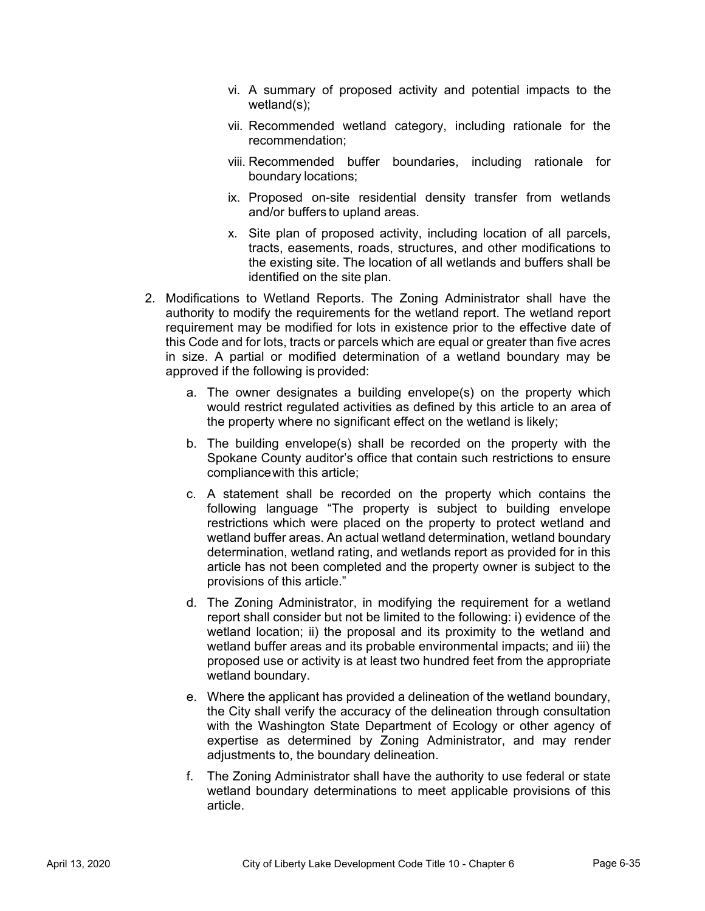- vi. A summary of proposed activity and potential impacts to the wetland(s);
- vii. Recommended wetland category, including rationale for the recommendation;
- viii. Recommended buffer boundaries, including rationale for boundary locations;
- ix. Proposed on-site residential density transfer from wetlands and/or buffers to upland areas.
- x. Site plan of proposed activity, including location of all parcels, tracts, easements, roads, structures, and other modifications to the existing site. The location of all wetlands and buffers shall be identified on the site plan.
- 2. Modifications to Wetland Reports. The Zoning Administrator shall have the authority to modify the requirements for the wetland report. The wetland report requirement may be modified for lots in existence prior to the effective date of this Code and for lots, tracts or parcels which are equal or greater than five acres in size. A partial or modified determination of a wetland boundary may be approved if the following is provided:
	- a. The owner designates a building envelope(s) on the property which would restrict regulated activities as defined by this article to an area of the property where no significant effect on the wetland is likely;
	- b. The building envelope(s) shall be recorded on the property with the Spokane County auditor's office that contain such restrictions to ensure compliance with this article;
	- c. A statement shall be recorded on the property which contains the following language "The property is subject to building envelope restrictions which were placed on the property to protect wetland and wetland buffer areas. An actual wetland determination, wetland boundary determination, wetland rating, and wetlands report as provided for in this article has not been completed and the property owner is subject to the provisions of this article."
	- d. The Zoning Administrator, in modifying the requirement for a wetland report shall consider but not be limited to the following: i) evidence of the wetland location; ii) the proposal and its proximity to the wetland and wetland buffer areas and its probable environmental impacts; and iii) the proposed use or activity is at least two hundred feet from the appropriate wetland boundary.
	- e. Where the applicant has provided a delineation of the wetland boundary, the City shall verify the accuracy of the delineation through consultation with the Washington State Department of Ecology or other agency of expertise as determined by Zoning Administrator, and may render adjustments to, the boundary delineation.
	- f. The Zoning Administrator shall have the authority to use federal or state wetland boundary determinations to meet applicable provisions of this article.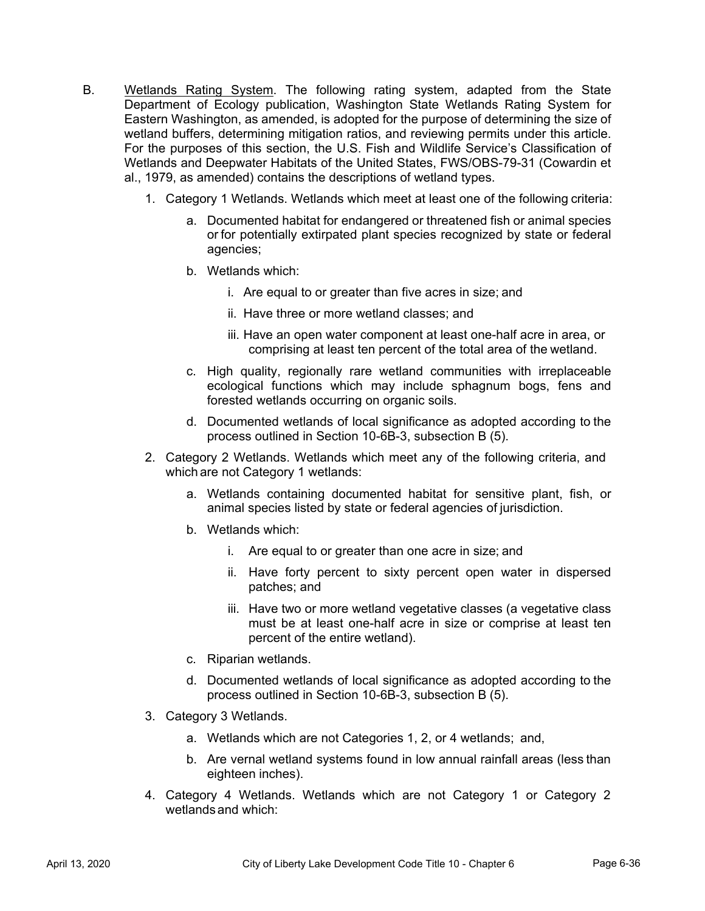- B. Wetlands Rating System. The following rating system, adapted from the State Department of Ecology publication, Washington State Wetlands Rating System for Eastern Washington, as amended, is adopted for the purpose of determining the size of wetland buffers, determining mitigation ratios, and reviewing permits under this article. For the purposes of this section, the U.S. Fish and Wildlife Service's Classification of Wetlands and Deepwater Habitats of the United States, FWS/OBS-79-31 (Cowardin et al., 1979, as amended) contains the descriptions of wetland types.
	- 1. Category 1 Wetlands. Wetlands which meet at least one of the following criteria:
		- a. Documented habitat for endangered or threatened fish or animal species or for potentially extirpated plant species recognized by state or federal agencies;
		- b. Wetlands which:
			- i. Are equal to or greater than five acres in size; and
			- ii. Have three or more wetland classes; and
			- iii. Have an open water component at least one-half acre in area, or comprising at least ten percent of the total area of the wetland.
		- c. High quality, regionally rare wetland communities with irreplaceable ecological functions which may include sphagnum bogs, fens and forested wetlands occurring on organic soils.
		- d. Documented wetlands of local significance as adopted according to the process outlined in Section 10-6B-3, subsection B (5).
	- 2. Category 2 Wetlands. Wetlands which meet any of the following criteria, and which are not Category 1 wetlands:
		- a. Wetlands containing documented habitat for sensitive plant, fish, or animal species listed by state or federal agencies of jurisdiction.
		- b. Wetlands which:
			- i. Are equal to or greater than one acre in size; and
			- ii. Have forty percent to sixty percent open water in dispersed patches; and
			- iii. Have two or more wetland vegetative classes (a vegetative class must be at least one-half acre in size or comprise at least ten percent of the entire wetland).
		- c. Riparian wetlands.
		- d. Documented wetlands of local significance as adopted according to the process outlined in Section 10-6B-3, subsection B (5).
	- 3. Category 3 Wetlands.
		- a. Wetlands which are not Categories 1, 2, or 4 wetlands; and,
		- b. Are vernal wetland systems found in low annual rainfall areas (less than eighteen inches).
	- 4. Category 4 Wetlands. Wetlands which are not Category 1 or Category 2 wetlands and which: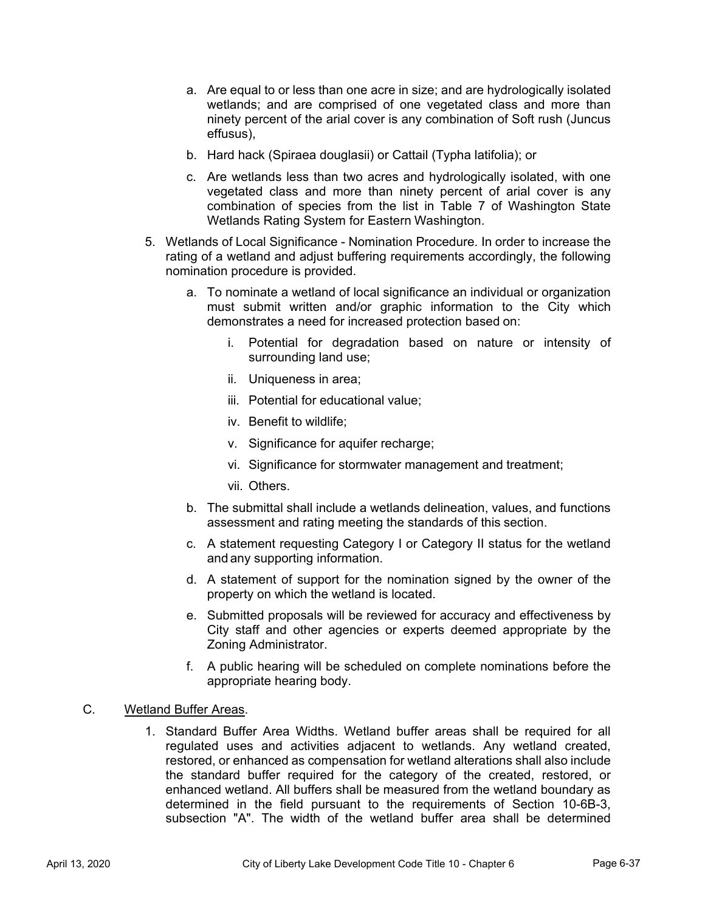- a. Are equal to or less than one acre in size; and are hydrologically isolated wetlands; and are comprised of one vegetated class and more than ninety percent of the arial cover is any combination of Soft rush (Juncus effusus),
- b. Hard hack (Spiraea douglasii) or Cattail (Typha latifolia); or
- c. Are wetlands less than two acres and hydrologically isolated, with one vegetated class and more than ninety percent of arial cover is any combination of species from the list in Table 7 of Washington State Wetlands Rating System for Eastern Washington.
- 5. Wetlands of Local Significance Nomination Procedure. In order to increase the rating of a wetland and adjust buffering requirements accordingly, the following nomination procedure is provided.
	- a. To nominate a wetland of local significance an individual or organization must submit written and/or graphic information to the City which demonstrates a need for increased protection based on:
		- i. Potential for degradation based on nature or intensity of surrounding land use;
		- ii. Uniqueness in area;
		- iii. Potential for educational value;
		- iv. Benefit to wildlife;
		- v. Significance for aquifer recharge;
		- vi. Significance for stormwater management and treatment;
		- vii. Others.
	- b. The submittal shall include a wetlands delineation, values, and functions assessment and rating meeting the standards of this section.
	- c. A statement requesting Category I or Category II status for the wetland and any supporting information.
	- d. A statement of support for the nomination signed by the owner of the property on which the wetland is located.
	- e. Submitted proposals will be reviewed for accuracy and effectiveness by City staff and other agencies or experts deemed appropriate by the Zoning Administrator.
	- f. A public hearing will be scheduled on complete nominations before the appropriate hearing body.

## C. Wetland Buffer Areas.

1. Standard Buffer Area Widths. Wetland buffer areas shall be required for all regulated uses and activities adjacent to wetlands. Any wetland created, restored, or enhanced as compensation for wetland alterations shall also include the standard buffer required for the category of the created, restored, or enhanced wetland. All buffers shall be measured from the wetland boundary as determined in the field pursuant to the requirements of Section 10-6B-3, subsection "A". The width of the wetland buffer area shall be determined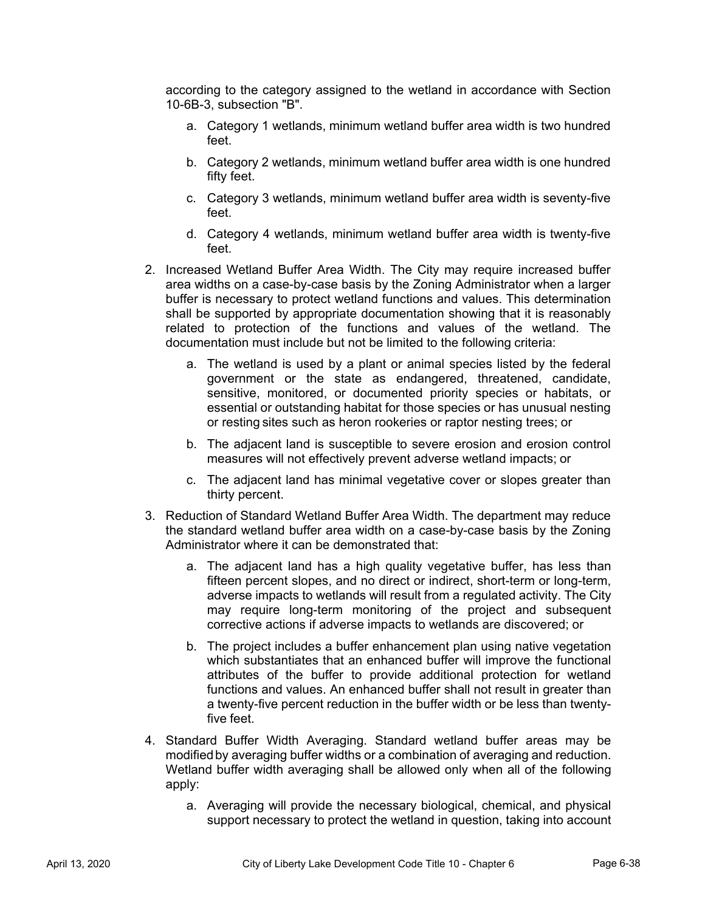according to the category assigned to the wetland in accordance with Section 10-6B-3, subsection "B".

- a. Category 1 wetlands, minimum wetland buffer area width is two hundred feet.
- b. Category 2 wetlands, minimum wetland buffer area width is one hundred fifty feet.
- c. Category 3 wetlands, minimum wetland buffer area width is seventy-five feet.
- d. Category 4 wetlands, minimum wetland buffer area width is twenty-five feet.
- 2. Increased Wetland Buffer Area Width. The City may require increased buffer area widths on a case-by-case basis by the Zoning Administrator when a larger buffer is necessary to protect wetland functions and values. This determination shall be supported by appropriate documentation showing that it is reasonably related to protection of the functions and values of the wetland. The documentation must include but not be limited to the following criteria:
	- a. The wetland is used by a plant or animal species listed by the federal government or the state as endangered, threatened, candidate, sensitive, monitored, or documented priority species or habitats, or essential or outstanding habitat for those species or has unusual nesting or resting sites such as heron rookeries or raptor nesting trees; or
	- b. The adjacent land is susceptible to severe erosion and erosion control measures will not effectively prevent adverse wetland impacts; or
	- c. The adjacent land has minimal vegetative cover or slopes greater than thirty percent.
- 3. Reduction of Standard Wetland Buffer Area Width. The department may reduce the standard wetland buffer area width on a case-by-case basis by the Zoning Administrator where it can be demonstrated that:
	- a. The adjacent land has a high quality vegetative buffer, has less than fifteen percent slopes, and no direct or indirect, short-term or long-term, adverse impacts to wetlands will result from a regulated activity. The City may require long-term monitoring of the project and subsequent corrective actions if adverse impacts to wetlands are discovered; or
	- b. The project includes a buffer enhancement plan using native vegetation which substantiates that an enhanced buffer will improve the functional attributes of the buffer to provide additional protection for wetland functions and values. An enhanced buffer shall not result in greater than a twenty-five percent reduction in the buffer width or be less than twentyfive feet.
- 4. Standard Buffer Width Averaging. Standard wetland buffer areas may be modified by averaging buffer widths or a combination of averaging and reduction. Wetland buffer width averaging shall be allowed only when all of the following apply:
	- a. Averaging will provide the necessary biological, chemical, and physical support necessary to protect the wetland in question, taking into account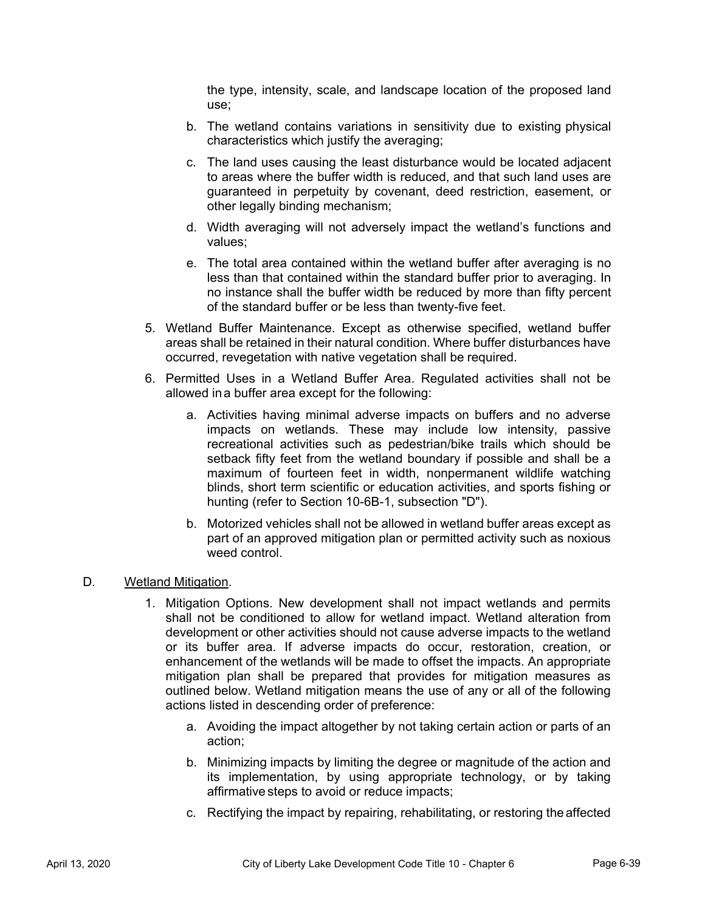the type, intensity, scale, and landscape location of the proposed land use;

- b. The wetland contains variations in sensitivity due to existing physical characteristics which justify the averaging;
- c. The land uses causing the least disturbance would be located adjacent to areas where the buffer width is reduced, and that such land uses are guaranteed in perpetuity by covenant, deed restriction, easement, or other legally binding mechanism;
- d. Width averaging will not adversely impact the wetland's functions and values;
- e. The total area contained within the wetland buffer after averaging is no less than that contained within the standard buffer prior to averaging. In no instance shall the buffer width be reduced by more than fifty percent of the standard buffer or be less than twenty-five feet.
- 5. Wetland Buffer Maintenance. Except as otherwise specified, wetland buffer areas shall be retained in their natural condition. Where buffer disturbances have occurred, revegetation with native vegetation shall be required.
- 6. Permitted Uses in a Wetland Buffer Area. Regulated activities shall not be allowed in a buffer area except for the following:
	- a. Activities having minimal adverse impacts on buffers and no adverse impacts on wetlands. These may include low intensity, passive recreational activities such as pedestrian/bike trails which should be setback fifty feet from the wetland boundary if possible and shall be a maximum of fourteen feet in width, nonpermanent wildlife watching blinds, short term scientific or education activities, and sports fishing or hunting (refer to Section 10-6B-1, subsection "D").
	- b. Motorized vehicles shall not be allowed in wetland buffer areas except as part of an approved mitigation plan or permitted activity such as noxious weed control.

# D. Wetland Mitigation.

- 1. Mitigation Options. New development shall not impact wetlands and permits shall not be conditioned to allow for wetland impact. Wetland alteration from development or other activities should not cause adverse impacts to the wetland or its buffer area. If adverse impacts do occur, restoration, creation, or enhancement of the wetlands will be made to offset the impacts. An appropriate mitigation plan shall be prepared that provides for mitigation measures as outlined below. Wetland mitigation means the use of any or all of the following actions listed in descending order of preference:
	- a. Avoiding the impact altogether by not taking certain action or parts of an action;
	- b. Minimizing impacts by limiting the degree or magnitude of the action and its implementation, by using appropriate technology, or by taking affirmative steps to avoid or reduce impacts;
	- c. Rectifying the impact by repairing, rehabilitating, or restoring the affected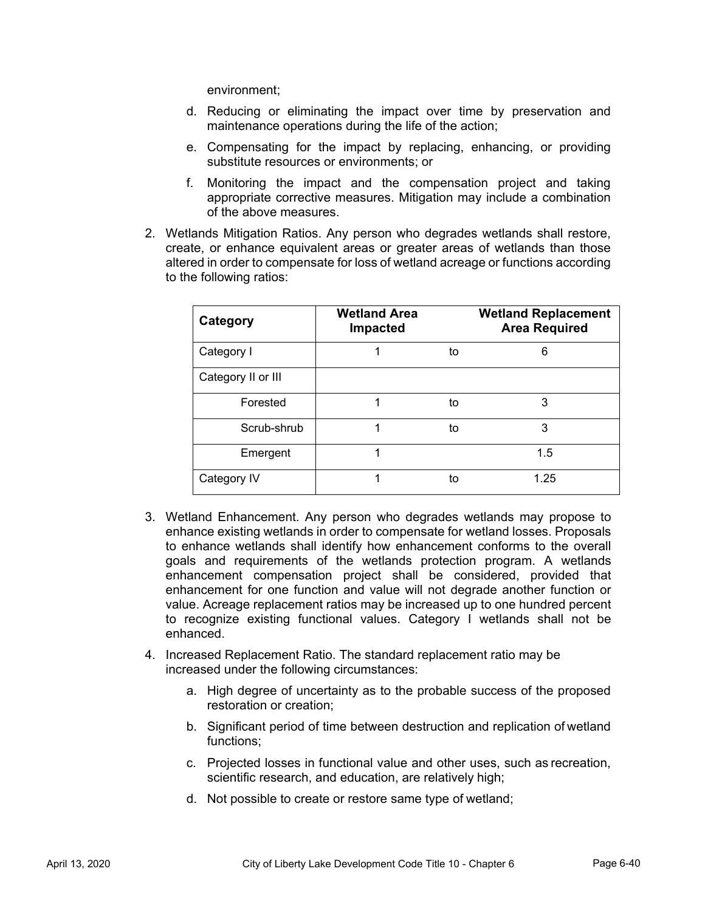environment;

- d. Reducing or eliminating the impact over time by preservation and maintenance operations during the life of the action;
- e. Compensating for the impact by replacing, enhancing, or providing substitute resources or environments; or
- f. Monitoring the impact and the compensation project and taking appropriate corrective measures. Mitigation may include a combination of the above measures.
- 2. Wetlands Mitigation Ratios. Any person who degrades wetlands shall restore, create, or enhance equivalent areas or greater areas of wetlands than those altered in order to compensate for loss of wetland acreage or functions according to the following ratios:

| Category           | <b>Wetland Area</b><br>Impacted |    | <b>Wetland Replacement</b><br><b>Area Required</b> |
|--------------------|---------------------------------|----|----------------------------------------------------|
| Category I         |                                 | to | 6                                                  |
| Category II or III |                                 |    |                                                    |
| Forested           |                                 | to | 3                                                  |
| Scrub-shrub        |                                 | to | 3                                                  |
| Emergent           |                                 |    | 1.5                                                |
| Category IV        |                                 | to | 1.25                                               |

- 3. Wetland Enhancement. Any person who degrades wetlands may propose to enhance existing wetlands in order to compensate for wetland losses. Proposals to enhance wetlands shall identify how enhancement conforms to the overall goals and requirements of the wetlands protection program. A wetlands enhancement compensation project shall be considered, provided that enhancement for one function and value will not degrade another function or value. Acreage replacement ratios may be increased up to one hundred percent to recognize existing functional values. Category I wetlands shall not be enhanced.
- 4. Increased Replacement Ratio. The standard replacement ratio may be increased under the following circumstances:
	- a. High degree of uncertainty as to the probable success of the proposed restoration or creation;
	- b. Significant period of time between destruction and replication of wetland functions;
	- c. Projected losses in functional value and other uses, such as recreation, scientific research, and education, are relatively high;
	- d. Not possible to create or restore same type of wetland;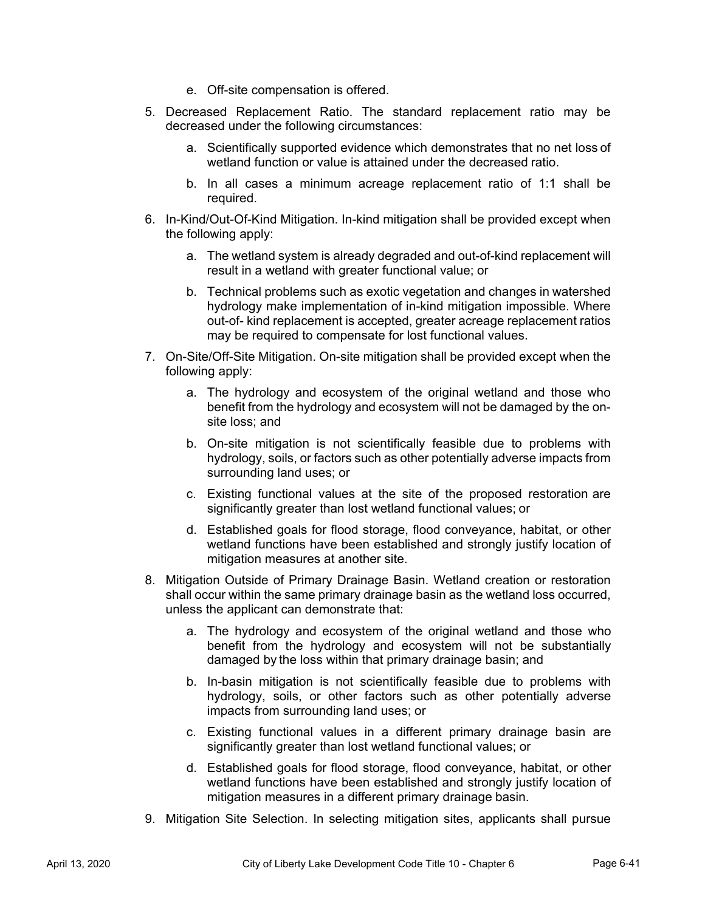- e. Off-site compensation is offered.
- 5. Decreased Replacement Ratio. The standard replacement ratio may be decreased under the following circumstances:
	- a. Scientifically supported evidence which demonstrates that no net loss of wetland function or value is attained under the decreased ratio.
	- b. In all cases a minimum acreage replacement ratio of 1:1 shall be required.
- 6. In-Kind/Out-Of-Kind Mitigation. In-kind mitigation shall be provided except when the following apply:
	- a. The wetland system is already degraded and out-of-kind replacement will result in a wetland with greater functional value; or
	- b. Technical problems such as exotic vegetation and changes in watershed hydrology make implementation of in-kind mitigation impossible. Where out-of- kind replacement is accepted, greater acreage replacement ratios may be required to compensate for lost functional values.
- 7. On-Site/Off-Site Mitigation. On-site mitigation shall be provided except when the following apply:
	- a. The hydrology and ecosystem of the original wetland and those who benefit from the hydrology and ecosystem will not be damaged by the onsite loss; and
	- b. On-site mitigation is not scientifically feasible due to problems with hydrology, soils, or factors such as other potentially adverse impacts from surrounding land uses; or
	- c. Existing functional values at the site of the proposed restoration are significantly greater than lost wetland functional values; or
	- d. Established goals for flood storage, flood conveyance, habitat, or other wetland functions have been established and strongly justify location of mitigation measures at another site.
- 8. Mitigation Outside of Primary Drainage Basin. Wetland creation or restoration shall occur within the same primary drainage basin as the wetland loss occurred, unless the applicant can demonstrate that:
	- a. The hydrology and ecosystem of the original wetland and those who benefit from the hydrology and ecosystem will not be substantially damaged by the loss within that primary drainage basin; and
	- b. In-basin mitigation is not scientifically feasible due to problems with hydrology, soils, or other factors such as other potentially adverse impacts from surrounding land uses; or
	- c. Existing functional values in a different primary drainage basin are significantly greater than lost wetland functional values; or
	- d. Established goals for flood storage, flood conveyance, habitat, or other wetland functions have been established and strongly justify location of mitigation measures in a different primary drainage basin.
- 9. Mitigation Site Selection. In selecting mitigation sites, applicants shall pursue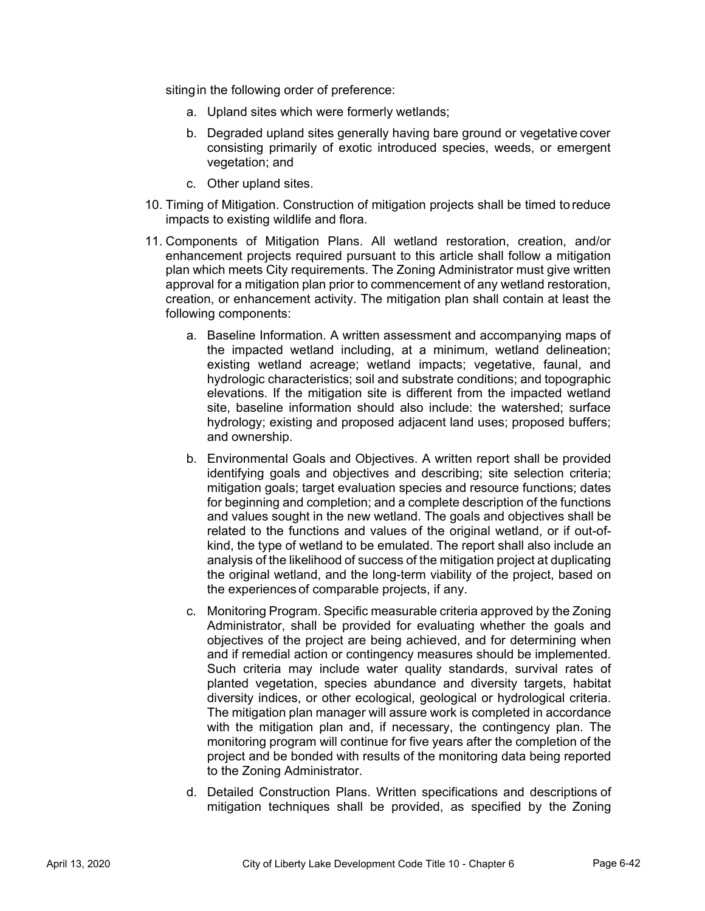siting in the following order of preference:

- a. Upland sites which were formerly wetlands;
- b. Degraded upland sites generally having bare ground or vegetative cover consisting primarily of exotic introduced species, weeds, or emergent vegetation; and
- c. Other upland sites.
- 10. Timing of Mitigation. Construction of mitigation projects shall be timed to reduce impacts to existing wildlife and flora.
- 11. Components of Mitigation Plans. All wetland restoration, creation, and/or enhancement projects required pursuant to this article shall follow a mitigation plan which meets City requirements. The Zoning Administrator must give written approval for a mitigation plan prior to commencement of any wetland restoration, creation, or enhancement activity. The mitigation plan shall contain at least the following components:
	- a. Baseline Information. A written assessment and accompanying maps of the impacted wetland including, at a minimum, wetland delineation; existing wetland acreage; wetland impacts; vegetative, faunal, and hydrologic characteristics; soil and substrate conditions; and topographic elevations. If the mitigation site is different from the impacted wetland site, baseline information should also include: the watershed; surface hydrology; existing and proposed adjacent land uses; proposed buffers; and ownership.
	- b. Environmental Goals and Objectives. A written report shall be provided identifying goals and objectives and describing; site selection criteria; mitigation goals; target evaluation species and resource functions; dates for beginning and completion; and a complete description of the functions and values sought in the new wetland. The goals and objectives shall be related to the functions and values of the original wetland, or if out-ofkind, the type of wetland to be emulated. The report shall also include an analysis of the likelihood of success of the mitigation project at duplicating the original wetland, and the long-term viability of the project, based on the experiences of comparable projects, if any.
	- c. Monitoring Program. Specific measurable criteria approved by the Zoning Administrator, shall be provided for evaluating whether the goals and objectives of the project are being achieved, and for determining when and if remedial action or contingency measures should be implemented. Such criteria may include water quality standards, survival rates of planted vegetation, species abundance and diversity targets, habitat diversity indices, or other ecological, geological or hydrological criteria. The mitigation plan manager will assure work is completed in accordance with the mitigation plan and, if necessary, the contingency plan. The monitoring program will continue for five years after the completion of the project and be bonded with results of the monitoring data being reported to the Zoning Administrator.
	- d. Detailed Construction Plans. Written specifications and descriptions of mitigation techniques shall be provided, as specified by the Zoning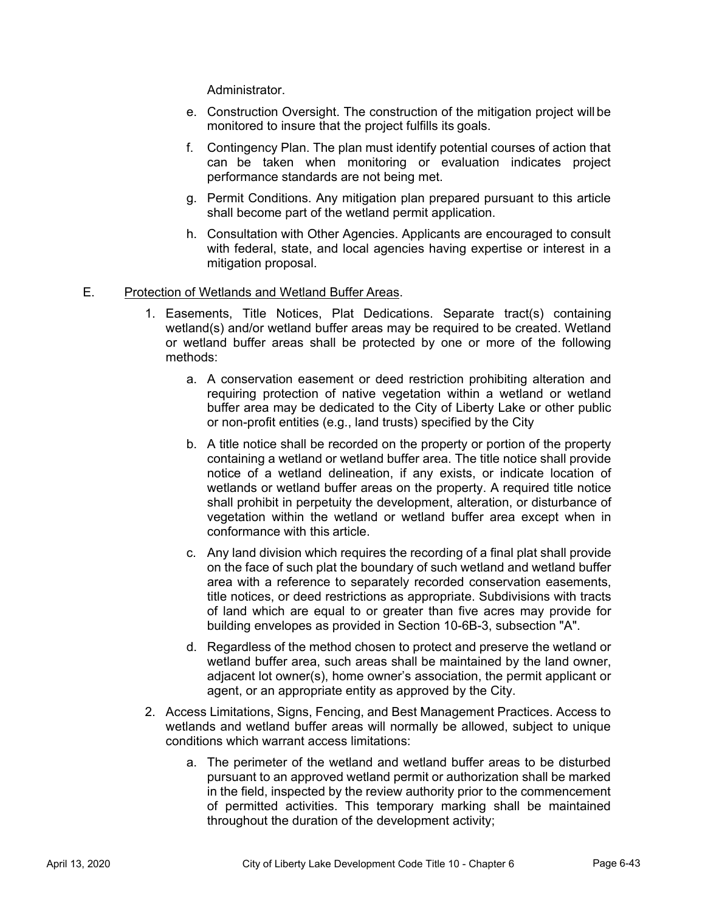Administrator.

- e. Construction Oversight. The construction of the mitigation project will be monitored to insure that the project fulfills its goals.
- f. Contingency Plan. The plan must identify potential courses of action that can be taken when monitoring or evaluation indicates project performance standards are not being met.
- g. Permit Conditions. Any mitigation plan prepared pursuant to this article shall become part of the wetland permit application.
- h. Consultation with Other Agencies. Applicants are encouraged to consult with federal, state, and local agencies having expertise or interest in a mitigation proposal.

#### E. Protection of Wetlands and Wetland Buffer Areas.

- 1. Easements, Title Notices, Plat Dedications. Separate tract(s) containing wetland(s) and/or wetland buffer areas may be required to be created. Wetland or wetland buffer areas shall be protected by one or more of the following methods:
	- a. A conservation easement or deed restriction prohibiting alteration and requiring protection of native vegetation within a wetland or wetland buffer area may be dedicated to the City of Liberty Lake or other public or non-profit entities (e.g., land trusts) specified by the City
	- b. A title notice shall be recorded on the property or portion of the property containing a wetland or wetland buffer area. The title notice shall provide notice of a wetland delineation, if any exists, or indicate location of wetlands or wetland buffer areas on the property. A required title notice shall prohibit in perpetuity the development, alteration, or disturbance of vegetation within the wetland or wetland buffer area except when in conformance with this article.
	- c. Any land division which requires the recording of a final plat shall provide on the face of such plat the boundary of such wetland and wetland buffer area with a reference to separately recorded conservation easements, title notices, or deed restrictions as appropriate. Subdivisions with tracts of land which are equal to or greater than five acres may provide for building envelopes as provided in Section 10-6B-3, subsection "A".
	- d. Regardless of the method chosen to protect and preserve the wetland or wetland buffer area, such areas shall be maintained by the land owner, adjacent lot owner(s), home owner's association, the permit applicant or agent, or an appropriate entity as approved by the City.
- 2. Access Limitations, Signs, Fencing, and Best Management Practices. Access to wetlands and wetland buffer areas will normally be allowed, subject to unique conditions which warrant access limitations:
	- a. The perimeter of the wetland and wetland buffer areas to be disturbed pursuant to an approved wetland permit or authorization shall be marked in the field, inspected by the review authority prior to the commencement of permitted activities. This temporary marking shall be maintained throughout the duration of the development activity;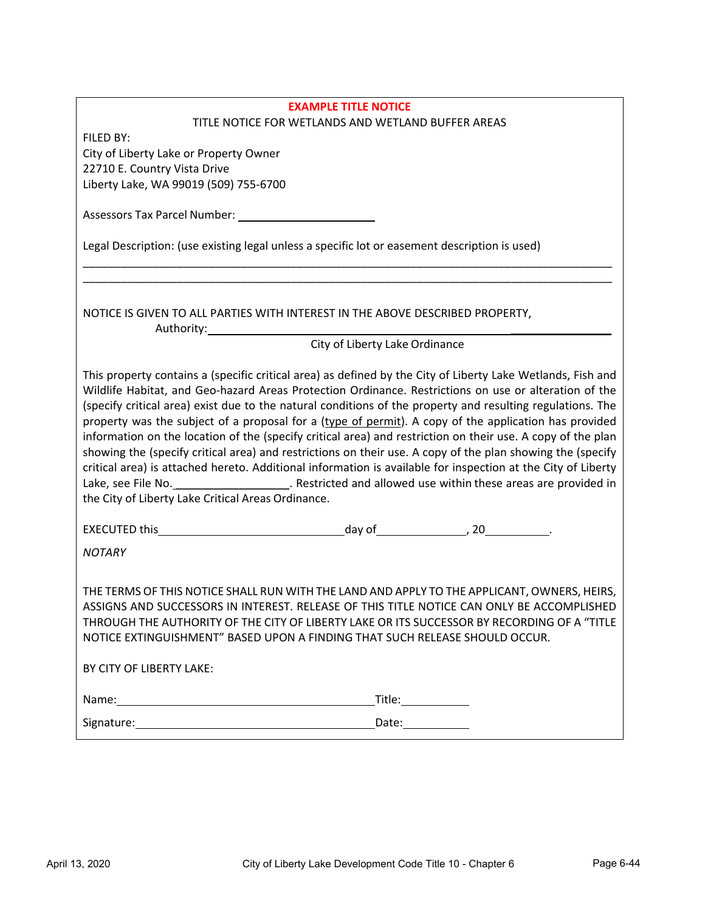| <b>EXAMPLE TITLE NOTICE</b>                                                                                                                                                                                                                                                                                                                                                                                                                                                                                                                                                                                                                                                                                                                                                                                                                                                                                                                                      |
|------------------------------------------------------------------------------------------------------------------------------------------------------------------------------------------------------------------------------------------------------------------------------------------------------------------------------------------------------------------------------------------------------------------------------------------------------------------------------------------------------------------------------------------------------------------------------------------------------------------------------------------------------------------------------------------------------------------------------------------------------------------------------------------------------------------------------------------------------------------------------------------------------------------------------------------------------------------|
| TITLE NOTICE FOR WETLANDS AND WETLAND BUFFER AREAS<br>FILED BY:                                                                                                                                                                                                                                                                                                                                                                                                                                                                                                                                                                                                                                                                                                                                                                                                                                                                                                  |
| City of Liberty Lake or Property Owner                                                                                                                                                                                                                                                                                                                                                                                                                                                                                                                                                                                                                                                                                                                                                                                                                                                                                                                           |
| 22710 E. Country Vista Drive                                                                                                                                                                                                                                                                                                                                                                                                                                                                                                                                                                                                                                                                                                                                                                                                                                                                                                                                     |
| Liberty Lake, WA 99019 (509) 755-6700                                                                                                                                                                                                                                                                                                                                                                                                                                                                                                                                                                                                                                                                                                                                                                                                                                                                                                                            |
|                                                                                                                                                                                                                                                                                                                                                                                                                                                                                                                                                                                                                                                                                                                                                                                                                                                                                                                                                                  |
|                                                                                                                                                                                                                                                                                                                                                                                                                                                                                                                                                                                                                                                                                                                                                                                                                                                                                                                                                                  |
| Legal Description: (use existing legal unless a specific lot or easement description is used)                                                                                                                                                                                                                                                                                                                                                                                                                                                                                                                                                                                                                                                                                                                                                                                                                                                                    |
|                                                                                                                                                                                                                                                                                                                                                                                                                                                                                                                                                                                                                                                                                                                                                                                                                                                                                                                                                                  |
| NOTICE IS GIVEN TO ALL PARTIES WITH INTEREST IN THE ABOVE DESCRIBED PROPERTY,<br>Authority:                                                                                                                                                                                                                                                                                                                                                                                                                                                                                                                                                                                                                                                                                                                                                                                                                                                                      |
| City of Liberty Lake Ordinance                                                                                                                                                                                                                                                                                                                                                                                                                                                                                                                                                                                                                                                                                                                                                                                                                                                                                                                                   |
| This property contains a (specific critical area) as defined by the City of Liberty Lake Wetlands, Fish and<br>Wildlife Habitat, and Geo-hazard Areas Protection Ordinance. Restrictions on use or alteration of the<br>(specify critical area) exist due to the natural conditions of the property and resulting regulations. The<br>property was the subject of a proposal for a (type of permit). A copy of the application has provided<br>information on the location of the (specify critical area) and restriction on their use. A copy of the plan<br>showing the (specify critical area) and restrictions on their use. A copy of the plan showing the (specify<br>critical area) is attached hereto. Additional information is available for inspection at the City of Liberty<br>Lake, see File No. 1990 Concentration Contract Concentration Chestical Association Chestical Advanced Chestine<br>the City of Liberty Lake Critical Areas Ordinance. |
|                                                                                                                                                                                                                                                                                                                                                                                                                                                                                                                                                                                                                                                                                                                                                                                                                                                                                                                                                                  |
| <b>NOTARY</b>                                                                                                                                                                                                                                                                                                                                                                                                                                                                                                                                                                                                                                                                                                                                                                                                                                                                                                                                                    |
| THE TERMS OF THIS NOTICE SHALL RUN WITH THE LAND AND APPLY TO THE APPLICANT, OWNERS, HEIRS,<br>ASSIGNS AND SUCCESSORS IN INTEREST. RELEASE OF THIS TITLE NOTICE CAN ONLY BE ACCOMPLISHED<br>THROUGH THE AUTHORITY OF THE CITY OF LIBERTY LAKE OR ITS SUCCESSOR BY RECORDING OF A "TITLE<br>NOTICE EXTINGUISHMENT" BASED UPON A FINDING THAT SUCH RELEASE SHOULD OCCUR.<br>BY CITY OF LIBERTY LAKE:                                                                                                                                                                                                                                                                                                                                                                                                                                                                                                                                                               |
|                                                                                                                                                                                                                                                                                                                                                                                                                                                                                                                                                                                                                                                                                                                                                                                                                                                                                                                                                                  |
|                                                                                                                                                                                                                                                                                                                                                                                                                                                                                                                                                                                                                                                                                                                                                                                                                                                                                                                                                                  |
| Date:_____________                                                                                                                                                                                                                                                                                                                                                                                                                                                                                                                                                                                                                                                                                                                                                                                                                                                                                                                                               |
|                                                                                                                                                                                                                                                                                                                                                                                                                                                                                                                                                                                                                                                                                                                                                                                                                                                                                                                                                                  |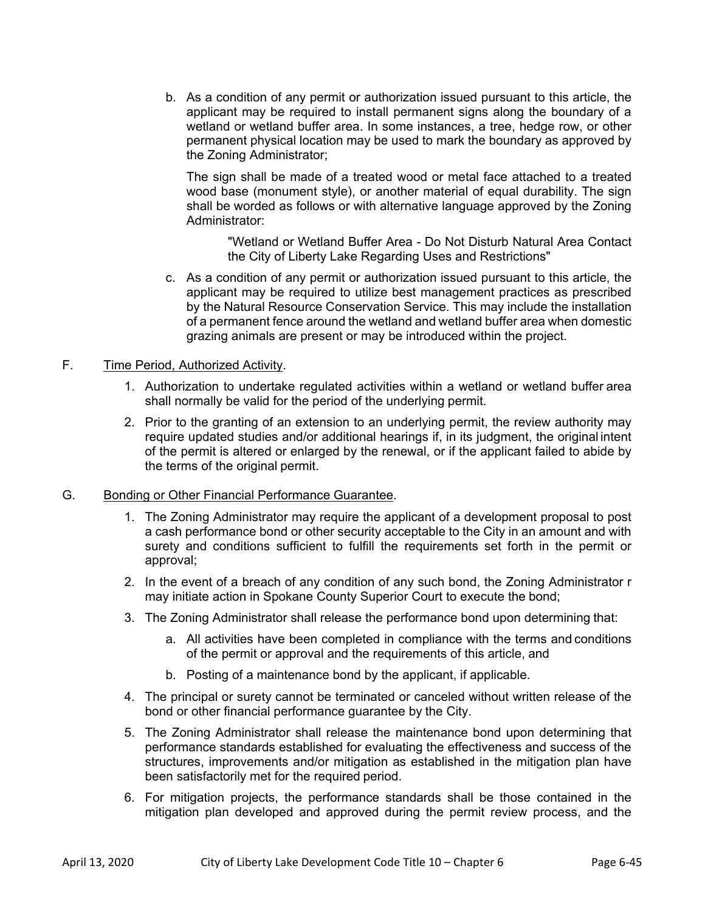b. As a condition of any permit or authorization issued pursuant to this article, the applicant may be required to install permanent signs along the boundary of a wetland or wetland buffer area. In some instances, a tree, hedge row, or other permanent physical location may be used to mark the boundary as approved by the Zoning Administrator;

The sign shall be made of a treated wood or metal face attached to a treated wood base (monument style), or another material of equal durability. The sign shall be worded as follows or with alternative language approved by the Zoning Administrator:

 "Wetland or Wetland Buffer Area - Do Not Disturb Natural Area Contact the City of Liberty Lake Regarding Uses and Restrictions"

c. As a condition of any permit or authorization issued pursuant to this article, the applicant may be required to utilize best management practices as prescribed by the Natural Resource Conservation Service. This may include the installation of a permanent fence around the wetland and wetland buffer area when domestic grazing animals are present or may be introduced within the project.

# F. Time Period, Authorized Activity.

- 1. Authorization to undertake regulated activities within a wetland or wetland buffer area shall normally be valid for the period of the underlying permit.
- 2. Prior to the granting of an extension to an underlying permit, the review authority may require updated studies and/or additional hearings if, in its judgment, the original intent of the permit is altered or enlarged by the renewal, or if the applicant failed to abide by the terms of the original permit.

### G. Bonding or Other Financial Performance Guarantee.

- 1. The Zoning Administrator may require the applicant of a development proposal to post a cash performance bond or other security acceptable to the City in an amount and with surety and conditions sufficient to fulfill the requirements set forth in the permit or approval;
- 2. In the event of a breach of any condition of any such bond, the Zoning Administrator r may initiate action in Spokane County Superior Court to execute the bond;
- 3. The Zoning Administrator shall release the performance bond upon determining that:
	- a. All activities have been completed in compliance with the terms and conditions of the permit or approval and the requirements of this article, and
	- b. Posting of a maintenance bond by the applicant, if applicable.
- 4. The principal or surety cannot be terminated or canceled without written release of the bond or other financial performance guarantee by the City.
- 5. The Zoning Administrator shall release the maintenance bond upon determining that performance standards established for evaluating the effectiveness and success of the structures, improvements and/or mitigation as established in the mitigation plan have been satisfactorily met for the required period.
- 6. For mitigation projects, the performance standards shall be those contained in the mitigation plan developed and approved during the permit review process, and the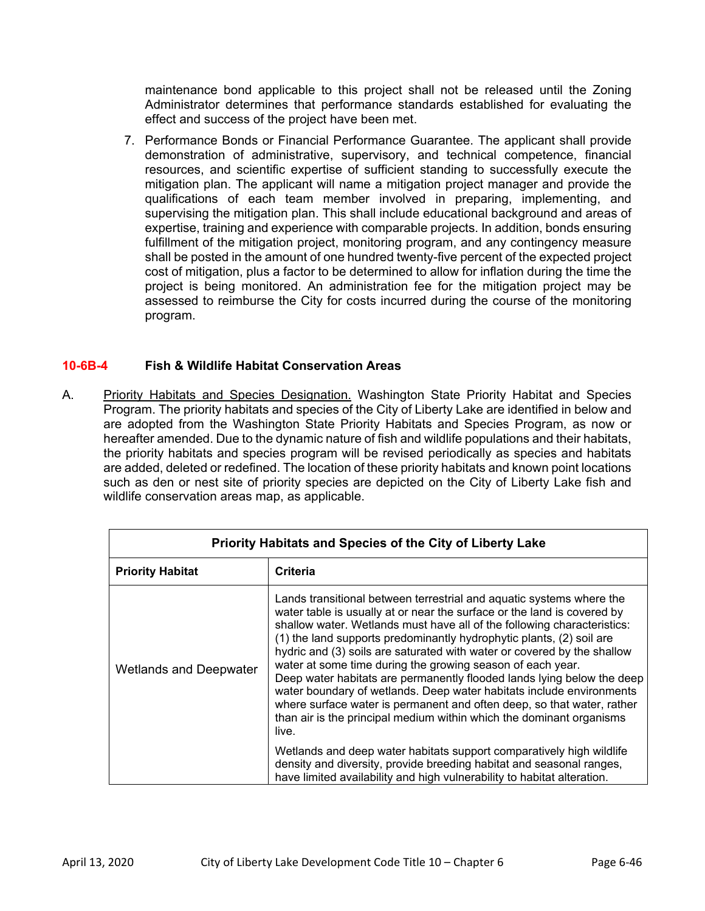maintenance bond applicable to this project shall not be released until the Zoning Administrator determines that performance standards established for evaluating the effect and success of the project have been met.

7. Performance Bonds or Financial Performance Guarantee. The applicant shall provide demonstration of administrative, supervisory, and technical competence, financial resources, and scientific expertise of sufficient standing to successfully execute the mitigation plan. The applicant will name a mitigation project manager and provide the qualifications of each team member involved in preparing, implementing, and supervising the mitigation plan. This shall include educational background and areas of expertise, training and experience with comparable projects. In addition, bonds ensuring fulfillment of the mitigation project, monitoring program, and any contingency measure shall be posted in the amount of one hundred twenty-five percent of the expected project cost of mitigation, plus a factor to be determined to allow for inflation during the time the project is being monitored. An administration fee for the mitigation project may be assessed to reimburse the City for costs incurred during the course of the monitoring program.

# **10-6B-4 Fish & Wildlife Habitat Conservation Areas**

A. Priority Habitats and Species Designation. Washington State Priority Habitat and Species Program. The priority habitats and species of the City of Liberty Lake are identified in below and are adopted from the Washington State Priority Habitats and Species Program, as now or hereafter amended. Due to the dynamic nature of fish and wildlife populations and their habitats, the priority habitats and species program will be revised periodically as species and habitats are added, deleted or redefined. The location of these priority habitats and known point locations such as den or nest site of priority species are depicted on the City of Liberty Lake fish and wildlife conservation areas map, as applicable.

| Priority Habitats and Species of the City of Liberty Lake |                                                                                                                                                                                                                                                                                                                                                                                                                                                                                                                                                                                                                                                                                                                                                          |  |  |  |
|-----------------------------------------------------------|----------------------------------------------------------------------------------------------------------------------------------------------------------------------------------------------------------------------------------------------------------------------------------------------------------------------------------------------------------------------------------------------------------------------------------------------------------------------------------------------------------------------------------------------------------------------------------------------------------------------------------------------------------------------------------------------------------------------------------------------------------|--|--|--|
| <b>Priority Habitat</b>                                   | <b>Criteria</b>                                                                                                                                                                                                                                                                                                                                                                                                                                                                                                                                                                                                                                                                                                                                          |  |  |  |
| <b>Wetlands and Deepwater</b>                             | Lands transitional between terrestrial and aquatic systems where the<br>water table is usually at or near the surface or the land is covered by<br>shallow water. Wetlands must have all of the following characteristics:<br>(1) the land supports predominantly hydrophytic plants, (2) soil are<br>hydric and (3) soils are saturated with water or covered by the shallow<br>water at some time during the growing season of each year.<br>Deep water habitats are permanently flooded lands lying below the deep<br>water boundary of wetlands. Deep water habitats include environments<br>where surface water is permanent and often deep, so that water, rather<br>than air is the principal medium within which the dominant organisms<br>live. |  |  |  |
|                                                           | Wetlands and deep water habitats support comparatively high wildlife<br>density and diversity, provide breeding habitat and seasonal ranges,<br>have limited availability and high vulnerability to habitat alteration.                                                                                                                                                                                                                                                                                                                                                                                                                                                                                                                                  |  |  |  |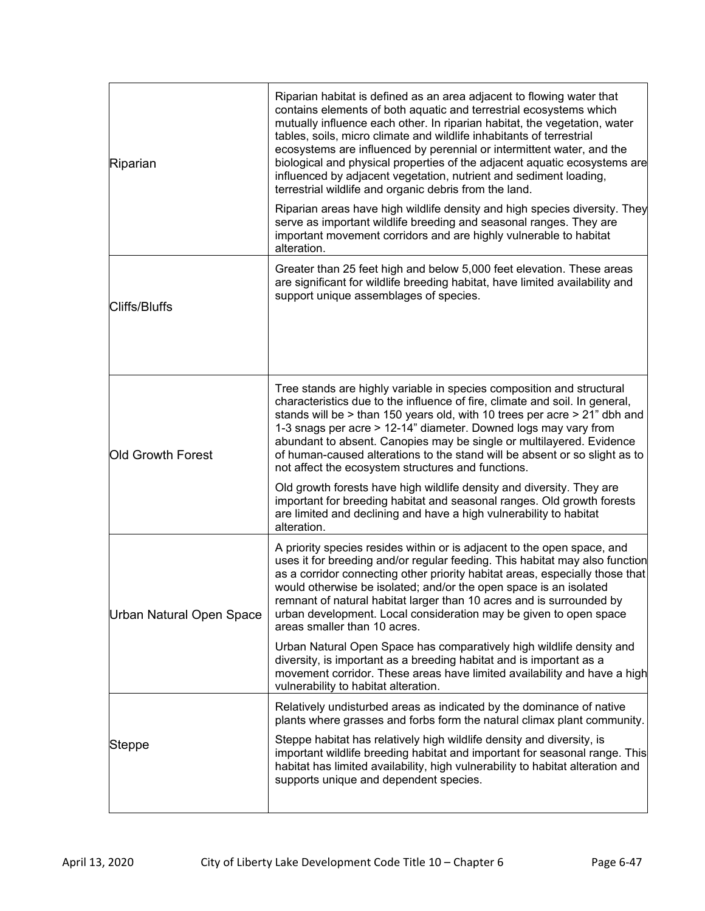| Riparian                 | Riparian habitat is defined as an area adjacent to flowing water that<br>contains elements of both aquatic and terrestrial ecosystems which<br>mutually influence each other. In riparian habitat, the vegetation, water<br>tables, soils, micro climate and wildlife inhabitants of terrestrial<br>ecosystems are influenced by perennial or intermittent water, and the<br>biological and physical properties of the adjacent aquatic ecosystems are<br>influenced by adjacent vegetation, nutrient and sediment loading,<br>terrestrial wildlife and organic debris from the land.<br>Riparian areas have high wildlife density and high species diversity. They<br>serve as important wildlife breeding and seasonal ranges. They are<br>important movement corridors and are highly vulnerable to habitat<br>alteration. |  |
|--------------------------|-------------------------------------------------------------------------------------------------------------------------------------------------------------------------------------------------------------------------------------------------------------------------------------------------------------------------------------------------------------------------------------------------------------------------------------------------------------------------------------------------------------------------------------------------------------------------------------------------------------------------------------------------------------------------------------------------------------------------------------------------------------------------------------------------------------------------------|--|
| <b>Cliffs/Bluffs</b>     | Greater than 25 feet high and below 5,000 feet elevation. These areas<br>are significant for wildlife breeding habitat, have limited availability and<br>support unique assemblages of species.                                                                                                                                                                                                                                                                                                                                                                                                                                                                                                                                                                                                                               |  |
| <b>Old Growth Forest</b> | Tree stands are highly variable in species composition and structural<br>characteristics due to the influence of fire, climate and soil. In general,<br>stands will be > than 150 years old, with 10 trees per acre > 21" dbh and<br>1-3 snags per acre > 12-14" diameter. Downed logs may vary from<br>abundant to absent. Canopies may be single or multilayered. Evidence<br>of human-caused alterations to the stand will be absent or so slight as to<br>not affect the ecosystem structures and functions.<br>Old growth forests have high wildlife density and diversity. They are                                                                                                                                                                                                                                     |  |
|                          | important for breeding habitat and seasonal ranges. Old growth forests<br>are limited and declining and have a high vulnerability to habitat<br>alteration.                                                                                                                                                                                                                                                                                                                                                                                                                                                                                                                                                                                                                                                                   |  |
| Urban Natural Open Space | A priority species resides within or is adjacent to the open space, and<br>uses it for breeding and/or regular feeding. This habitat may also function<br>as a corridor connecting other priority habitat areas, especially those that<br>would otherwise be isolated; and/or the open space is an isolated<br>remnant of natural habitat larger than 10 acres and is surrounded by<br>urban development. Local consideration may be given to open space<br>areas smaller than 10 acres.                                                                                                                                                                                                                                                                                                                                      |  |
|                          | Urban Natural Open Space has comparatively high wildlife density and<br>diversity, is important as a breeding habitat and is important as a<br>movement corridor. These areas have limited availability and have a high<br>vulnerability to habitat alteration.                                                                                                                                                                                                                                                                                                                                                                                                                                                                                                                                                               |  |
|                          | Relatively undisturbed areas as indicated by the dominance of native<br>plants where grasses and forbs form the natural climax plant community.                                                                                                                                                                                                                                                                                                                                                                                                                                                                                                                                                                                                                                                                               |  |
| Steppe                   | Steppe habitat has relatively high wildlife density and diversity, is<br>important wildlife breeding habitat and important for seasonal range. This<br>habitat has limited availability, high vulnerability to habitat alteration and<br>supports unique and dependent species.                                                                                                                                                                                                                                                                                                                                                                                                                                                                                                                                               |  |
|                          |                                                                                                                                                                                                                                                                                                                                                                                                                                                                                                                                                                                                                                                                                                                                                                                                                               |  |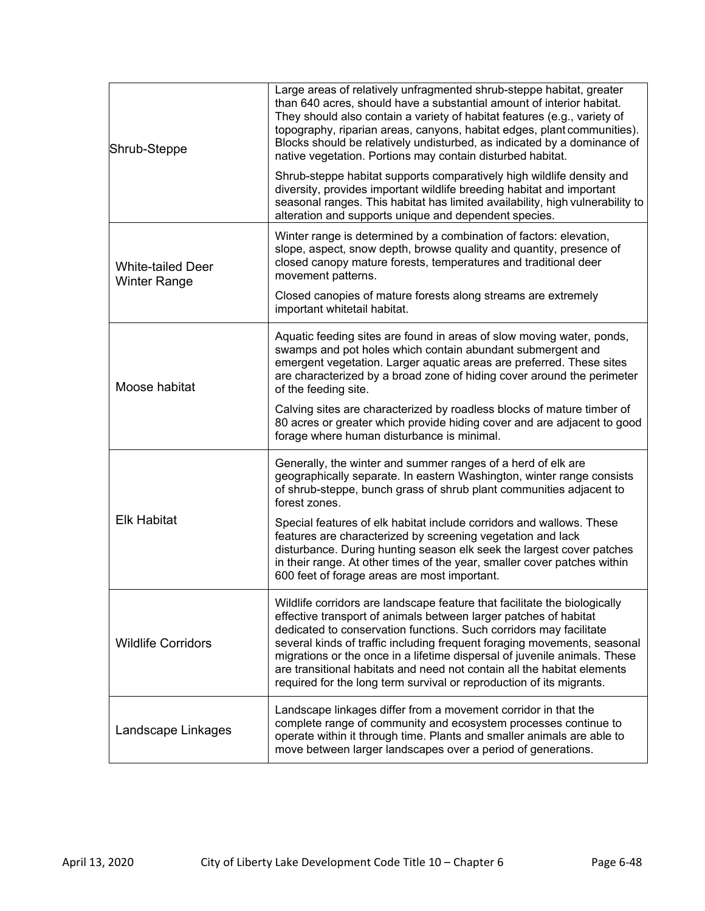| Shrub-Steppe                                    | Large areas of relatively unfragmented shrub-steppe habitat, greater<br>than 640 acres, should have a substantial amount of interior habitat.<br>They should also contain a variety of habitat features (e.g., variety of<br>topography, riparian areas, canyons, habitat edges, plant communities).<br>Blocks should be relatively undisturbed, as indicated by a dominance of<br>native vegetation. Portions may contain disturbed habitat.                                                                                   |
|-------------------------------------------------|---------------------------------------------------------------------------------------------------------------------------------------------------------------------------------------------------------------------------------------------------------------------------------------------------------------------------------------------------------------------------------------------------------------------------------------------------------------------------------------------------------------------------------|
|                                                 | Shrub-steppe habitat supports comparatively high wildlife density and<br>diversity, provides important wildlife breeding habitat and important<br>seasonal ranges. This habitat has limited availability, high vulnerability to<br>alteration and supports unique and dependent species.                                                                                                                                                                                                                                        |
| <b>White-tailed Deer</b><br><b>Winter Range</b> | Winter range is determined by a combination of factors: elevation,<br>slope, aspect, snow depth, browse quality and quantity, presence of<br>closed canopy mature forests, temperatures and traditional deer<br>movement patterns.                                                                                                                                                                                                                                                                                              |
|                                                 | Closed canopies of mature forests along streams are extremely<br>important whitetail habitat.                                                                                                                                                                                                                                                                                                                                                                                                                                   |
| Moose habitat                                   | Aquatic feeding sites are found in areas of slow moving water, ponds,<br>swamps and pot holes which contain abundant submergent and<br>emergent vegetation. Larger aquatic areas are preferred. These sites<br>are characterized by a broad zone of hiding cover around the perimeter<br>of the feeding site.                                                                                                                                                                                                                   |
|                                                 | Calving sites are characterized by roadless blocks of mature timber of<br>80 acres or greater which provide hiding cover and are adjacent to good<br>forage where human disturbance is minimal.                                                                                                                                                                                                                                                                                                                                 |
|                                                 | Generally, the winter and summer ranges of a herd of elk are<br>geographically separate. In eastern Washington, winter range consists<br>of shrub-steppe, bunch grass of shrub plant communities adjacent to<br>forest zones.                                                                                                                                                                                                                                                                                                   |
| <b>Elk Habitat</b>                              | Special features of elk habitat include corridors and wallows. These<br>features are characterized by screening vegetation and lack<br>disturbance. During hunting season elk seek the largest cover patches<br>in their range. At other times of the year, smaller cover patches within<br>600 feet of forage areas are most important.                                                                                                                                                                                        |
| <b>Wildlife Corridors</b>                       | Wildlife corridors are landscape feature that facilitate the biologically<br>effective transport of animals between larger patches of habitat<br>dedicated to conservation functions. Such corridors may facilitate<br>several kinds of traffic including frequent foraging movements, seasonal<br>migrations or the once in a lifetime dispersal of juvenile animals. These<br>are transitional habitats and need not contain all the habitat elements<br>required for the long term survival or reproduction of its migrants. |
| Landscape Linkages                              | Landscape linkages differ from a movement corridor in that the<br>complete range of community and ecosystem processes continue to<br>operate within it through time. Plants and smaller animals are able to<br>move between larger landscapes over a period of generations.                                                                                                                                                                                                                                                     |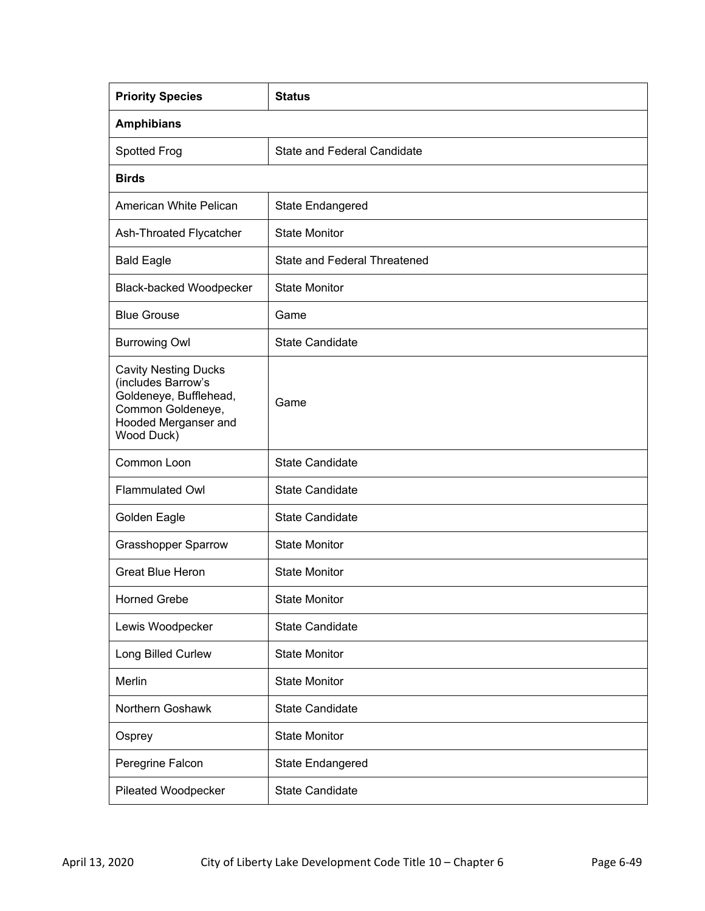| <b>Priority Species</b>                                                                                                                | <b>Status</b>                       |  |  |
|----------------------------------------------------------------------------------------------------------------------------------------|-------------------------------------|--|--|
| <b>Amphibians</b>                                                                                                                      |                                     |  |  |
| <b>Spotted Frog</b>                                                                                                                    | <b>State and Federal Candidate</b>  |  |  |
| <b>Birds</b>                                                                                                                           |                                     |  |  |
| American White Pelican                                                                                                                 | State Endangered                    |  |  |
| Ash-Throated Flycatcher                                                                                                                | <b>State Monitor</b>                |  |  |
| <b>Bald Eagle</b>                                                                                                                      | <b>State and Federal Threatened</b> |  |  |
| <b>Black-backed Woodpecker</b>                                                                                                         | <b>State Monitor</b>                |  |  |
| <b>Blue Grouse</b>                                                                                                                     | Game                                |  |  |
| <b>Burrowing Owl</b>                                                                                                                   | <b>State Candidate</b>              |  |  |
| <b>Cavity Nesting Ducks</b><br>(includes Barrow's<br>Goldeneye, Bufflehead,<br>Common Goldeneye,<br>Hooded Merganser and<br>Wood Duck) | Game                                |  |  |
| Common Loon                                                                                                                            | <b>State Candidate</b>              |  |  |
| <b>Flammulated Owl</b>                                                                                                                 | <b>State Candidate</b>              |  |  |
| Golden Eagle                                                                                                                           | <b>State Candidate</b>              |  |  |
| <b>Grasshopper Sparrow</b>                                                                                                             | <b>State Monitor</b>                |  |  |
| <b>Great Blue Heron</b>                                                                                                                | <b>State Monitor</b>                |  |  |
| <b>Horned Grebe</b>                                                                                                                    | <b>State Monitor</b>                |  |  |
| Lewis Woodpecker                                                                                                                       | <b>State Candidate</b>              |  |  |
| Long Billed Curlew                                                                                                                     | <b>State Monitor</b>                |  |  |
| Merlin                                                                                                                                 | <b>State Monitor</b>                |  |  |
| Northern Goshawk                                                                                                                       | <b>State Candidate</b>              |  |  |
| Osprey                                                                                                                                 | <b>State Monitor</b>                |  |  |
| Peregrine Falcon                                                                                                                       | State Endangered                    |  |  |
| Pileated Woodpecker                                                                                                                    | <b>State Candidate</b>              |  |  |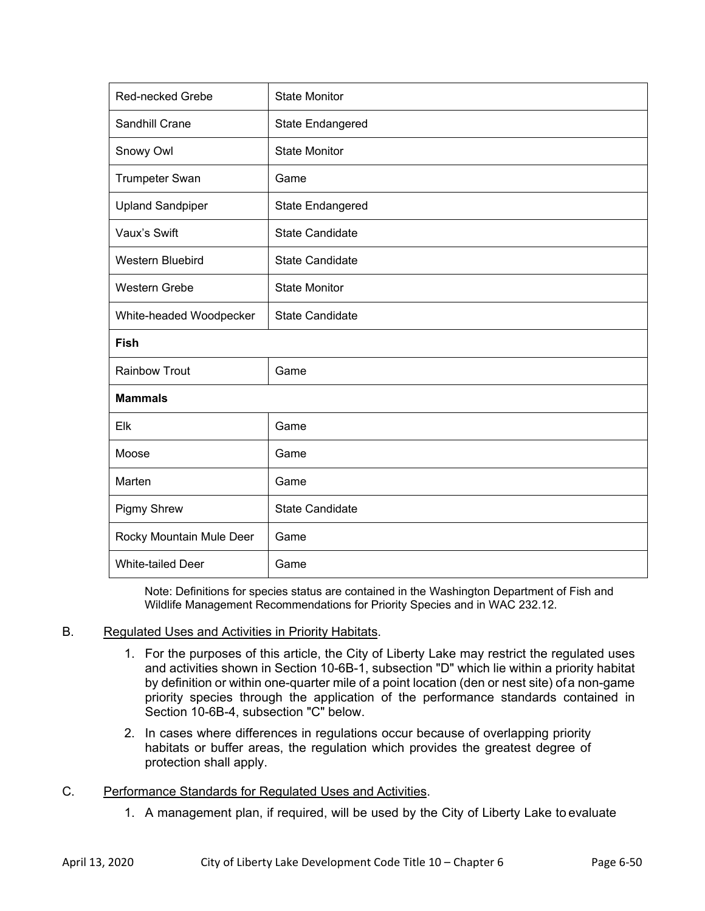| Red-necked Grebe         | <b>State Monitor</b>   |
|--------------------------|------------------------|
| Sandhill Crane           | State Endangered       |
| Snowy Owl                | <b>State Monitor</b>   |
| <b>Trumpeter Swan</b>    | Game                   |
| <b>Upland Sandpiper</b>  | State Endangered       |
| Vaux's Swift             | <b>State Candidate</b> |
| Western Bluebird         | <b>State Candidate</b> |
| Western Grebe            | <b>State Monitor</b>   |
| White-headed Woodpecker  | <b>State Candidate</b> |
|                          |                        |
| Fish                     |                        |
| <b>Rainbow Trout</b>     | Game                   |
| <b>Mammals</b>           |                        |
| Elk                      | Game                   |
| Moose                    | Game                   |
| Marten                   | Game                   |
| Pigmy Shrew              | <b>State Candidate</b> |
| Rocky Mountain Mule Deer | Game                   |

Note: Definitions for species status are contained in the Washington Department of Fish and Wildlife Management Recommendations for Priority Species and in WAC 232.12.

#### B. Regulated Uses and Activities in Priority Habitats.

- 1. For the purposes of this article, the City of Liberty Lake may restrict the regulated uses and activities shown in Section 10-6B-1, subsection "D" which lie within a priority habitat by definition or within one-quarter mile of a point location (den or nest site) of a non-game priority species through the application of the performance standards contained in Section 10-6B-4, subsection "C" below.
- 2. In cases where differences in regulations occur because of overlapping priority habitats or buffer areas, the regulation which provides the greatest degree of protection shall apply.
- C. Performance Standards for Regulated Uses and Activities.
	- 1. A management plan, if required, will be used by the City of Liberty Lake to evaluate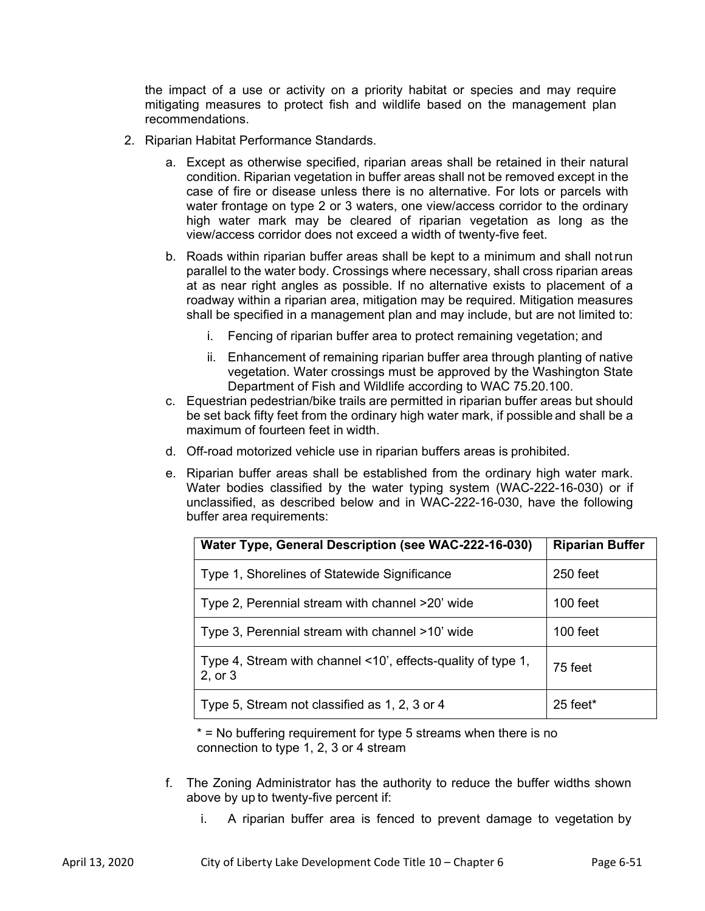the impact of a use or activity on a priority habitat or species and may require mitigating measures to protect fish and wildlife based on the management plan recommendations.

- 2. Riparian Habitat Performance Standards.
	- a. Except as otherwise specified, riparian areas shall be retained in their natural condition. Riparian vegetation in buffer areas shall not be removed except in the case of fire or disease unless there is no alternative. For lots or parcels with water frontage on type 2 or 3 waters, one view/access corridor to the ordinary high water mark may be cleared of riparian vegetation as long as the view/access corridor does not exceed a width of twenty-five feet.
	- b. Roads within riparian buffer areas shall be kept to a minimum and shall not run parallel to the water body. Crossings where necessary, shall cross riparian areas at as near right angles as possible. If no alternative exists to placement of a roadway within a riparian area, mitigation may be required. Mitigation measures shall be specified in a management plan and may include, but are not limited to:
		- i. Fencing of riparian buffer area to protect remaining vegetation; and
		- ii. Enhancement of remaining riparian buffer area through planting of native vegetation. Water crossings must be approved by the Washington State Department of Fish and Wildlife according to WAC 75.20.100.
	- c. Equestrian pedestrian/bike trails are permitted in riparian buffer areas but should be set back fifty feet from the ordinary high water mark, if possible and shall be a maximum of fourteen feet in width.
	- d. Off-road motorized vehicle use in riparian buffers areas is prohibited.
	- e. Riparian buffer areas shall be established from the ordinary high water mark. Water bodies classified by the water typing system (WAC-222-16-030) or if unclassified, as described below and in WAC-222-16-030, have the following buffer area requirements:

| Water Type, General Description (see WAC-222-16-030)                    | <b>Riparian Buffer</b> |
|-------------------------------------------------------------------------|------------------------|
| Type 1, Shorelines of Statewide Significance                            | 250 feet               |
| Type 2, Perennial stream with channel >20' wide                         | 100 feet               |
| Type 3, Perennial stream with channel >10' wide                         | 100 feet               |
| Type 4, Stream with channel <10', effects-quality of type 1,<br>2, or 3 | 75 feet                |
| Type 5, Stream not classified as 1, 2, 3 or 4                           | $25$ feet*             |

\* = No buffering requirement for type 5 streams when there is no connection to type 1, 2, 3 or 4 stream

- f. The Zoning Administrator has the authority to reduce the buffer widths shown above by up to twenty-five percent if:
	- i. A riparian buffer area is fenced to prevent damage to vegetation by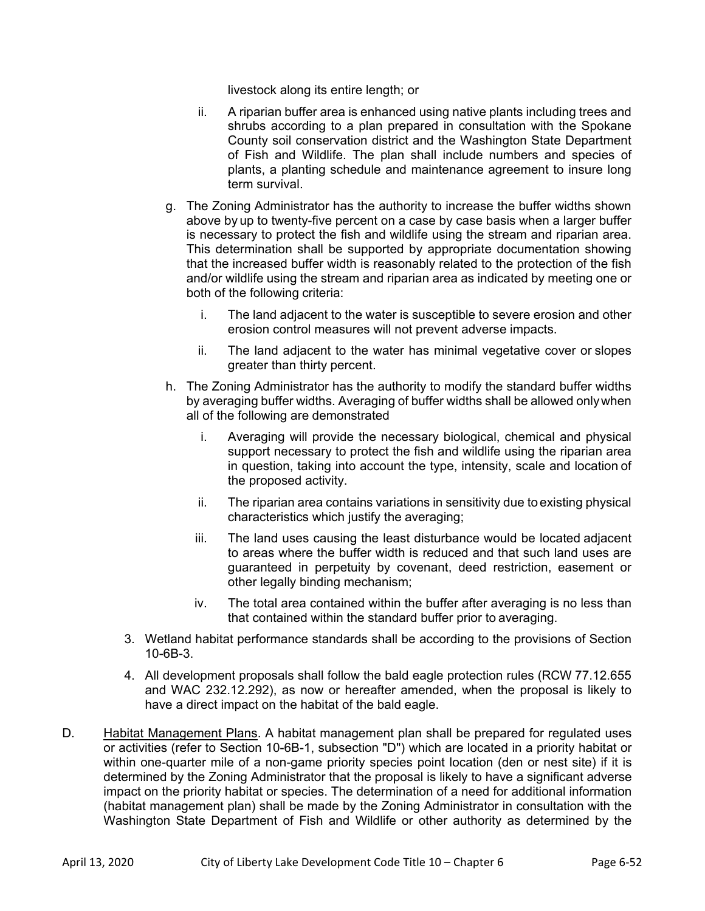livestock along its entire length; or

- ii. A riparian buffer area is enhanced using native plants including trees and shrubs according to a plan prepared in consultation with the Spokane County soil conservation district and the Washington State Department of Fish and Wildlife. The plan shall include numbers and species of plants, a planting schedule and maintenance agreement to insure long term survival.
- g. The Zoning Administrator has the authority to increase the buffer widths shown above by up to twenty-five percent on a case by case basis when a larger buffer is necessary to protect the fish and wildlife using the stream and riparian area. This determination shall be supported by appropriate documentation showing that the increased buffer width is reasonably related to the protection of the fish and/or wildlife using the stream and riparian area as indicated by meeting one or both of the following criteria:
	- i. The land adjacent to the water is susceptible to severe erosion and other erosion control measures will not prevent adverse impacts.
	- ii. The land adjacent to the water has minimal vegetative cover or slopes greater than thirty percent.
- h. The Zoning Administrator has the authority to modify the standard buffer widths by averaging buffer widths. Averaging of buffer widths shall be allowed only when all of the following are demonstrated
	- i. Averaging will provide the necessary biological, chemical and physical support necessary to protect the fish and wildlife using the riparian area in question, taking into account the type, intensity, scale and location of the proposed activity.
	- ii. The riparian area contains variations in sensitivity due to existing physical characteristics which justify the averaging;
	- iii. The land uses causing the least disturbance would be located adjacent to areas where the buffer width is reduced and that such land uses are guaranteed in perpetuity by covenant, deed restriction, easement or other legally binding mechanism;
	- iv. The total area contained within the buffer after averaging is no less than that contained within the standard buffer prior to averaging.
- 3. Wetland habitat performance standards shall be according to the provisions of Section 10-6B-3.
- 4. All development proposals shall follow the bald eagle protection rules (RCW 77.12.655 and WAC 232.12.292), as now or hereafter amended, when the proposal is likely to have a direct impact on the habitat of the bald eagle.
- D. Habitat Management Plans. A habitat management plan shall be prepared for regulated uses or activities (refer to Section 10-6B-1, subsection "D") which are located in a priority habitat or within one-quarter mile of a non-game priority species point location (den or nest site) if it is determined by the Zoning Administrator that the proposal is likely to have a significant adverse impact on the priority habitat or species. The determination of a need for additional information (habitat management plan) shall be made by the Zoning Administrator in consultation with the Washington State Department of Fish and Wildlife or other authority as determined by the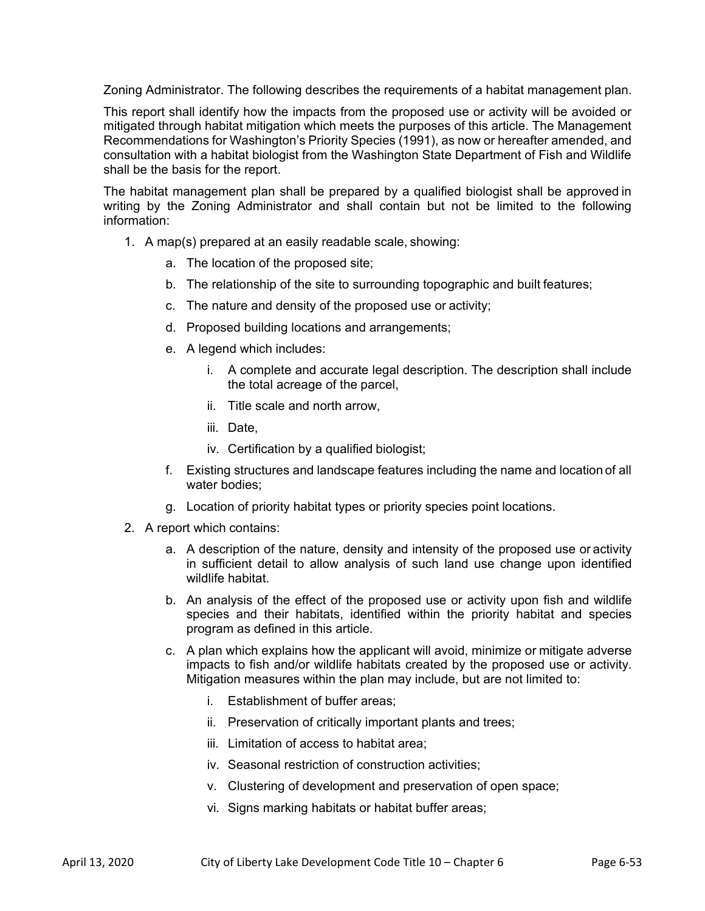Zoning Administrator. The following describes the requirements of a habitat management plan.

This report shall identify how the impacts from the proposed use or activity will be avoided or mitigated through habitat mitigation which meets the purposes of this article. The Management Recommendations for Washington's Priority Species (1991), as now or hereafter amended, and consultation with a habitat biologist from the Washington State Department of Fish and Wildlife shall be the basis for the report.

The habitat management plan shall be prepared by a qualified biologist shall be approved in writing by the Zoning Administrator and shall contain but not be limited to the following information:

- 1. A map(s) prepared at an easily readable scale, showing:
	- a. The location of the proposed site;
	- b. The relationship of the site to surrounding topographic and built features;
	- c. The nature and density of the proposed use or activity;
	- d. Proposed building locations and arrangements;
	- e. A legend which includes:
		- i. A complete and accurate legal description. The description shall include the total acreage of the parcel,
		- ii. Title scale and north arrow,
		- iii. Date,
		- iv. Certification by a qualified biologist;
	- f. Existing structures and landscape features including the name and location of all water bodies;
	- g. Location of priority habitat types or priority species point locations.
- 2. A report which contains:
	- a. A description of the nature, density and intensity of the proposed use or activity in sufficient detail to allow analysis of such land use change upon identified wildlife habitat.
	- b. An analysis of the effect of the proposed use or activity upon fish and wildlife species and their habitats, identified within the priority habitat and species program as defined in this article.
	- c. A plan which explains how the applicant will avoid, minimize or mitigate adverse impacts to fish and/or wildlife habitats created by the proposed use or activity. Mitigation measures within the plan may include, but are not limited to:
		- i. Establishment of buffer areas;
		- ii. Preservation of critically important plants and trees;
		- iii. Limitation of access to habitat area;
		- iv. Seasonal restriction of construction activities;
		- v. Clustering of development and preservation of open space;
		- vi. Signs marking habitats or habitat buffer areas;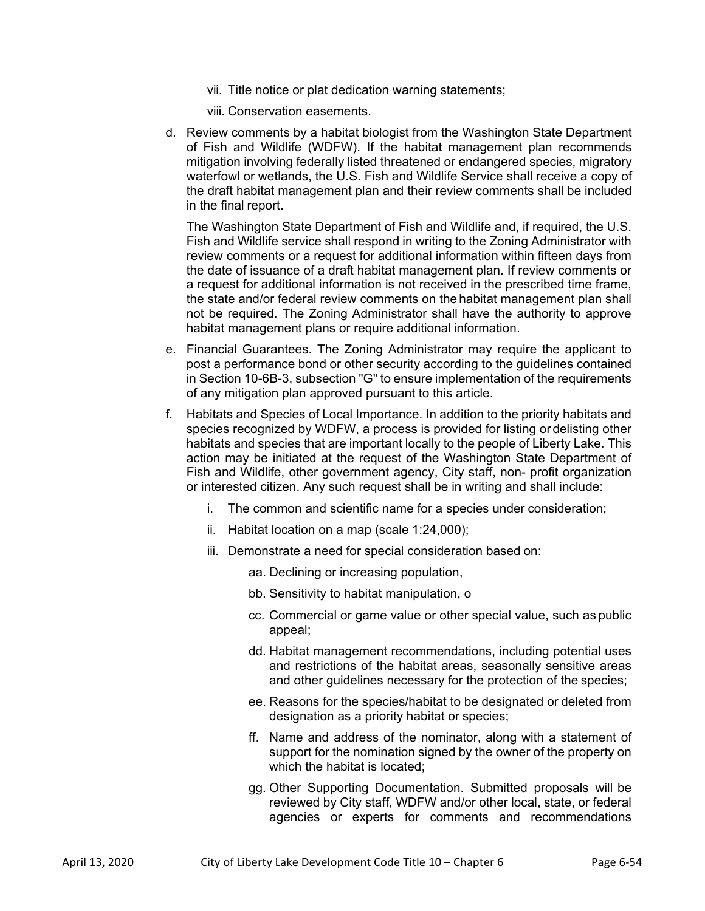- vii. Title notice or plat dedication warning statements;
- viii. Conservation easements.
- d. Review comments by a habitat biologist from the Washington State Department of Fish and Wildlife (WDFW). If the habitat management plan recommends mitigation involving federally listed threatened or endangered species, migratory waterfowl or wetlands, the U.S. Fish and Wildlife Service shall receive a copy of the draft habitat management plan and their review comments shall be included in the final report.

The Washington State Department of Fish and Wildlife and, if required, the U.S. Fish and Wildlife service shall respond in writing to the Zoning Administrator with review comments or a request for additional information within fifteen days from the date of issuance of a draft habitat management plan. If review comments or a request for additional information is not received in the prescribed time frame, the state and/or federal review comments on the habitat management plan shall not be required. The Zoning Administrator shall have the authority to approve habitat management plans or require additional information.

- e. Financial Guarantees. The Zoning Administrator may require the applicant to post a performance bond or other security according to the guidelines contained in Section 10-6B-3, subsection "G" to ensure implementation of the requirements of any mitigation plan approved pursuant to this article.
- f. Habitats and Species of Local Importance. In addition to the priority habitats and species recognized by WDFW, a process is provided for listing or delisting other habitats and species that are important locally to the people of Liberty Lake. This action may be initiated at the request of the Washington State Department of Fish and Wildlife, other government agency, City staff, non- profit organization or interested citizen. Any such request shall be in writing and shall include:
	- i. The common and scientific name for a species under consideration;
	- ii. Habitat location on a map (scale 1:24,000);
	- iii. Demonstrate a need for special consideration based on:
		- aa. Declining or increasing population,
		- bb. Sensitivity to habitat manipulation, o
		- cc. Commercial or game value or other special value, such as public appeal;
		- dd. Habitat management recommendations, including potential uses and restrictions of the habitat areas, seasonally sensitive areas and other guidelines necessary for the protection of the species;
		- ee. Reasons for the species/habitat to be designated or deleted from designation as a priority habitat or species;
		- ff. Name and address of the nominator, along with a statement of support for the nomination signed by the owner of the property on which the habitat is located;
		- gg. Other Supporting Documentation. Submitted proposals will be reviewed by City staff, WDFW and/or other local, state, or federal agencies or experts for comments and recommendations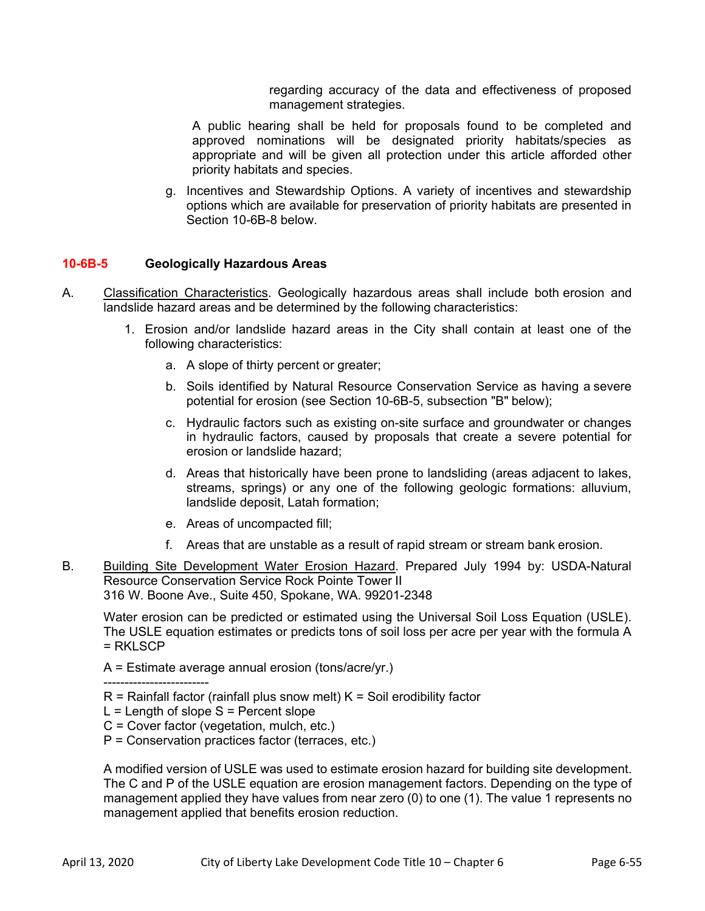regarding accuracy of the data and effectiveness of proposed management strategies.

A public hearing shall be held for proposals found to be completed and approved nominations will be designated priority habitats/species as appropriate and will be given all protection under this article afforded other priority habitats and species.

g. Incentives and Stewardship Options. A variety of incentives and stewardship options which are available for preservation of priority habitats are presented in Section 10-6B-8 below.

# **10-6B-5 Geologically Hazardous Areas**

- A. Classification Characteristics. Geologically hazardous areas shall include both erosion and landslide hazard areas and be determined by the following characteristics:
	- 1. Erosion and/or landslide hazard areas in the City shall contain at least one of the following characteristics:
		- a. A slope of thirty percent or greater;
		- b. Soils identified by Natural Resource Conservation Service as having a severe potential for erosion (see Section 10-6B-5, subsection "B" below);
		- c. Hydraulic factors such as existing on-site surface and groundwater or changes in hydraulic factors, caused by proposals that create a severe potential for erosion or landslide hazard;
		- d. Areas that historically have been prone to landsliding (areas adjacent to lakes, streams, springs) or any one of the following geologic formations: alluvium, landslide deposit, Latah formation;
		- e. Areas of uncompacted fill;
		- f. Areas that are unstable as a result of rapid stream or stream bank erosion.
- B. Building Site Development Water Erosion Hazard. Prepared July 1994 by: USDA-Natural Resource Conservation Service Rock Pointe Tower II 316 W. Boone Ave., Suite 450, Spokane, WA. 99201-2348

Water erosion can be predicted or estimated using the Universal Soil Loss Equation (USLE). The USLE equation estimates or predicts tons of soil loss per acre per year with the formula A = RKLSCP

A = Estimate average annual erosion (tons/acre/yr.)

-------------------------

- $R$  = Rainfall factor (rainfall plus snow melt)  $K$  = Soil erodibility factor
- $L =$  Length of slope  $S =$  Percent slope
- C = Cover factor (vegetation, mulch, etc.)
- P = Conservation practices factor (terraces, etc.)

A modified version of USLE was used to estimate erosion hazard for building site development. The C and P of the USLE equation are erosion management factors. Depending on the type of management applied they have values from near zero (0) to one (1). The value 1 represents no management applied that benefits erosion reduction.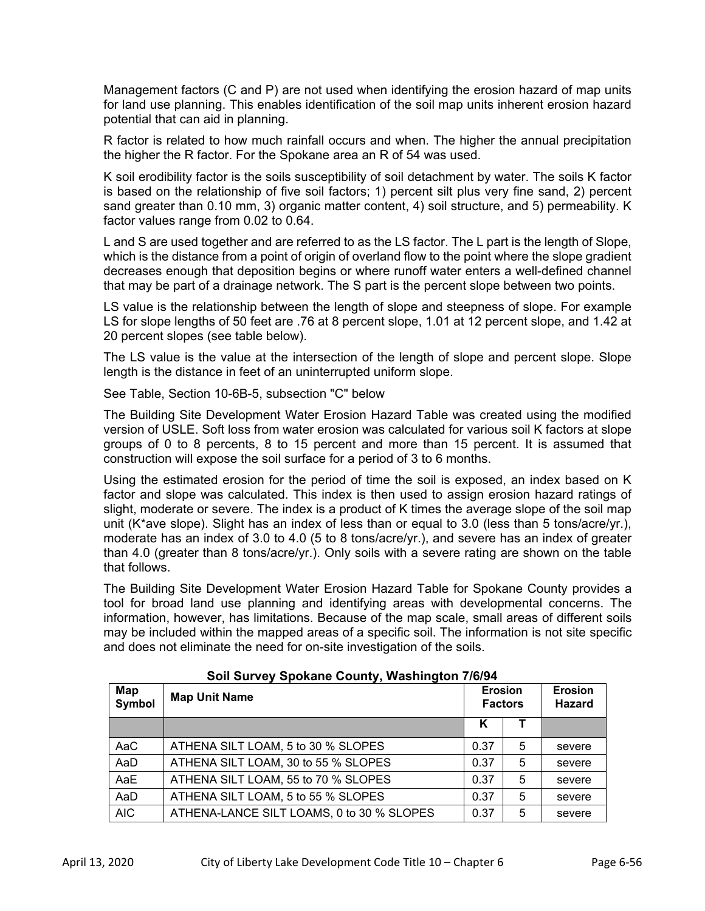Management factors (C and P) are not used when identifying the erosion hazard of map units for land use planning. This enables identification of the soil map units inherent erosion hazard potential that can aid in planning.

R factor is related to how much rainfall occurs and when. The higher the annual precipitation the higher the R factor. For the Spokane area an R of 54 was used.

K soil erodibility factor is the soils susceptibility of soil detachment by water. The soils K factor is based on the relationship of five soil factors; 1) percent silt plus very fine sand, 2) percent sand greater than 0.10 mm, 3) organic matter content, 4) soil structure, and 5) permeability. K factor values range from 0.02 to 0.64.

L and S are used together and are referred to as the LS factor. The L part is the length of Slope, which is the distance from a point of origin of overland flow to the point where the slope gradient decreases enough that deposition begins or where runoff water enters a well-defined channel that may be part of a drainage network. The S part is the percent slope between two points.

LS value is the relationship between the length of slope and steepness of slope. For example LS for slope lengths of 50 feet are .76 at 8 percent slope, 1.01 at 12 percent slope, and 1.42 at 20 percent slopes (see table below).

The LS value is the value at the intersection of the length of slope and percent slope. Slope length is the distance in feet of an uninterrupted uniform slope.

See Table, Section 10-6B-5, subsection "C" below

The Building Site Development Water Erosion Hazard Table was created using the modified version of USLE. Soft loss from water erosion was calculated for various soil K factors at slope groups of 0 to 8 percents, 8 to 15 percent and more than 15 percent. It is assumed that construction will expose the soil surface for a period of 3 to 6 months.

Using the estimated erosion for the period of time the soil is exposed, an index based on K factor and slope was calculated. This index is then used to assign erosion hazard ratings of slight, moderate or severe. The index is a product of K times the average slope of the soil map unit (K\*ave slope). Slight has an index of less than or equal to 3.0 (less than 5 tons/acre/yr.), moderate has an index of 3.0 to 4.0 (5 to 8 tons/acre/yr.), and severe has an index of greater than 4.0 (greater than 8 tons/acre/yr.). Only soils with a severe rating are shown on the table that follows.

The Building Site Development Water Erosion Hazard Table for Spokane County provides a tool for broad land use planning and identifying areas with developmental concerns. The information, however, has limitations. Because of the map scale, small areas of different soils may be included within the mapped areas of a specific soil. The information is not site specific and does not eliminate the need for on-site investigation of the soils.

| Map<br>Symbol | <b>Map Unit Name</b>                      | <b>Erosion</b><br><b>Factors</b> |   | <b>Erosion</b><br><b>Hazard</b> |
|---------------|-------------------------------------------|----------------------------------|---|---------------------------------|
|               |                                           | Κ                                |   |                                 |
| AaC           | ATHENA SILT LOAM, 5 to 30 % SLOPES        | 0.37                             | 5 | severe                          |
| AaD           | ATHENA SILT LOAM, 30 to 55 % SLOPES       | 0.37                             | 5 | severe                          |
| AaE           | ATHENA SILT LOAM, 55 to 70 % SLOPES       | 0.37                             | 5 | severe                          |
| AaD           | ATHENA SILT LOAM, 5 to 55 % SLOPES        | 0.37                             | 5 | severe                          |
| <b>AIC</b>    | ATHENA-LANCE SILT LOAMS, 0 to 30 % SLOPES | 0.37                             | 5 | severe                          |

# **Soil Survey Spokane County, Washington 7/6/94**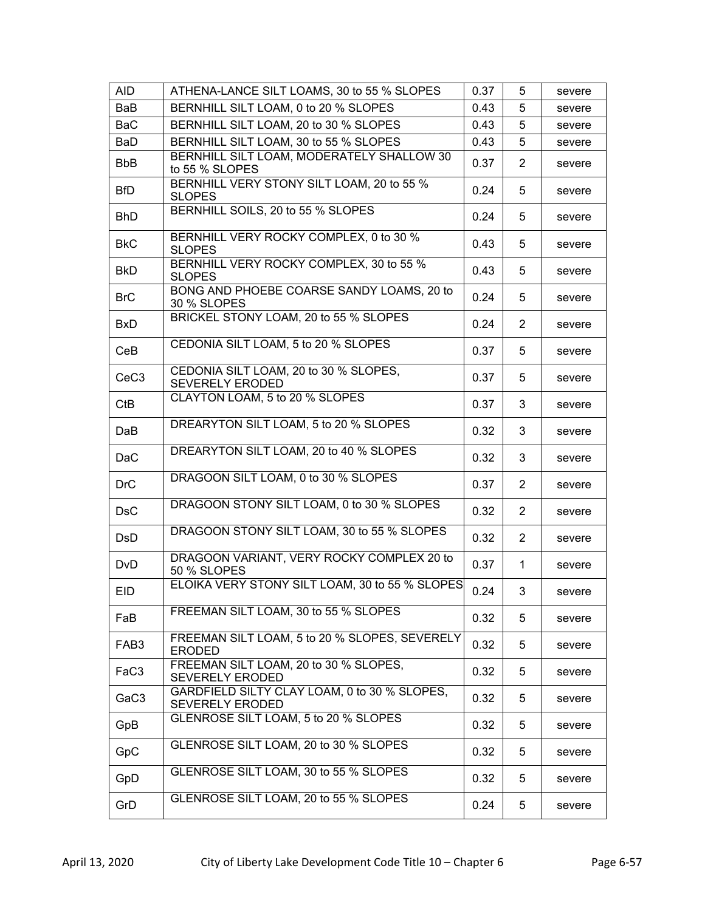| <b>AID</b>       | ATHENA-LANCE SILT LOAMS, 30 to 55 % SLOPES                             | 0.37 | 5              | severe |
|------------------|------------------------------------------------------------------------|------|----------------|--------|
| BaB              | BERNHILL SILT LOAM, 0 to 20 % SLOPES                                   | 0.43 | 5              | severe |
| <b>BaC</b>       | BERNHILL SILT LOAM, 20 to 30 % SLOPES                                  | 0.43 | 5              | severe |
| BaD              | BERNHILL SILT LOAM, 30 to 55 % SLOPES                                  | 0.43 | 5              | severe |
| <b>BbB</b>       | BERNHILL SILT LOAM, MODERATELY SHALLOW 30<br>to 55 % SLOPES            | 0.37 | $\overline{2}$ | severe |
| <b>BfD</b>       | BERNHILL VERY STONY SILT LOAM, 20 to 55 %<br><b>SLOPES</b>             | 0.24 | 5              | severe |
| <b>BhD</b>       | BERNHILL SOILS, 20 to 55 % SLOPES                                      | 0.24 | 5              | severe |
| <b>BkC</b>       | BERNHILL VERY ROCKY COMPLEX, 0 to 30 %<br><b>SLOPES</b>                | 0.43 | 5              | severe |
| <b>BkD</b>       | BERNHILL VERY ROCKY COMPLEX, 30 to 55 %<br><b>SLOPES</b>               | 0.43 | 5              | severe |
| <b>BrC</b>       | BONG AND PHOEBE COARSE SANDY LOAMS, 20 to<br>30 % SLOPES               | 0.24 | 5              | severe |
| <b>BxD</b>       | BRICKEL STONY LOAM, 20 to 55 % SLOPES                                  | 0.24 | $\overline{2}$ | severe |
| CeB              | CEDONIA SILT LOAM, 5 to 20 % SLOPES                                    | 0.37 | 5              | severe |
| CeC <sub>3</sub> | CEDONIA SILT LOAM, 20 to 30 % SLOPES,<br><b>SEVERELY ERODED</b>        | 0.37 | 5              | severe |
| <b>CtB</b>       | CLAYTON LOAM, 5 to 20 % SLOPES                                         | 0.37 | 3              | severe |
| DaB              | DREARYTON SILT LOAM, 5 to 20 % SLOPES                                  | 0.32 | 3              | severe |
| <b>DaC</b>       | DREARYTON SILT LOAM, 20 to 40 % SLOPES                                 | 0.32 | 3              | severe |
| <b>DrC</b>       | DRAGOON SILT LOAM, 0 to 30 % SLOPES                                    | 0.37 | $\overline{2}$ | severe |
| <b>DsC</b>       | DRAGOON STONY SILT LOAM, 0 to 30 % SLOPES                              | 0.32 | $\overline{2}$ | severe |
| <b>DsD</b>       | DRAGOON STONY SILT LOAM, 30 to 55 % SLOPES                             | 0.32 | $\overline{2}$ | severe |
| <b>DvD</b>       | DRAGOON VARIANT, VERY ROCKY COMPLEX 20 to<br>50 % SLOPES               | 0.37 | $\mathbf 1$    | severe |
| <b>EID</b>       | ELOIKA VERY STONY SILT LOAM, 30 to 55 % SLOPES                         | 0.24 | 3              | severe |
| FaB              | FREEMAN SILT LOAM, 30 to 55 % SLOPES                                   | 0.32 | 5              | severe |
| FAB <sub>3</sub> | FREEMAN SILT LOAM, 5 to 20 % SLOPES, SEVERELY<br><b>ERODED</b>         | 0.32 | 5              | severe |
| FaC3             | FREEMAN SILT LOAM, 20 to 30 % SLOPES,<br><b>SEVERELY ERODED</b>        | 0.32 | 5              | severe |
| GaC <sub>3</sub> | GARDFIELD SILTY CLAY LOAM, 0 to 30 % SLOPES,<br><b>SEVERELY ERODED</b> | 0.32 | 5              | severe |
| GpB              | GLENROSE SILT LOAM, 5 to 20 % SLOPES                                   | 0.32 | 5              | severe |
| GpC              | GLENROSE SILT LOAM, 20 to 30 % SLOPES                                  | 0.32 | 5              | severe |
| GpD              | GLENROSE SILT LOAM, 30 to 55 % SLOPES                                  | 0.32 | 5              | severe |
| GrD              | GLENROSE SILT LOAM, 20 to 55 % SLOPES                                  | 0.24 | 5              | severe |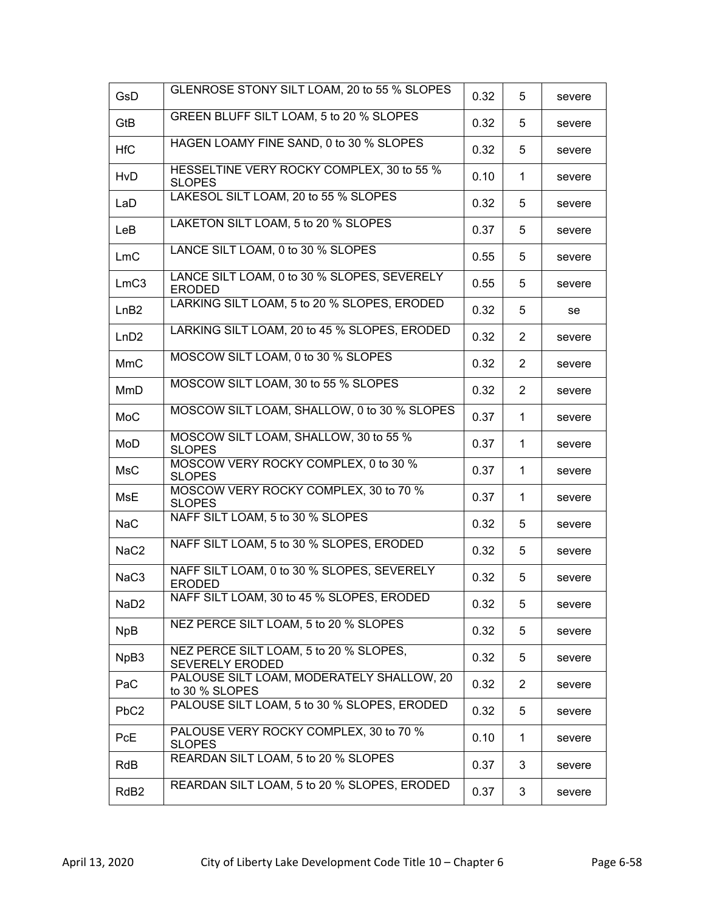| <b>GsD</b>       | GLENROSE STONY SILT LOAM, 20 to 55 % SLOPES                      | 0.32 | 5              | severe |
|------------------|------------------------------------------------------------------|------|----------------|--------|
| GtB              | GREEN BLUFF SILT LOAM, 5 to 20 % SLOPES                          | 0.32 | 5              | severe |
| <b>HfC</b>       | HAGEN LOAMY FINE SAND, 0 to 30 % SLOPES                          | 0.32 | 5              | severe |
| <b>HvD</b>       | HESSELTINE VERY ROCKY COMPLEX, 30 to 55 %<br><b>SLOPES</b>       | 0.10 | 1              | severe |
| LaD              | LAKESOL SILT LOAM, 20 to 55 % SLOPES                             | 0.32 | 5              | severe |
| LeB              | LAKETON SILT LOAM, 5 to 20 % SLOPES                              | 0.37 | 5              | severe |
| LmC              | LANCE SILT LOAM, 0 to 30 % SLOPES                                | 0.55 | 5              | severe |
| LmC3             | LANCE SILT LOAM, 0 to 30 % SLOPES, SEVERELY<br><b>ERODED</b>     | 0.55 | 5              | severe |
| LnB2             | LARKING SILT LOAM, 5 to 20 % SLOPES, ERODED                      | 0.32 | 5              | se     |
| LnD2             | LARKING SILT LOAM, 20 to 45 % SLOPES, ERODED                     | 0.32 | $\overline{2}$ | severe |
| <b>MmC</b>       | MOSCOW SILT LOAM, 0 to 30 % SLOPES                               | 0.32 | $\overline{2}$ | severe |
| MmD              | MOSCOW SILT LOAM, 30 to 55 % SLOPES                              | 0.32 | 2              | severe |
| MoC              | MOSCOW SILT LOAM, SHALLOW, 0 to 30 % SLOPES                      | 0.37 | 1.             | severe |
| MoD              | MOSCOW SILT LOAM, SHALLOW, 30 to 55 %<br><b>SLOPES</b>           | 0.37 | 1.             | severe |
| <b>MsC</b>       | MOSCOW VERY ROCKY COMPLEX, 0 to 30 %<br><b>SLOPES</b>            | 0.37 | 1              | severe |
| <b>MsE</b>       | MOSCOW VERY ROCKY COMPLEX, 30 to 70 %<br><b>SLOPES</b>           | 0.37 | $\mathbf{1}$   | severe |
| <b>NaC</b>       | NAFF SILT LOAM, 5 to 30 % SLOPES                                 | 0.32 | 5              | severe |
| NaC <sub>2</sub> | NAFF SILT LOAM, 5 to 30 % SLOPES, ERODED                         | 0.32 | 5              | severe |
| NaC3             | NAFF SILT LOAM, 0 to 30 % SLOPES, SEVERELY<br><b>ERODED</b>      | 0.32 | 5              | severe |
| NaD <sub>2</sub> | NAFF SILT LOAM, 30 to 45 % SLOPES, ERODED                        | 0.32 | 5              | severe |
| <b>NpB</b>       | NEZ PERCE SILT LOAM, 5 to 20 % SLOPES                            | 0.32 | 5              | severe |
| NpB3             | NEZ PERCE SILT LOAM, 5 to 20 % SLOPES,<br><b>SEVERELY ERODED</b> | 0.32 | 5              | severe |
| PaC              | PALOUSE SILT LOAM, MODERATELY SHALLOW, 20<br>to 30 % SLOPES      | 0.32 | 2              | severe |
| PbC <sub>2</sub> | PALOUSE SILT LOAM, 5 to 30 % SLOPES, ERODED                      | 0.32 | 5              | severe |
| <b>PcE</b>       | PALOUSE VERY ROCKY COMPLEX, 30 to 70 %<br><b>SLOPES</b>          | 0.10 | $\mathbf{1}$   | severe |
| RdB              | REARDAN SILT LOAM, 5 to 20 % SLOPES                              | 0.37 | 3              | severe |
| RdB <sub>2</sub> | REARDAN SILT LOAM, 5 to 20 % SLOPES, ERODED                      | 0.37 | 3              | severe |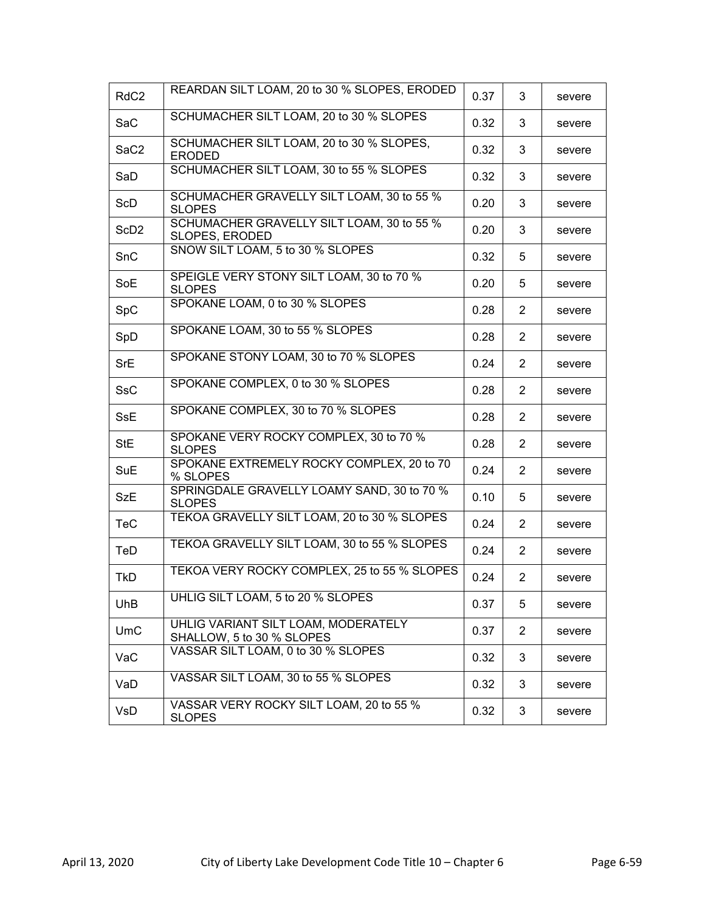| RdC <sub>2</sub> | REARDAN SILT LOAM, 20 to 30 % SLOPES, ERODED                     | 0.37 | 3              | severe |
|------------------|------------------------------------------------------------------|------|----------------|--------|
| SaC              | SCHUMACHER SILT LOAM, 20 to 30 % SLOPES                          | 0.32 | 3              | severe |
| SaC <sub>2</sub> | SCHUMACHER SILT LOAM, 20 to 30 % SLOPES,<br><b>ERODED</b>        | 0.32 | 3              | severe |
| SaD              | SCHUMACHER SILT LOAM, 30 to 55 % SLOPES                          | 0.32 | 3              | severe |
| ScD              | SCHUMACHER GRAVELLY SILT LOAM, 30 to 55 %<br><b>SLOPES</b>       | 0.20 | 3              | severe |
| ScD <sub>2</sub> | SCHUMACHER GRAVELLY SILT LOAM, 30 to 55 %<br>SLOPES, ERODED      | 0.20 | 3              | severe |
| SnC              | SNOW SILT LOAM, 5 to 30 % SLOPES                                 | 0.32 | 5              | severe |
| SoE              | SPEIGLE VERY STONY SILT LOAM, 30 to 70 %<br><b>SLOPES</b>        | 0.20 | 5              | severe |
| SpC              | SPOKANE LOAM, 0 to 30 % SLOPES                                   | 0.28 | $\overline{2}$ | severe |
| SpD              | SPOKANE LOAM, 30 to 55 % SLOPES                                  | 0.28 | $\overline{2}$ | severe |
| <b>SrE</b>       | SPOKANE STONY LOAM, 30 to 70 % SLOPES                            | 0.24 | $\overline{2}$ | severe |
| <b>SsC</b>       | SPOKANE COMPLEX, 0 to 30 % SLOPES                                | 0.28 | $\overline{2}$ | severe |
| <b>SsE</b>       | SPOKANE COMPLEX, 30 to 70 % SLOPES                               | 0.28 | 2              | severe |
| StE              | SPOKANE VERY ROCKY COMPLEX, 30 to 70 %<br><b>SLOPES</b>          | 0.28 | $\overline{2}$ | severe |
| <b>SuE</b>       | SPOKANE EXTREMELY ROCKY COMPLEX, 20 to 70<br>% SLOPES            | 0.24 | $\overline{2}$ | severe |
| <b>SzE</b>       | SPRINGDALE GRAVELLY LOAMY SAND, 30 to 70 %<br><b>SLOPES</b>      | 0.10 | 5              | severe |
| <b>TeC</b>       | TEKOA GRAVELLY SILT LOAM, 20 to 30 % SLOPES                      | 0.24 | 2              | severe |
| TeD              | TEKOA GRAVELLY SILT LOAM, 30 to 55 % SLOPES                      | 0.24 | $\overline{2}$ | severe |
| <b>TkD</b>       | TEKOA VERY ROCKY COMPLEX, 25 to 55 % SLOPES                      | 0.24 | $\overline{2}$ | severe |
| <b>UhB</b>       | UHLIG SILT LOAM, 5 to 20 % SLOPES                                | 0.37 | 5              | severe |
| <b>UmC</b>       | UHLIG VARIANT SILT LOAM, MODERATELY<br>SHALLOW, 5 to 30 % SLOPES | 0.37 | $\overline{2}$ | severe |
| VaC              | VASSAR SILT LOAM, 0 to 30 % SLOPES                               | 0.32 | 3              | severe |
| VaD              | VASSAR SILT LOAM, 30 to 55 % SLOPES                              | 0.32 | 3              | severe |
| VsD              | VASSAR VERY ROCKY SILT LOAM, 20 to 55 %<br><b>SLOPES</b>         | 0.32 | 3              | severe |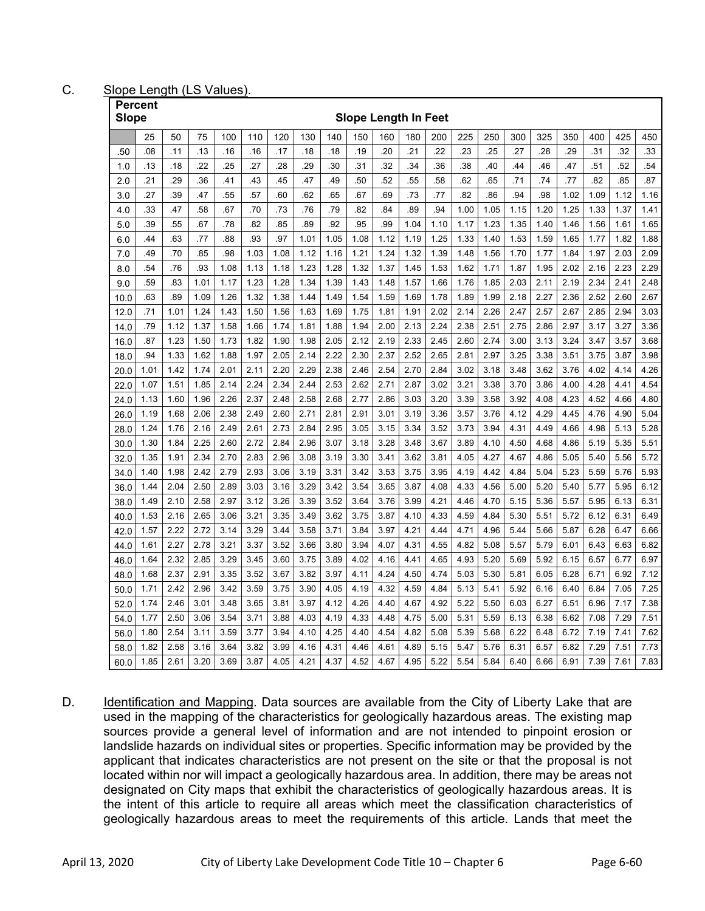C. Slope Length (LS Values).

|            | <b>Percent</b><br>Slope<br><b>Slope Length In Feet</b> |            |            |            |            |            |            |            |            |            |           |            |            |            |            |            |            |             |             |            |
|------------|--------------------------------------------------------|------------|------------|------------|------------|------------|------------|------------|------------|------------|-----------|------------|------------|------------|------------|------------|------------|-------------|-------------|------------|
|            |                                                        |            |            |            |            |            |            |            |            |            |           |            |            |            |            |            |            |             |             |            |
|            | 25<br>.08                                              | 50<br>.11  | 75<br>.13  | 100<br>.16 | 110<br>.16 | 120<br>.17 | 130<br>.18 | 140<br>.18 | 150<br>.19 | 160        | 180       | 200<br>.22 | 225<br>.23 | 250<br>.25 | 300<br>.27 | 325<br>.28 | 350<br>.29 | 400<br>.31  | 425<br>.32  | 450<br>.33 |
| .50        |                                                        |            |            |            |            |            |            |            |            | .20        | .21       |            |            |            |            |            |            |             |             |            |
| 1.0        | .13<br>.21                                             | .18        | .22<br>.36 | .25        | .27        | .28        | .29<br>.47 | .30<br>.49 | .31        | .32<br>.52 | .34       | .36<br>.58 | .38        | .40        | .44        | .46        | .47<br>.77 | .51         | .52         | .54<br>.87 |
| 2.0        | .27                                                    | .29<br>.39 | .47        | .41<br>.55 | .43<br>.57 | .45<br>.60 | 62         | .65        | .50<br>.67 | .69        | 55<br>.73 | .77        | .62<br>.82 | .65<br>.86 | .71<br>.94 | .74<br>.98 | 1.02       | .82<br>1.09 | .85<br>1.12 | 1.16       |
| 3.0        | .33                                                    | .47        | .58        | .67        | .70        | .73        | .76        | .79        | .82        | .84        | .89       | .94        | 1.00       | 1.05       | 1.15       | 1.20       | 1.25       | 1.33        | 1.37        | 1.41       |
| 4.0<br>5.0 | .39                                                    | .55        | .67        | .78        | .82        | .85        | .89        | .92        | .95        | .99        | 1.04      | 1.10       | 1.17       | 1.23       | 1.35       | 1.40       | 1.46       | 1.56        | 1.61        | 1.65       |
| 6.0        | .44                                                    | .63        | .77        | .88        | .93        | .97        | 1.01       | 1.05       | 1.08       | 1.12       | 1.19      | 1.25       | 1.33       | 1.40       | 1.53       | 1.59       | 1.65       | 1.77        | 1.82        | 1.88       |
| 7.0        | .49                                                    | .70        | .85        | .98        | 1.03       | 1.08       | 1.12       | 1.16       | 1.21       | 1.24       | 1.32      | 1.39       | 1.48       | 1.56       | 1.70       | 1.77       | 1.84       | 1.97        | 2.03        | 2.09       |
| 8.0        | .54                                                    | .76        | .93        | 1.08       | 1.13       | 1.18       | 1.23       | 1.28       | 1.32       | 1.37       | 1.45      | 1.53       | 1.62       | 1.71       | 1.87       | 1.95       | 2.02       | 2.16        | 2.23        | 2.29       |
| 9.0        | .59                                                    | .83        | 1.01       | 1.17       | 1.23       | 1.28       | 1.34       | 1.39       | 1.43       | 1.48       | 1.57      | 1.66       | 1.76       | 1.85       | 2.03       | 2.11       | 2.19       | 2.34        | 2.41        | 2.48       |
| 10.0       | .63                                                    | .89        | 1.09       | 1.26       | 1.32       | 1.38       | 1.44       | 1.49       | 1.54       | 1.59       | 1.69      | 1.78       | 1.89       | 1.99       | 2.18       | 2.27       | 2.36       | 2.52        | 2.60        | 2.67       |
| 12.0       | .71                                                    | 1.01       | 1.24       | 1.43       | 1.50       | 1.56       | 1.63       | 1.69       | 1.75       | 1.81       | 1.91      | 2.02       | 2.14       | 2.26       | 2.47       | 2.57       | 2.67       | 2.85        | 2.94        | 3.03       |
| 14.0       | .79                                                    | 1.12       | 1.37       | 1.58       | 1.66       | 1.74       | 1.81       | 1.88       | 1.94       | 2.00       | 2.13      | 2.24       | 2.38       | 2.51       | 2.75       | 2.86       | 2.97       | 3.17        | 3.27        | 3.36       |
| 16.0       | .87                                                    | 1.23       | 1.50       | 1.73       | 1.82       | 1.90       | 1.98       | 2.05       | 2.12       | 2.19       | 2.33      | 2.45       | 2.60       | 2.74       | 3.00       | 3.13       | 3.24       | 3.47        | 3.57        | 3.68       |
| 18.0       | .94                                                    | 1.33       | 1.62       | 1.88       | 1.97       | 2.05       | 2.14       | 2.22       | 2.30       | 2.37       | 2.52      | 2.65       | 2.81       | 2.97       | 3.25       | 3.38       | 3.51       | 3.75        | 3.87        | 3.98       |
| 20.0       | 1.01                                                   | 1.42       | 1.74       | 2.01       | 2.11       | 2.20       | 2.29       | 2.38       | 2.46       | 2.54       | 2.70      | 2.84       | 3.02       | 3.18       | 3.48       | 3.62       | 3.76       | 4.02        | 4.14        | 4.26       |
| 22.0       | 1.07                                                   | 1.51       | 1.85       | 2.14       | 2.24       | 2.34       | 2.44       | 2.53       | 2.62       | 2.71       | 2.87      | 3.02       | 3.21       | 3.38       | 3.70       | 3.86       | 4.00       | 4.28        | 4.41        | 4.54       |
| 24.0       | 1.13                                                   | 1.60       | 1.96       | 2.26       | 2.37       | 2.48       | 2.58       | 2.68       | 2.77       | 2.86       | 3.03      | 3.20       | 3.39       | 3.58       | 3.92       | 4.08       | 4.23       | 4.52        | 4.66        | 4.80       |
| 26.0       | 1.19                                                   | 1.68       | 2.06       | 2.38       | 2.49       | 2.60       | 2.71       | 2.81       | 2.91       | 3.01       | 3.19      | 3.36       | 3.57       | 3.76       | 4.12       | 4.29       | 4.45       | 4.76        | 4.90        | 5.04       |
| 28.0       | 1.24                                                   | 1.76       | 2.16       | 2.49       | 2.61       | 2.73       | 2.84       | 2.95       | 3.05       | 3.15       | 3.34      | 3.52       | 3.73       | 3.94       | 4.31       | 4.49       | 4.66       | 4.98        | 5.13        | 5.28       |
| 30.0       | 1.30                                                   | 1.84       | 2.25       | 2.60       | 2.72       | 2.84       | 2.96       | 3.07       | 3.18       | 3.28       | 3.48      | 3.67       | 3.89       | 4.10       | 4.50       | 4.68       | 4.86       | 5.19        | 5.35        | 5.51       |
| 32.0       | 1.35                                                   | 1.91       | 2.34       | 2.70       | 2.83       | 2.96       | 3.08       | 3.19       | 3.30       | 3.41       | 3.62      | 3.81       | 4.05       | 4.27       | 4.67       | 4.86       | 5.05       | 5.40        | 5.56        | 5.72       |
| 34.0       | 1.40                                                   | 1.98       | 2.42       | 2.79       | 2.93       | 3.06       | 3.19       | 3.31       | 3.42       | 3.53       | 3.75      | 3.95       | 4.19       | 4.42       | 4.84       | 5.04       | 5.23       | 5.59        | 5.76        | 5.93       |
| 36.0       | 1.44                                                   | 2.04       | 2.50       | 2.89       | 3.03       | 3.16       | 3.29       | 3.42       | 3.54       | 3.65       | 3.87      | 4.08       | 4.33       | 4.56       | 5.00       | 5.20       | 5.40       | 5.77        | 5.95        | 6.12       |
| 38.0       | 1.49                                                   | 2.10       | 2.58       | 2.97       | 3.12       | 3.26       | 3.39       | 3.52       | 3.64       | 3.76       | 3.99      | 4.21       | 4.46       | 4.70       | 5.15       | 5.36       | 5.57       | 5.95        | 6.13        | 6.31       |
| 40.0       | 1.53                                                   | 2.16       | 2.65       | 3.06       | 3.21       | 3.35       | 3.49       | 3.62       | 3.75       | 3.87       | 4.10      | 4.33       | 4.59       | 4.84       | 5.30       | 5.51       | 5.72       | 6.12        | 6.31        | 6.49       |
| 42.0       | 1.57                                                   | 2.22       | 2.72       | 3.14       | 3.29       | 3.44       | 3.58       | 3.71       | 3.84       | 3.97       | 4.21      | 4.44       | 4.71       | 4.96       | 5.44       | 5.66       | 5.87       | 6.28        | 6.47        | 6.66       |
| 44.0       | 1.61                                                   | 2.27       | 2.78       | 3.21       | 3.37       | 3.52       | 3.66       | 3.80       | 3.94       | 4.07       | 4.31      | 4.55       | 4.82       | 5.08       | 5.57       | 5.79       | 6.01       | 6.43        | 6.63        | 6.82       |
| 46.0       | 1.64                                                   | 2.32       | 2.85       | 3.29       | 3.45       | 3.60       | 3.75       | 3.89       | 4.02       | 4.16       | 4.41      | 4.65       | 4.93       | 5.20       | 5.69       | 5.92       | 6.15       | 6.57        | 6.77        | 6.97       |
| 48.0       | 1.68                                                   | 2.37       | 2.91       | 3.35       | 3.52       | 3.67       | 3.82       | 3.97       | 4.11       | 4.24       | 4.50      | 4.74       | 5.03       | 5.30       | 5.81       | 6.05       | 6.28       | 6.71        | 6.92        | 7.12       |
| 50.0       | 1.71                                                   | 2.42       | 2.96       | 3.42       | 3.59       | 3.75       | 3.90       | 4.05       | 4.19       | 4.32       | 4.59      | 4.84       | 5.13       | 5.41       | 5.92       | 6.16       | 6.40       | 6.84        | 7.05        | 7.25       |
| 52.0       | 1.74                                                   | 2.46       | 3.01       | 3.48       | 3.65       | 3.81       | 3.97       | 4.12       | 4.26       | 4.40       | 4.67      | 4.92       | 5.22       | 5.50       | 6.03       | 6.27       | 6.51       | 6.96        | 7.17        | 7.38       |
| 54.0       | 1.77                                                   | 2.50       | 3.06       | 3.54       | 3.71       | 3.88       | 4.03       | 4.19       | 4.33       | 4.48       | 4.75      | 5.00       | 5.31       | 5.59       | 6.13       | 6.38       | 6.62       | 7.08        | 7.29        | 7.51       |
| 56.0       | 1.80                                                   | 2.54       | 3.11       | 3.59       | 3.77       | 3.94       | 4.10       | 4.25       | 4.40       | 4.54       | 4.82      | 5.08       | 5.39       | 5.68       | 6.22       | 6.48       | 6.72       | 7.19        | 7.41        | 7.62       |
| 58.0       | 1.82                                                   | 2.58       | 3.16       | 3.64       | 3.82       | 3.99       | 4.16       | 4.31       | 4.46       | 4.61       | 4.89      | 5.15       | 5.47       | 5.76       | 6.31       | 6.57       | 6.82       | 7.29        | 7.51        | 7.73       |
| 60.0       | 1.85                                                   | 2.61       | 3.20       | 3.69       | 3.87       | 4.05       | 4.21       | 4.37       | 4.52       | 4.67       | 4.95      | 5.22       | 5.54       | 5.84       | 6.40       | 6.66       | 6.91       | 7.39        | 7.61        | 7.83       |

D. Identification and Mapping. Data sources are available from the City of Liberty Lake that are used in the mapping of the characteristics for geologically hazardous areas. The existing map sources provide a general level of information and are not intended to pinpoint erosion or landslide hazards on individual sites or properties. Specific information may be provided by the applicant that indicates characteristics are not present on the site or that the proposal is not located within nor will impact a geologically hazardous area. In addition, there may be areas not designated on City maps that exhibit the characteristics of geologically hazardous areas. It is the intent of this article to require all areas which meet the classification characteristics of geologically hazardous areas to meet the requirements of this article. Lands that meet the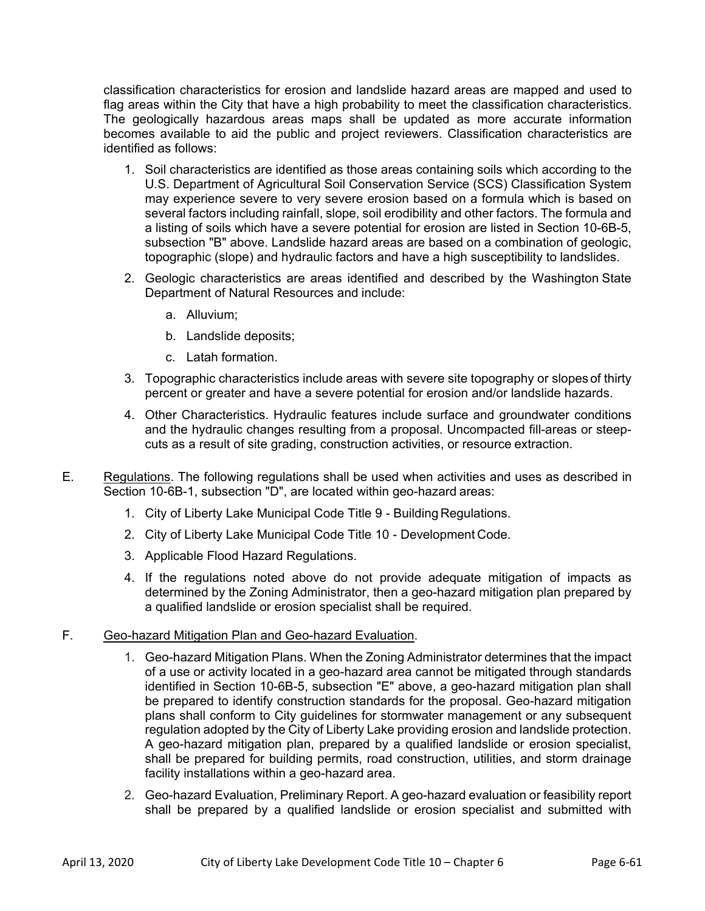classification characteristics for erosion and landslide hazard areas are mapped and used to flag areas within the City that have a high probability to meet the classification characteristics. The geologically hazardous areas maps shall be updated as more accurate information becomes available to aid the public and project reviewers. Classification characteristics are identified as follows:

- 1. Soil characteristics are identified as those areas containing soils which according to the U.S. Department of Agricultural Soil Conservation Service (SCS) Classification System may experience severe to very severe erosion based on a formula which is based on several factors including rainfall, slope, soil erodibility and other factors. The formula and a listing of soils which have a severe potential for erosion are listed in Section 10-6B-5, subsection "B" above. Landslide hazard areas are based on a combination of geologic, topographic (slope) and hydraulic factors and have a high susceptibility to landslides.
- 2. Geologic characteristics are areas identified and described by the Washington State Department of Natural Resources and include:
	- a. Alluvium;
	- b. Landslide deposits;
	- c. Latah formation.
- 3. Topographic characteristics include areas with severe site topography or slopes of thirty percent or greater and have a severe potential for erosion and/or landslide hazards.
- 4. Other Characteristics. Hydraulic features include surface and groundwater conditions and the hydraulic changes resulting from a proposal. Uncompacted fill-areas or steepcuts as a result of site grading, construction activities, or resource extraction.
- E. Regulations. The following regulations shall be used when activities and uses as described in Section 10-6B-1, subsection "D", are located within geo-hazard areas:
	- 1. City of Liberty Lake Municipal Code Title 9 Building Regulations.
	- 2. City of Liberty Lake Municipal Code Title 10 Development Code.
	- 3. Applicable Flood Hazard Regulations.
	- 4. If the regulations noted above do not provide adequate mitigation of impacts as determined by the Zoning Administrator, then a geo-hazard mitigation plan prepared by a qualified landslide or erosion specialist shall be required.

# F. Geo-hazard Mitigation Plan and Geo-hazard Evaluation.

- 1. Geo-hazard Mitigation Plans. When the Zoning Administrator determines that the impact of a use or activity located in a geo-hazard area cannot be mitigated through standards identified in Section 10-6B-5, subsection "E" above, a geo-hazard mitigation plan shall be prepared to identify construction standards for the proposal. Geo-hazard mitigation plans shall conform to City guidelines for stormwater management or any subsequent regulation adopted by the City of Liberty Lake providing erosion and landslide protection. A geo-hazard mitigation plan, prepared by a qualified landslide or erosion specialist, shall be prepared for building permits, road construction, utilities, and storm drainage facility installations within a geo-hazard area.
- 2. Geo-hazard Evaluation, Preliminary Report. A geo-hazard evaluation or feasibility report shall be prepared by a qualified landslide or erosion specialist and submitted with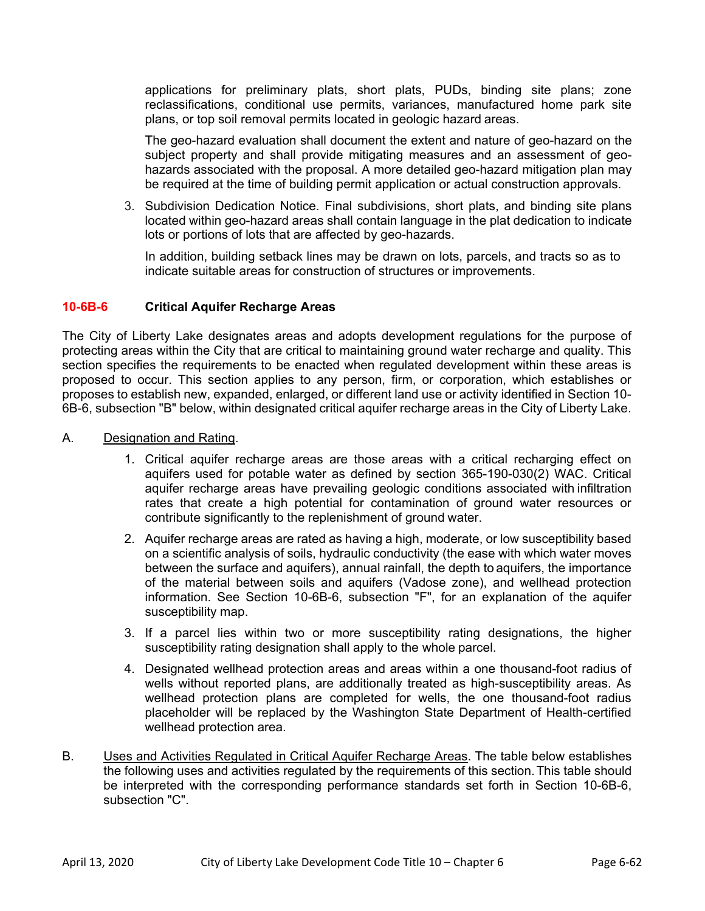applications for preliminary plats, short plats, PUDs, binding site plans; zone reclassifications, conditional use permits, variances, manufactured home park site plans, or top soil removal permits located in geologic hazard areas.

The geo-hazard evaluation shall document the extent and nature of geo-hazard on the subject property and shall provide mitigating measures and an assessment of geohazards associated with the proposal. A more detailed geo-hazard mitigation plan may be required at the time of building permit application or actual construction approvals.

3. Subdivision Dedication Notice. Final subdivisions, short plats, and binding site plans located within geo-hazard areas shall contain language in the plat dedication to indicate lots or portions of lots that are affected by geo-hazards.

In addition, building setback lines may be drawn on lots, parcels, and tracts so as to indicate suitable areas for construction of structures or improvements.

# **10-6B-6 Critical Aquifer Recharge Areas**

The City of Liberty Lake designates areas and adopts development regulations for the purpose of protecting areas within the City that are critical to maintaining ground water recharge and quality. This section specifies the requirements to be enacted when regulated development within these areas is proposed to occur. This section applies to any person, firm, or corporation, which establishes or proposes to establish new, expanded, enlarged, or different land use or activity identified in Section 10- 6B-6, subsection "B" below, within designated critical aquifer recharge areas in the City of Liberty Lake.

- A. Designation and Rating.
	- 1. Critical aquifer recharge areas are those areas with a critical recharging effect on aquifers used for potable water as defined by section 365-190-030(2) WAC. Critical aquifer recharge areas have prevailing geologic conditions associated with infiltration rates that create a high potential for contamination of ground water resources or contribute significantly to the replenishment of ground water.
	- 2. Aquifer recharge areas are rated as having a high, moderate, or low susceptibility based on a scientific analysis of soils, hydraulic conductivity (the ease with which water moves between the surface and aquifers), annual rainfall, the depth to aquifers, the importance of the material between soils and aquifers (Vadose zone), and wellhead protection information. See Section 10-6B-6, subsection "F", for an explanation of the aquifer susceptibility map.
	- 3. If a parcel lies within two or more susceptibility rating designations, the higher susceptibility rating designation shall apply to the whole parcel.
	- 4. Designated wellhead protection areas and areas within a one thousand-foot radius of wells without reported plans, are additionally treated as high-susceptibility areas. As wellhead protection plans are completed for wells, the one thousand-foot radius placeholder will be replaced by the Washington State Department of Health-certified wellhead protection area.
- B. Uses and Activities Regulated in Critical Aquifer Recharge Areas. The table below establishes the following uses and activities regulated by the requirements of this section. This table should be interpreted with the corresponding performance standards set forth in Section 10-6B-6, subsection "C".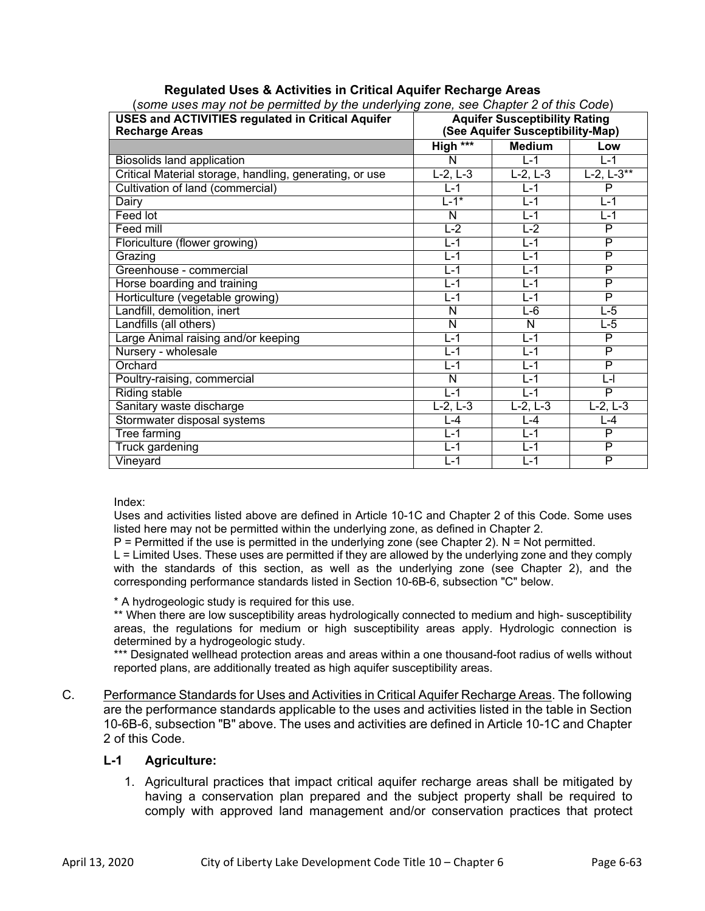| (some uses may not be permitted by the underlying zone, see Chapter 2 of this Code) |                                      |               |                     |  |  |  |  |
|-------------------------------------------------------------------------------------|--------------------------------------|---------------|---------------------|--|--|--|--|
| <b>USES and ACTIVITIES regulated in Critical Aquifer</b>                            | <b>Aquifer Susceptibility Rating</b> |               |                     |  |  |  |  |
| <b>Recharge Areas</b>                                                               | (See Aquifer Susceptibility-Map)     |               |                     |  |  |  |  |
|                                                                                     | High ***                             | <b>Medium</b> | Low                 |  |  |  |  |
| Biosolids land application                                                          | N                                    | $L - 1$       | $L-1$               |  |  |  |  |
| Critical Material storage, handling, generating, or use                             | $L-2, L-3$                           | $L-2, L-3$    | $L - 2, L - 3^{**}$ |  |  |  |  |
| Cultivation of land (commercial)                                                    | $L-1$                                | $L-1$         | P                   |  |  |  |  |
| Dairy                                                                               | $L-1^*$                              | $L-1$         | $L-1$               |  |  |  |  |
| <b>Feed lot</b>                                                                     | N                                    | $L - 1$       | $L-1$               |  |  |  |  |
| Feed mill                                                                           | $L-2$                                | $L-2$         | P                   |  |  |  |  |
| Floriculture (flower growing)                                                       | $L-1$                                | $L-1$         | P                   |  |  |  |  |
| Grazing                                                                             | $L-1$                                | $L-1$         | $\overline{P}$      |  |  |  |  |
| Greenhouse - commercial                                                             | $L - 1$                              | $L - 1$       | $\overline{P}$      |  |  |  |  |
| Horse boarding and training                                                         | $L-1$                                | $L-1$         | P                   |  |  |  |  |
| Horticulture (vegetable growing)                                                    | $L-1$                                | $L-1$         | P                   |  |  |  |  |
| Landfill, demolition, inert                                                         | N                                    | L-6           | L-5                 |  |  |  |  |
| Landfills (all others)                                                              | N                                    | N             | $L-5$               |  |  |  |  |
| Large Animal raising and/or keeping                                                 | L-1                                  | L-1           | P                   |  |  |  |  |
| Nursery - wholesale                                                                 | $\overline{L}$ -1                    | $L-1$         | P                   |  |  |  |  |
| Orchard                                                                             | $L-1$                                | $L-1$         | P                   |  |  |  |  |
| Poultry-raising, commercial                                                         | N                                    | $L - 1$       | L-l                 |  |  |  |  |
| <b>Riding stable</b>                                                                | $L - 1$                              | $L-1$         | $\overline{P}$      |  |  |  |  |
| Sanitary waste discharge                                                            | $L-2, L-3$                           | $L-2, L-3$    | $L-2, L-3$          |  |  |  |  |
| Stormwater disposal systems                                                         | $L - 4$                              | $L - 4$       | L-4                 |  |  |  |  |
| Tree farming                                                                        | $L-1$                                | $L-1$         | P                   |  |  |  |  |
| <b>Truck gardening</b>                                                              | $\overline{L}$ -1                    | $L - 1$       | P                   |  |  |  |  |
| Vineyard                                                                            | $L - 1$                              | $L - 1$       | $\overline{P}$      |  |  |  |  |

# **Regulated Uses & Activities in Critical Aquifer Recharge Areas**

Index:

Uses and activities listed above are defined in Article 10-1C and Chapter 2 of this Code. Some uses listed here may not be permitted within the underlying zone, as defined in Chapter 2.

 $P =$  Permitted if the use is permitted in the underlying zone (see Chapter 2). N = Not permitted.

L = Limited Uses. These uses are permitted if they are allowed by the underlying zone and they comply with the standards of this section, as well as the underlying zone (see Chapter 2), and the corresponding performance standards listed in Section 10-6B-6, subsection "C" below.

\* A hydrogeologic study is required for this use.

\*\* When there are low susceptibility areas hydrologically connected to medium and high- susceptibility areas, the regulations for medium or high susceptibility areas apply. Hydrologic connection is determined by a hydrogeologic study.

\*\*\* Designated wellhead protection areas and areas within a one thousand-foot radius of wells without reported plans, are additionally treated as high aquifer susceptibility areas.

C. Performance Standards for Uses and Activities in Critical Aquifer Recharge Areas. The following are the performance standards applicable to the uses and activities listed in the table in Section 10-6B-6, subsection "B" above. The uses and activities are defined in Article 10-1C and Chapter 2 of this Code.

# **L-1 Agriculture:**

1. Agricultural practices that impact critical aquifer recharge areas shall be mitigated by having a conservation plan prepared and the subject property shall be required to comply with approved land management and/or conservation practices that protect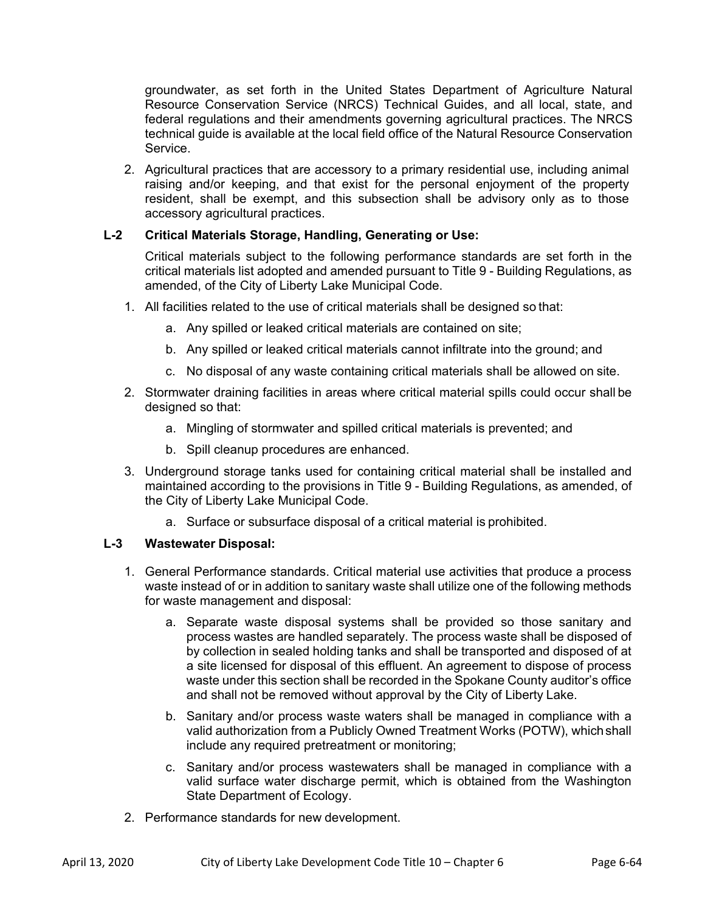groundwater, as set forth in the United States Department of Agriculture Natural Resource Conservation Service (NRCS) Technical Guides, and all local, state, and federal regulations and their amendments governing agricultural practices. The NRCS technical guide is available at the local field office of the Natural Resource Conservation Service.

2. Agricultural practices that are accessory to a primary residential use, including animal raising and/or keeping, and that exist for the personal enjoyment of the property resident, shall be exempt, and this subsection shall be advisory only as to those accessory agricultural practices.

# **L-2 Critical Materials Storage, Handling, Generating or Use:**

Critical materials subject to the following performance standards are set forth in the critical materials list adopted and amended pursuant to Title 9 - Building Regulations, as amended, of the City of Liberty Lake Municipal Code.

- 1. All facilities related to the use of critical materials shall be designed so that:
	- a. Any spilled or leaked critical materials are contained on site;
	- b. Any spilled or leaked critical materials cannot infiltrate into the ground; and
	- c. No disposal of any waste containing critical materials shall be allowed on site.
- 2. Stormwater draining facilities in areas where critical material spills could occur shall be designed so that:
	- a. Mingling of stormwater and spilled critical materials is prevented; and
	- b. Spill cleanup procedures are enhanced.
- 3. Underground storage tanks used for containing critical material shall be installed and maintained according to the provisions in Title 9 - Building Regulations, as amended, of the City of Liberty Lake Municipal Code.
	- a. Surface or subsurface disposal of a critical material is prohibited.

# **L-3 Wastewater Disposal:**

- 1. General Performance standards. Critical material use activities that produce a process waste instead of or in addition to sanitary waste shall utilize one of the following methods for waste management and disposal:
	- a. Separate waste disposal systems shall be provided so those sanitary and process wastes are handled separately. The process waste shall be disposed of by collection in sealed holding tanks and shall be transported and disposed of at a site licensed for disposal of this effluent. An agreement to dispose of process waste under this section shall be recorded in the Spokane County auditor's office and shall not be removed without approval by the City of Liberty Lake.
	- b. Sanitary and/or process waste waters shall be managed in compliance with a valid authorization from a Publicly Owned Treatment Works (POTW), which shall include any required pretreatment or monitoring;
	- c. Sanitary and/or process wastewaters shall be managed in compliance with a valid surface water discharge permit, which is obtained from the Washington State Department of Ecology.
- 2. Performance standards for new development.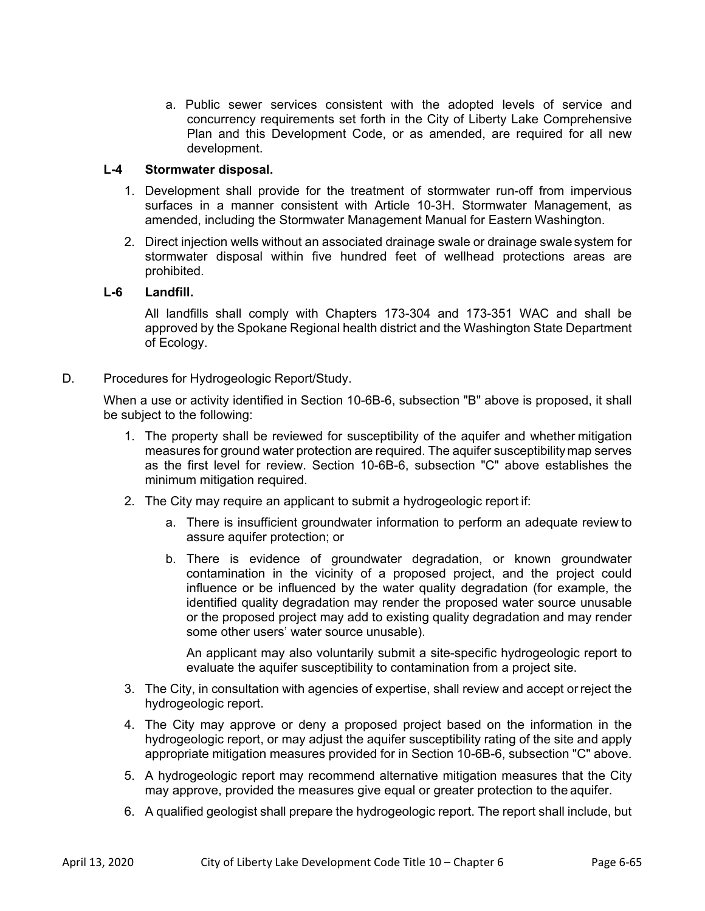a. Public sewer services consistent with the adopted levels of service and concurrency requirements set forth in the City of Liberty Lake Comprehensive Plan and this Development Code, or as amended, are required for all new development.

### **L-4 Stormwater disposal.**

- 1. Development shall provide for the treatment of stormwater run-off from impervious surfaces in a manner consistent with Article 10-3H. Stormwater Management, as amended, including the Stormwater Management Manual for Eastern Washington.
- 2. Direct injection wells without an associated drainage swale or drainage swale system for stormwater disposal within five hundred feet of wellhead protections areas are prohibited.

### **L-6 Landfill.**

All landfills shall comply with Chapters 173-304 and 173-351 WAC and shall be approved by the Spokane Regional health district and the Washington State Department of Ecology.

D. Procedures for Hydrogeologic Report/Study.

 When a use or activity identified in Section 10-6B-6, subsection "B" above is proposed, it shall be subject to the following:

- 1. The property shall be reviewed for susceptibility of the aquifer and whether mitigation measures for ground water protection are required. The aquifer susceptibility map serves as the first level for review. Section 10-6B-6, subsection "C" above establishes the minimum mitigation required.
- 2. The City may require an applicant to submit a hydrogeologic report if:
	- a. There is insufficient groundwater information to perform an adequate review to assure aquifer protection; or
	- b. There is evidence of groundwater degradation, or known groundwater contamination in the vicinity of a proposed project, and the project could influence or be influenced by the water quality degradation (for example, the identified quality degradation may render the proposed water source unusable or the proposed project may add to existing quality degradation and may render some other users' water source unusable).

 An applicant may also voluntarily submit a site-specific hydrogeologic report to evaluate the aquifer susceptibility to contamination from a project site.

- 3. The City, in consultation with agencies of expertise, shall review and accept or reject the hydrogeologic report.
- 4. The City may approve or deny a proposed project based on the information in the hydrogeologic report, or may adjust the aquifer susceptibility rating of the site and apply appropriate mitigation measures provided for in Section 10-6B-6, subsection "C" above.
- 5. A hydrogeologic report may recommend alternative mitigation measures that the City may approve, provided the measures give equal or greater protection to the aquifer.
- 6. A qualified geologist shall prepare the hydrogeologic report. The report shall include, but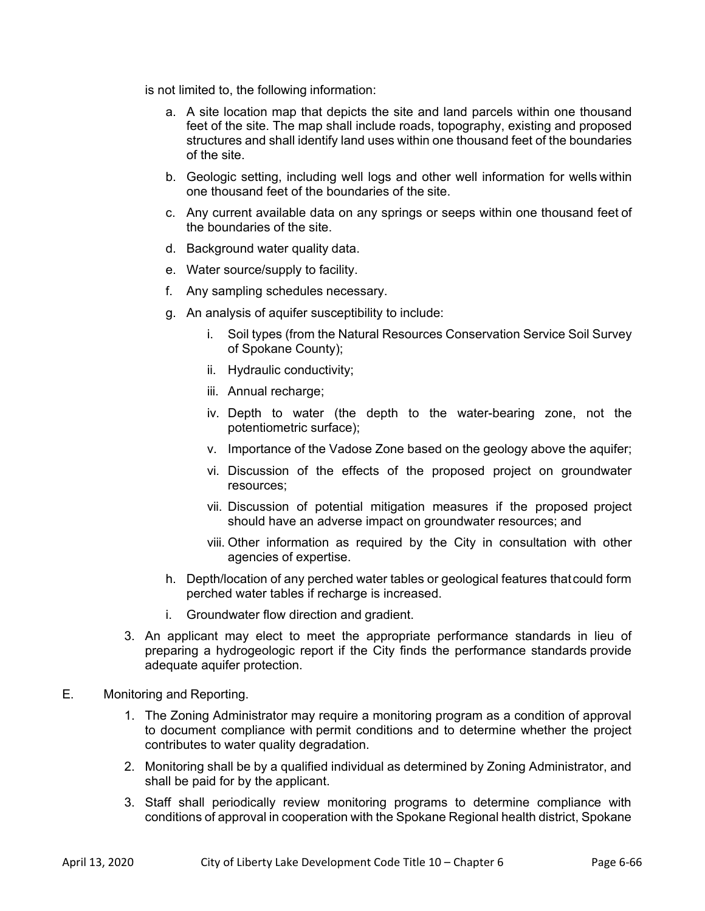is not limited to, the following information:

- a. A site location map that depicts the site and land parcels within one thousand feet of the site. The map shall include roads, topography, existing and proposed structures and shall identify land uses within one thousand feet of the boundaries of the site.
- b. Geologic setting, including well logs and other well information for wells within one thousand feet of the boundaries of the site.
- c. Any current available data on any springs or seeps within one thousand feet of the boundaries of the site.
- d. Background water quality data.
- e. Water source/supply to facility.
- f. Any sampling schedules necessary.
- g. An analysis of aquifer susceptibility to include:
	- i. Soil types (from the Natural Resources Conservation Service Soil Survey of Spokane County);
	- ii. Hydraulic conductivity;
	- iii. Annual recharge;
	- iv. Depth to water (the depth to the water-bearing zone, not the potentiometric surface);
	- v. Importance of the Vadose Zone based on the geology above the aquifer;
	- vi. Discussion of the effects of the proposed project on groundwater resources;
	- vii. Discussion of potential mitigation measures if the proposed project should have an adverse impact on groundwater resources; and
	- viii. Other information as required by the City in consultation with other agencies of expertise.
- h. Depth/location of any perched water tables or geological features that could form perched water tables if recharge is increased.
- i. Groundwater flow direction and gradient.
- 3. An applicant may elect to meet the appropriate performance standards in lieu of preparing a hydrogeologic report if the City finds the performance standards provide adequate aquifer protection.
- E. Monitoring and Reporting.
	- 1. The Zoning Administrator may require a monitoring program as a condition of approval to document compliance with permit conditions and to determine whether the project contributes to water quality degradation.
	- 2. Monitoring shall be by a qualified individual as determined by Zoning Administrator, and shall be paid for by the applicant.
	- 3. Staff shall periodically review monitoring programs to determine compliance with conditions of approval in cooperation with the Spokane Regional health district, Spokane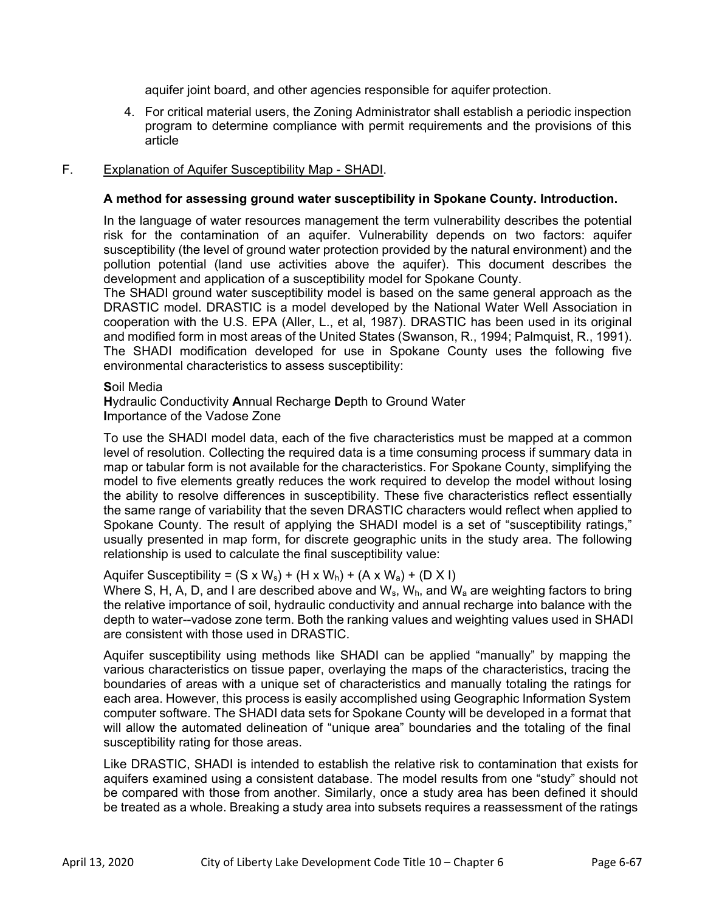aquifer joint board, and other agencies responsible for aquifer protection.

4. For critical material users, the Zoning Administrator shall establish a periodic inspection program to determine compliance with permit requirements and the provisions of this article

# F. Explanation of Aquifer Susceptibility Map - SHADI.

# **A method for assessing ground water susceptibility in Spokane County. Introduction.**

In the language of water resources management the term vulnerability describes the potential risk for the contamination of an aquifer. Vulnerability depends on two factors: aquifer susceptibility (the level of ground water protection provided by the natural environment) and the pollution potential (land use activities above the aquifer). This document describes the development and application of a susceptibility model for Spokane County.

The SHADI ground water susceptibility model is based on the same general approach as the DRASTIC model. DRASTIC is a model developed by the National Water Well Association in cooperation with the U.S. EPA (Aller, L., et al, 1987). DRASTIC has been used in its original and modified form in most areas of the United States (Swanson, R., 1994; Palmquist, R., 1991). The SHADI modification developed for use in Spokane County uses the following five environmental characteristics to assess susceptibility:

### **S**oil Media

**H**ydraulic Conductivity **A**nnual Recharge **D**epth to Ground Water **I**mportance of the Vadose Zone

To use the SHADI model data, each of the five characteristics must be mapped at a common level of resolution. Collecting the required data is a time consuming process if summary data in map or tabular form is not available for the characteristics. For Spokane County, simplifying the model to five elements greatly reduces the work required to develop the model without losing the ability to resolve differences in susceptibility. These five characteristics reflect essentially the same range of variability that the seven DRASTIC characters would reflect when applied to Spokane County. The result of applying the SHADI model is a set of "susceptibility ratings," usually presented in map form, for discrete geographic units in the study area. The following relationship is used to calculate the final susceptibility value:

Aquifer Susceptibility =  $(S \times W_s) + (H \times W_h) + (A \times W_a) + (D \times I)$ 

Where S, H, A, D, and I are described above and  $W_s$ ,  $W_h$ , and  $W_a$  are weighting factors to bring the relative importance of soil, hydraulic conductivity and annual recharge into balance with the depth to water--vadose zone term. Both the ranking values and weighting values used in SHADI are consistent with those used in DRASTIC.

Aquifer susceptibility using methods like SHADI can be applied "manually" by mapping the various characteristics on tissue paper, overlaying the maps of the characteristics, tracing the boundaries of areas with a unique set of characteristics and manually totaling the ratings for each area. However, this process is easily accomplished using Geographic Information System computer software. The SHADI data sets for Spokane County will be developed in a format that will allow the automated delineation of "unique area" boundaries and the totaling of the final susceptibility rating for those areas.

Like DRASTIC, SHADI is intended to establish the relative risk to contamination that exists for aquifers examined using a consistent database. The model results from one "study" should not be compared with those from another. Similarly, once a study area has been defined it should be treated as a whole. Breaking a study area into subsets requires a reassessment of the ratings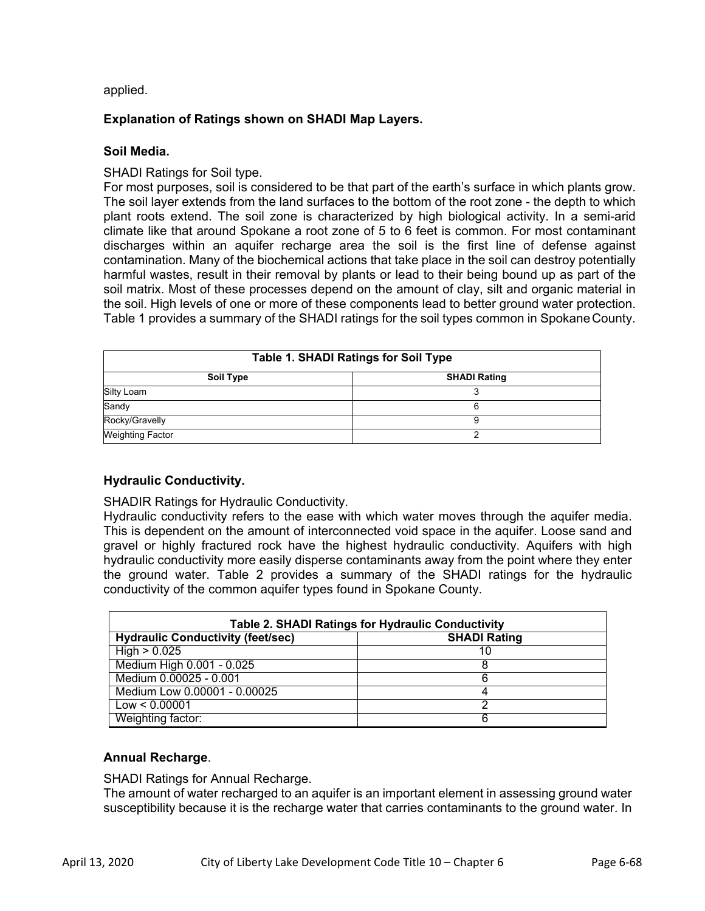applied.

# **Explanation of Ratings shown on SHADI Map Layers.**

## **Soil Media.**

SHADI Ratings for Soil type.

For most purposes, soil is considered to be that part of the earth's surface in which plants grow. The soil layer extends from the land surfaces to the bottom of the root zone - the depth to which plant roots extend. The soil zone is characterized by high biological activity. In a semi-arid climate like that around Spokane a root zone of 5 to 6 feet is common. For most contaminant discharges within an aquifer recharge area the soil is the first line of defense against contamination. Many of the biochemical actions that take place in the soil can destroy potentially harmful wastes, result in their removal by plants or lead to their being bound up as part of the soil matrix. Most of these processes depend on the amount of clay, silt and organic material in the soil. High levels of one or more of these components lead to better ground water protection. Table 1 provides a summary of the SHADI ratings for the soil types common in Spokane County.

| <b>Table 1. SHADI Ratings for Soil Type</b> |  |  |  |  |  |
|---------------------------------------------|--|--|--|--|--|
| <b>SHADI Rating</b><br>Soil Type            |  |  |  |  |  |
| Silty Loam                                  |  |  |  |  |  |
| Sandy                                       |  |  |  |  |  |
| Rocky/Gravelly                              |  |  |  |  |  |
| <b>Weighting Factor</b>                     |  |  |  |  |  |

# **Hydraulic Conductivity.**

SHADIR Ratings for Hydraulic Conductivity.

Hydraulic conductivity refers to the ease with which water moves through the aquifer media. This is dependent on the amount of interconnected void space in the aquifer. Loose sand and gravel or highly fractured rock have the highest hydraulic conductivity. Aquifers with high hydraulic conductivity more easily disperse contaminants away from the point where they enter the ground water. Table 2 provides a summary of the SHADI ratings for the hydraulic conductivity of the common aquifer types found in Spokane County.

| <b>Table 2. SHADI Ratings for Hydraulic Conductivity</b> |                     |  |  |  |  |
|----------------------------------------------------------|---------------------|--|--|--|--|
| <b>Hydraulic Conductivity (feet/sec)</b>                 | <b>SHADI Rating</b> |  |  |  |  |
| High > 0.025                                             | 10                  |  |  |  |  |
| Medium High 0.001 - 0.025                                |                     |  |  |  |  |
| Medium 0.00025 - 0.001                                   |                     |  |  |  |  |
| Medium Low 0.00001 - 0.00025                             |                     |  |  |  |  |
| Low < 0.00001                                            |                     |  |  |  |  |
| Weighting factor:                                        |                     |  |  |  |  |

# **Annual Recharge**.

SHADI Ratings for Annual Recharge.

The amount of water recharged to an aquifer is an important element in assessing ground water susceptibility because it is the recharge water that carries contaminants to the ground water. In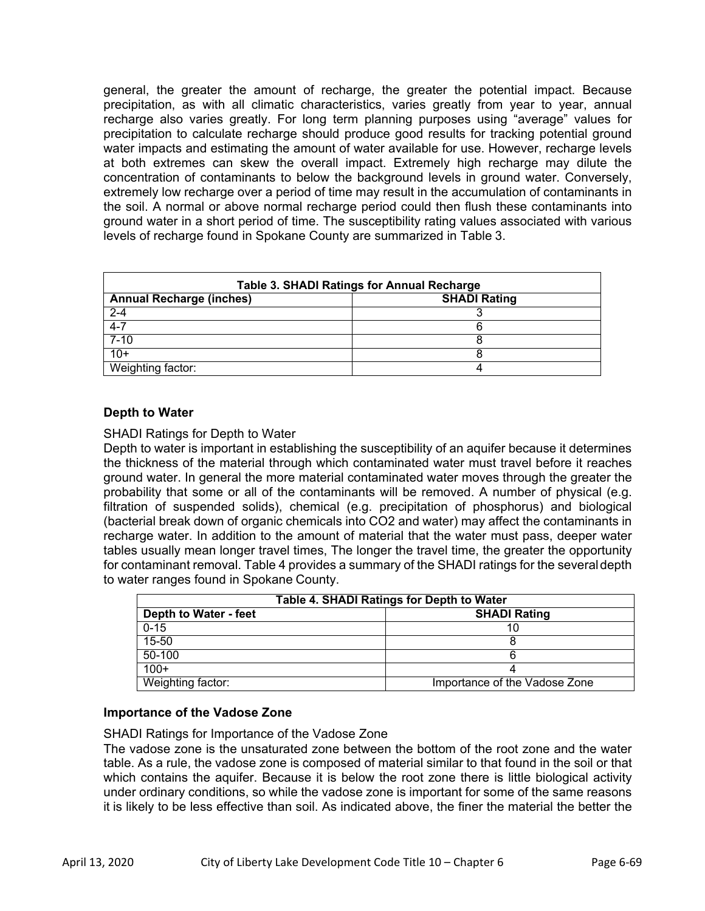general, the greater the amount of recharge, the greater the potential impact. Because precipitation, as with all climatic characteristics, varies greatly from year to year, annual recharge also varies greatly. For long term planning purposes using "average" values for precipitation to calculate recharge should produce good results for tracking potential ground water impacts and estimating the amount of water available for use. However, recharge levels at both extremes can skew the overall impact. Extremely high recharge may dilute the concentration of contaminants to below the background levels in ground water. Conversely, extremely low recharge over a period of time may result in the accumulation of contaminants in the soil. A normal or above normal recharge period could then flush these contaminants into ground water in a short period of time. The susceptibility rating values associated with various levels of recharge found in Spokane County are summarized in Table 3.

| <b>Table 3. SHADI Ratings for Annual Recharge</b> |                     |  |  |  |  |
|---------------------------------------------------|---------------------|--|--|--|--|
| <b>Annual Recharge (inches)</b>                   | <b>SHADI Rating</b> |  |  |  |  |
| $2 - 4$                                           |                     |  |  |  |  |
| $4 - 7$                                           |                     |  |  |  |  |
| $7 - 10$                                          |                     |  |  |  |  |
| $10+$                                             |                     |  |  |  |  |
| Weighting factor:                                 |                     |  |  |  |  |

### **Depth to Water**

SHADI Ratings for Depth to Water

Depth to water is important in establishing the susceptibility of an aquifer because it determines the thickness of the material through which contaminated water must travel before it reaches ground water. In general the more material contaminated water moves through the greater the probability that some or all of the contaminants will be removed. A number of physical (e.g. filtration of suspended solids), chemical (e.g. precipitation of phosphorus) and biological (bacterial break down of organic chemicals into CO2 and water) may affect the contaminants in recharge water. In addition to the amount of material that the water must pass, deeper water tables usually mean longer travel times, The longer the travel time, the greater the opportunity for contaminant removal. Table 4 provides a summary of the SHADI ratings for the several depth to water ranges found in Spokane County.

| Table 4. SHADI Ratings for Depth to Water |                               |  |  |  |  |
|-------------------------------------------|-------------------------------|--|--|--|--|
| <b>Depth to Water - feet</b>              | <b>SHADI Rating</b>           |  |  |  |  |
| $0 - 15$                                  |                               |  |  |  |  |
| $15 - 50$                                 |                               |  |  |  |  |
| $50 - 100$                                |                               |  |  |  |  |
| $100+$                                    |                               |  |  |  |  |
| Weighting factor:                         | Importance of the Vadose Zone |  |  |  |  |

#### **Importance of the Vadose Zone**

SHADI Ratings for Importance of the Vadose Zone

The vadose zone is the unsaturated zone between the bottom of the root zone and the water table. As a rule, the vadose zone is composed of material similar to that found in the soil or that which contains the aquifer. Because it is below the root zone there is little biological activity under ordinary conditions, so while the vadose zone is important for some of the same reasons it is likely to be less effective than soil. As indicated above, the finer the material the better the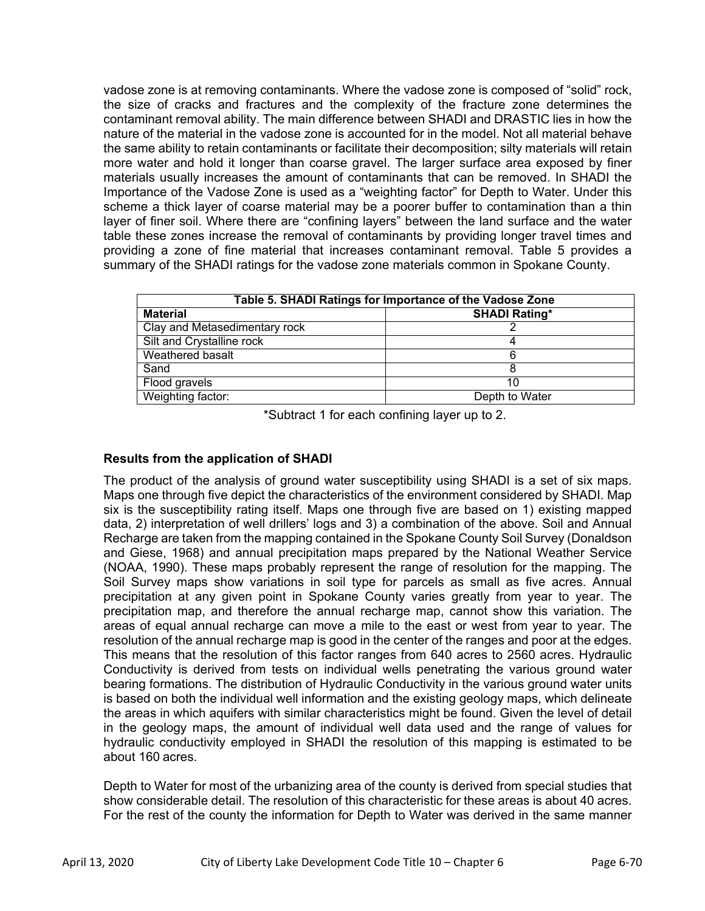vadose zone is at removing contaminants. Where the vadose zone is composed of "solid" rock, the size of cracks and fractures and the complexity of the fracture zone determines the contaminant removal ability. The main difference between SHADI and DRASTIC lies in how the nature of the material in the vadose zone is accounted for in the model. Not all material behave the same ability to retain contaminants or facilitate their decomposition; silty materials will retain more water and hold it longer than coarse gravel. The larger surface area exposed by finer materials usually increases the amount of contaminants that can be removed. In SHADI the Importance of the Vadose Zone is used as a "weighting factor" for Depth to Water. Under this scheme a thick layer of coarse material may be a poorer buffer to contamination than a thin layer of finer soil. Where there are "confining layers" between the land surface and the water table these zones increase the removal of contaminants by providing longer travel times and providing a zone of fine material that increases contaminant removal. Table 5 provides a summary of the SHADI ratings for the vadose zone materials common in Spokane County.

| Table 5. SHADI Ratings for Importance of the Vadose Zone |                      |  |  |  |  |
|----------------------------------------------------------|----------------------|--|--|--|--|
| <b>Material</b>                                          | <b>SHADI Rating*</b> |  |  |  |  |
| Clay and Metasedimentary rock                            |                      |  |  |  |  |
| Silt and Crystalline rock                                |                      |  |  |  |  |
| Weathered basalt                                         |                      |  |  |  |  |
| Sand                                                     |                      |  |  |  |  |
| Flood gravels                                            | 10                   |  |  |  |  |
| Weighting factor:                                        | Depth to Water       |  |  |  |  |

\*Subtract 1 for each confining layer up to 2.

# **Results from the application of SHADI**

The product of the analysis of ground water susceptibility using SHADI is a set of six maps. Maps one through five depict the characteristics of the environment considered by SHADI. Map six is the susceptibility rating itself. Maps one through five are based on 1) existing mapped data, 2) interpretation of well drillers' logs and 3) a combination of the above. Soil and Annual Recharge are taken from the mapping contained in the Spokane County Soil Survey (Donaldson and Giese, 1968) and annual precipitation maps prepared by the National Weather Service (NOAA, 1990). These maps probably represent the range of resolution for the mapping. The Soil Survey maps show variations in soil type for parcels as small as five acres. Annual precipitation at any given point in Spokane County varies greatly from year to year. The precipitation map, and therefore the annual recharge map, cannot show this variation. The areas of equal annual recharge can move a mile to the east or west from year to year. The resolution of the annual recharge map is good in the center of the ranges and poor at the edges. This means that the resolution of this factor ranges from 640 acres to 2560 acres. Hydraulic Conductivity is derived from tests on individual wells penetrating the various ground water bearing formations. The distribution of Hydraulic Conductivity in the various ground water units is based on both the individual well information and the existing geology maps, which delineate the areas in which aquifers with similar characteristics might be found. Given the level of detail in the geology maps, the amount of individual well data used and the range of values for hydraulic conductivity employed in SHADI the resolution of this mapping is estimated to be about 160 acres.

Depth to Water for most of the urbanizing area of the county is derived from special studies that show considerable detail. The resolution of this characteristic for these areas is about 40 acres. For the rest of the county the information for Depth to Water was derived in the same manner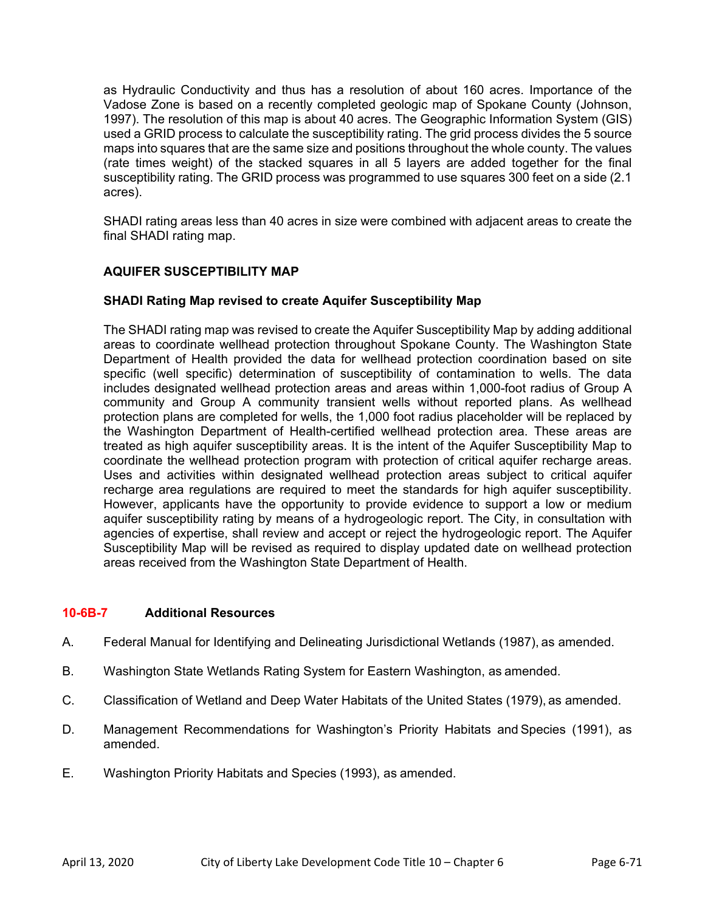as Hydraulic Conductivity and thus has a resolution of about 160 acres. Importance of the Vadose Zone is based on a recently completed geologic map of Spokane County (Johnson, 1997). The resolution of this map is about 40 acres. The Geographic Information System (GIS) used a GRID process to calculate the susceptibility rating. The grid process divides the 5 source maps into squares that are the same size and positions throughout the whole county. The values (rate times weight) of the stacked squares in all 5 layers are added together for the final susceptibility rating. The GRID process was programmed to use squares 300 feet on a side (2.1 acres).

SHADI rating areas less than 40 acres in size were combined with adjacent areas to create the final SHADI rating map.

# **AQUIFER SUSCEPTIBILITY MAP**

### **SHADI Rating Map revised to create Aquifer Susceptibility Map**

The SHADI rating map was revised to create the Aquifer Susceptibility Map by adding additional areas to coordinate wellhead protection throughout Spokane County. The Washington State Department of Health provided the data for wellhead protection coordination based on site specific (well specific) determination of susceptibility of contamination to wells. The data includes designated wellhead protection areas and areas within 1,000-foot radius of Group A community and Group A community transient wells without reported plans. As wellhead protection plans are completed for wells, the 1,000 foot radius placeholder will be replaced by the Washington Department of Health-certified wellhead protection area. These areas are treated as high aquifer susceptibility areas. It is the intent of the Aquifer Susceptibility Map to coordinate the wellhead protection program with protection of critical aquifer recharge areas. Uses and activities within designated wellhead protection areas subject to critical aquifer recharge area regulations are required to meet the standards for high aquifer susceptibility. However, applicants have the opportunity to provide evidence to support a low or medium aquifer susceptibility rating by means of a hydrogeologic report. The City, in consultation with agencies of expertise, shall review and accept or reject the hydrogeologic report. The Aquifer Susceptibility Map will be revised as required to display updated date on wellhead protection areas received from the Washington State Department of Health.

### **10-6B-7 Additional Resources**

- A. Federal Manual for Identifying and Delineating Jurisdictional Wetlands (1987), as amended.
- B. Washington State Wetlands Rating System for Eastern Washington, as amended.
- C. Classification of Wetland and Deep Water Habitats of the United States (1979), as amended.
- D. Management Recommendations for Washington's Priority Habitats and Species (1991), as amended.
- E. Washington Priority Habitats and Species (1993), as amended.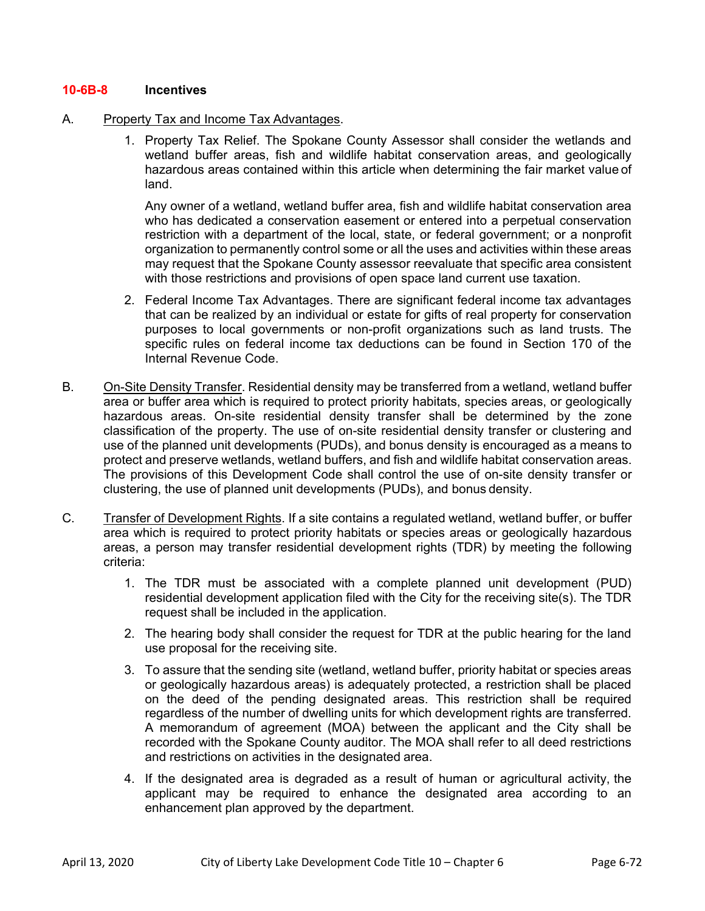### **10-6B-8 Incentives**

### A. Property Tax and Income Tax Advantages.

1. Property Tax Relief. The Spokane County Assessor shall consider the wetlands and wetland buffer areas, fish and wildlife habitat conservation areas, and geologically hazardous areas contained within this article when determining the fair market value of land.

Any owner of a wetland, wetland buffer area, fish and wildlife habitat conservation area who has dedicated a conservation easement or entered into a perpetual conservation restriction with a department of the local, state, or federal government; or a nonprofit organization to permanently control some or all the uses and activities within these areas may request that the Spokane County assessor reevaluate that specific area consistent with those restrictions and provisions of open space land current use taxation.

- 2. Federal Income Tax Advantages. There are significant federal income tax advantages that can be realized by an individual or estate for gifts of real property for conservation purposes to local governments or non-profit organizations such as land trusts. The specific rules on federal income tax deductions can be found in Section 170 of the Internal Revenue Code.
- B. On-Site Density Transfer. Residential density may be transferred from a wetland, wetland buffer area or buffer area which is required to protect priority habitats, species areas, or geologically hazardous areas. On-site residential density transfer shall be determined by the zone classification of the property. The use of on-site residential density transfer or clustering and use of the planned unit developments (PUDs), and bonus density is encouraged as a means to protect and preserve wetlands, wetland buffers, and fish and wildlife habitat conservation areas. The provisions of this Development Code shall control the use of on-site density transfer or clustering, the use of planned unit developments (PUDs), and bonus density.
- C. Transfer of Development Rights. If a site contains a regulated wetland, wetland buffer, or buffer area which is required to protect priority habitats or species areas or geologically hazardous areas, a person may transfer residential development rights (TDR) by meeting the following criteria:
	- 1. The TDR must be associated with a complete planned unit development (PUD) residential development application filed with the City for the receiving site(s). The TDR request shall be included in the application.
	- 2. The hearing body shall consider the request for TDR at the public hearing for the land use proposal for the receiving site.
	- 3. To assure that the sending site (wetland, wetland buffer, priority habitat or species areas or geologically hazardous areas) is adequately protected, a restriction shall be placed on the deed of the pending designated areas. This restriction shall be required regardless of the number of dwelling units for which development rights are transferred. A memorandum of agreement (MOA) between the applicant and the City shall be recorded with the Spokane County auditor. The MOA shall refer to all deed restrictions and restrictions on activities in the designated area.
	- 4. If the designated area is degraded as a result of human or agricultural activity, the applicant may be required to enhance the designated area according to an enhancement plan approved by the department.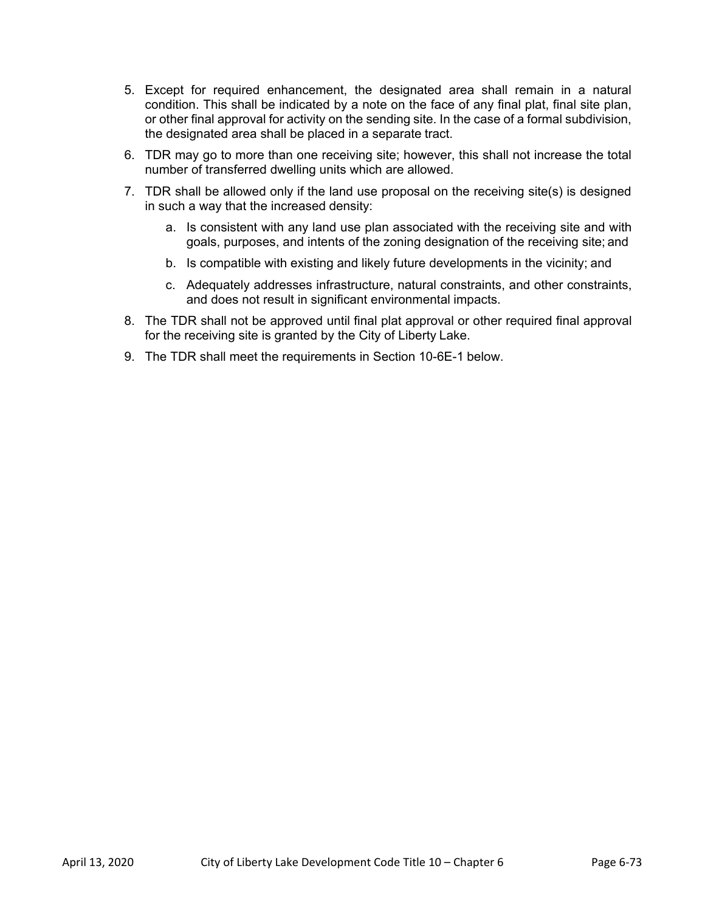- 5. Except for required enhancement, the designated area shall remain in a natural condition. This shall be indicated by a note on the face of any final plat, final site plan, or other final approval for activity on the sending site. In the case of a formal subdivision, the designated area shall be placed in a separate tract.
- 6. TDR may go to more than one receiving site; however, this shall not increase the total number of transferred dwelling units which are allowed.
- 7. TDR shall be allowed only if the land use proposal on the receiving site(s) is designed in such a way that the increased density:
	- a. Is consistent with any land use plan associated with the receiving site and with goals, purposes, and intents of the zoning designation of the receiving site; and
	- b. Is compatible with existing and likely future developments in the vicinity; and
	- c. Adequately addresses infrastructure, natural constraints, and other constraints, and does not result in significant environmental impacts.
- 8. The TDR shall not be approved until final plat approval or other required final approval for the receiving site is granted by the City of Liberty Lake.
- 9. The TDR shall meet the requirements in Section 10-6E-1 below.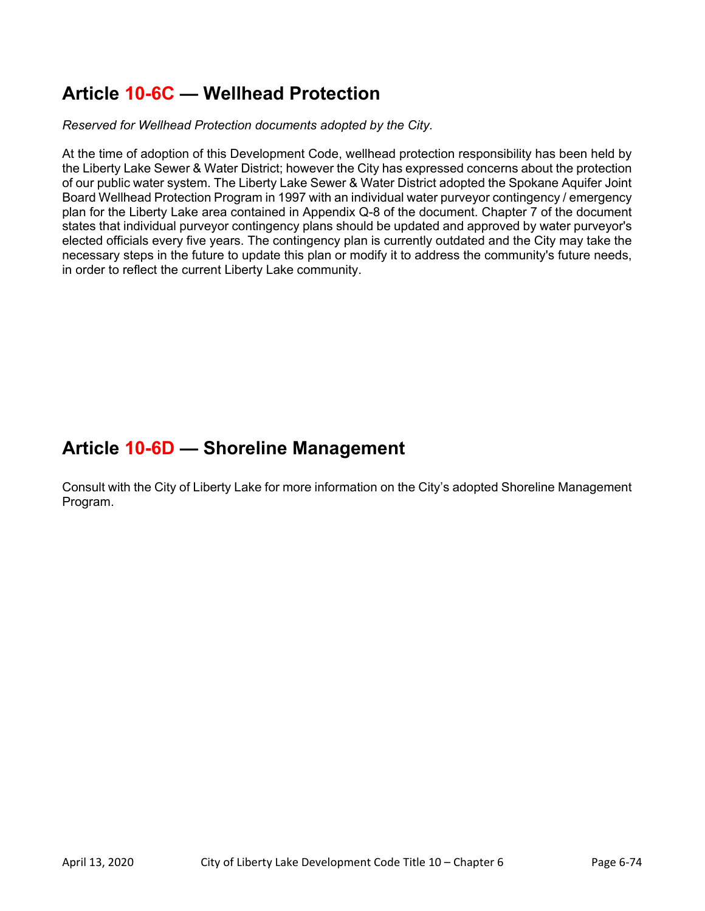# **Article 10-6C — Wellhead Protection**

*Reserved for Wellhead Protection documents adopted by the City.* 

At the time of adoption of this Development Code, wellhead protection responsibility has been held by the Liberty Lake Sewer & Water District; however the City has expressed concerns about the protection of our public water system. The Liberty Lake Sewer & Water District adopted the Spokane Aquifer Joint Board Wellhead Protection Program in 1997 with an individual water purveyor contingency / emergency plan for the Liberty Lake area contained in Appendix Q-8 of the document. Chapter 7 of the document states that individual purveyor contingency plans should be updated and approved by water purveyor's elected officials every five years. The contingency plan is currently outdated and the City may take the necessary steps in the future to update this plan or modify it to address the community's future needs, in order to reflect the current Liberty Lake community.

## **Article 10-6D — Shoreline Management**

Consult with the City of Liberty Lake for more information on the City's adopted Shoreline Management Program.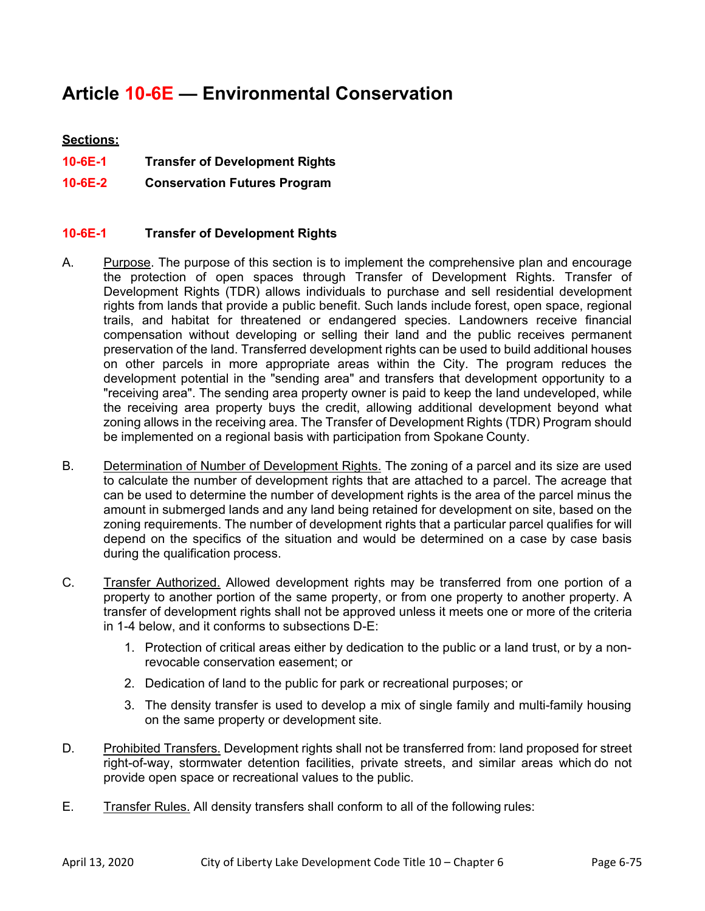# **Article 10-6E — Environmental Conservation**

## **Sections:**

- **10-6E-1 Transfer of Development Rights**
- **10-6E-2 Conservation Futures Program**

### **10-6E-1 Transfer of Development Rights**

- A. Purpose. The purpose of this section is to implement the comprehensive plan and encourage the protection of open spaces through Transfer of Development Rights. Transfer of Development Rights (TDR) allows individuals to purchase and sell residential development rights from lands that provide a public benefit. Such lands include forest, open space, regional trails, and habitat for threatened or endangered species. Landowners receive financial compensation without developing or selling their land and the public receives permanent preservation of the land. Transferred development rights can be used to build additional houses on other parcels in more appropriate areas within the City. The program reduces the development potential in the "sending area" and transfers that development opportunity to a "receiving area". The sending area property owner is paid to keep the land undeveloped, while the receiving area property buys the credit, allowing additional development beyond what zoning allows in the receiving area. The Transfer of Development Rights (TDR) Program should be implemented on a regional basis with participation from Spokane County.
- B. Determination of Number of Development Rights. The zoning of a parcel and its size are used to calculate the number of development rights that are attached to a parcel. The acreage that can be used to determine the number of development rights is the area of the parcel minus the amount in submerged lands and any land being retained for development on site, based on the zoning requirements. The number of development rights that a particular parcel qualifies for will depend on the specifics of the situation and would be determined on a case by case basis during the qualification process.
- C. Transfer Authorized. Allowed development rights may be transferred from one portion of a property to another portion of the same property, or from one property to another property. A transfer of development rights shall not be approved unless it meets one or more of the criteria in 1-4 below, and it conforms to subsections D-E:
	- 1. Protection of critical areas either by dedication to the public or a land trust, or by a nonrevocable conservation easement; or
	- 2. Dedication of land to the public for park or recreational purposes; or
	- 3. The density transfer is used to develop a mix of single family and multi-family housing on the same property or development site.
- D. Prohibited Transfers. Development rights shall not be transferred from: land proposed for street right-of-way, stormwater detention facilities, private streets, and similar areas which do not provide open space or recreational values to the public.
- E. Transfer Rules. All density transfers shall conform to all of the following rules: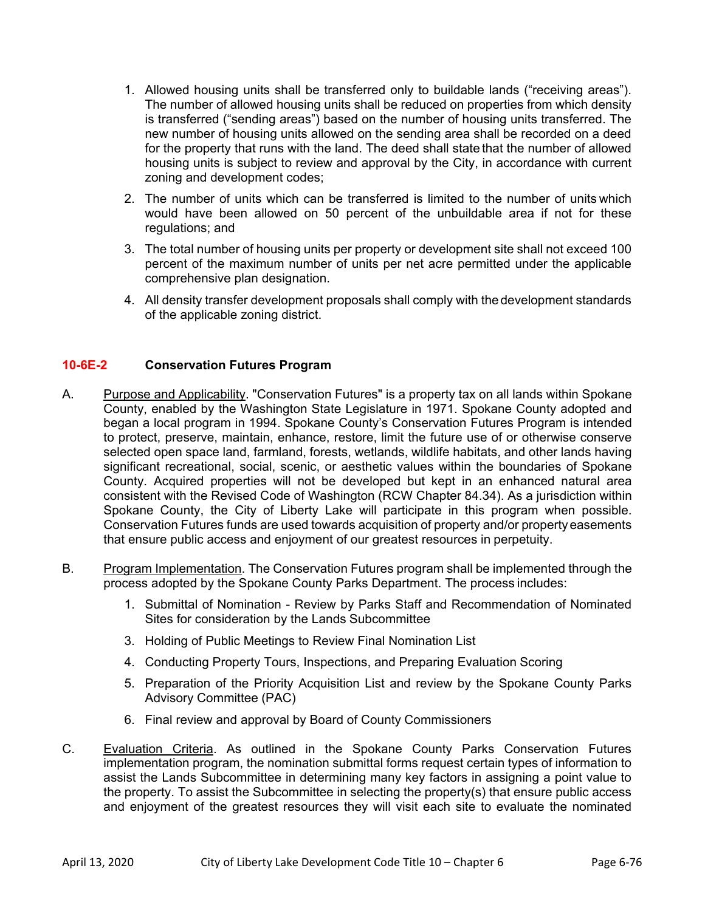- 1. Allowed housing units shall be transferred only to buildable lands ("receiving areas"). The number of allowed housing units shall be reduced on properties from which density is transferred ("sending areas") based on the number of housing units transferred. The new number of housing units allowed on the sending area shall be recorded on a deed for the property that runs with the land. The deed shall state that the number of allowed housing units is subject to review and approval by the City, in accordance with current zoning and development codes;
- 2. The number of units which can be transferred is limited to the number of units which would have been allowed on 50 percent of the unbuildable area if not for these regulations; and
- 3. The total number of housing units per property or development site shall not exceed 100 percent of the maximum number of units per net acre permitted under the applicable comprehensive plan designation.
- 4. All density transfer development proposals shall comply with the development standards of the applicable zoning district.

### **10-6E-2 Conservation Futures Program**

- A. Purpose and Applicability. "Conservation Futures" is a property tax on all lands within Spokane County, enabled by the Washington State Legislature in 1971. Spokane County adopted and began a local program in 1994. Spokane County's Conservation Futures Program is intended to protect, preserve, maintain, enhance, restore, limit the future use of or otherwise conserve selected open space land, farmland, forests, wetlands, wildlife habitats, and other lands having significant recreational, social, scenic, or aesthetic values within the boundaries of Spokane County. Acquired properties will not be developed but kept in an enhanced natural area consistent with the Revised Code of Washington (RCW Chapter 84.34). As a jurisdiction within Spokane County, the City of Liberty Lake will participate in this program when possible. Conservation Futures funds are used towards acquisition of property and/or property easements that ensure public access and enjoyment of our greatest resources in perpetuity.
- B. Program Implementation. The Conservation Futures program shall be implemented through the process adopted by the Spokane County Parks Department. The process includes:
	- 1. Submittal of Nomination Review by Parks Staff and Recommendation of Nominated Sites for consideration by the Lands Subcommittee
	- 3. Holding of Public Meetings to Review Final Nomination List
	- 4. Conducting Property Tours, Inspections, and Preparing Evaluation Scoring
	- 5. Preparation of the Priority Acquisition List and review by the Spokane County Parks Advisory Committee (PAC)
	- 6. Final review and approval by Board of County Commissioners
- C. Evaluation Criteria. As outlined in the Spokane County Parks Conservation Futures implementation program, the nomination submittal forms request certain types of information to assist the Lands Subcommittee in determining many key factors in assigning a point value to the property. To assist the Subcommittee in selecting the property(s) that ensure public access and enjoyment of the greatest resources they will visit each site to evaluate the nominated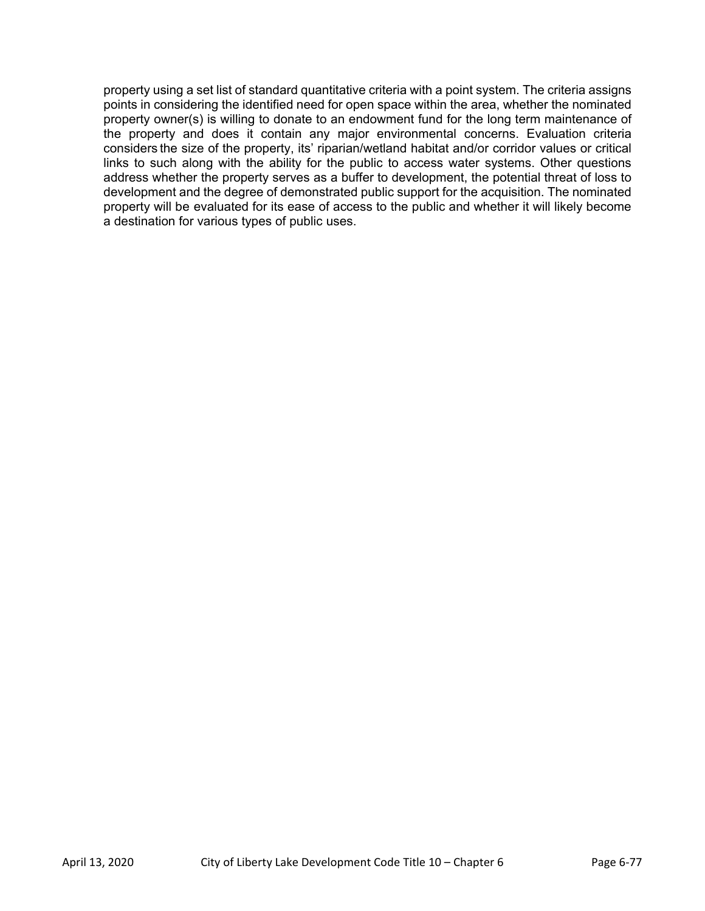property using a set list of standard quantitative criteria with a point system. The criteria assigns points in considering the identified need for open space within the area, whether the nominated property owner(s) is willing to donate to an endowment fund for the long term maintenance of the property and does it contain any major environmental concerns. Evaluation criteria considers the size of the property, its' riparian/wetland habitat and/or corridor values or critical links to such along with the ability for the public to access water systems. Other questions address whether the property serves as a buffer to development, the potential threat of loss to development and the degree of demonstrated public support for the acquisition. The nominated property will be evaluated for its ease of access to the public and whether it will likely become a destination for various types of public uses.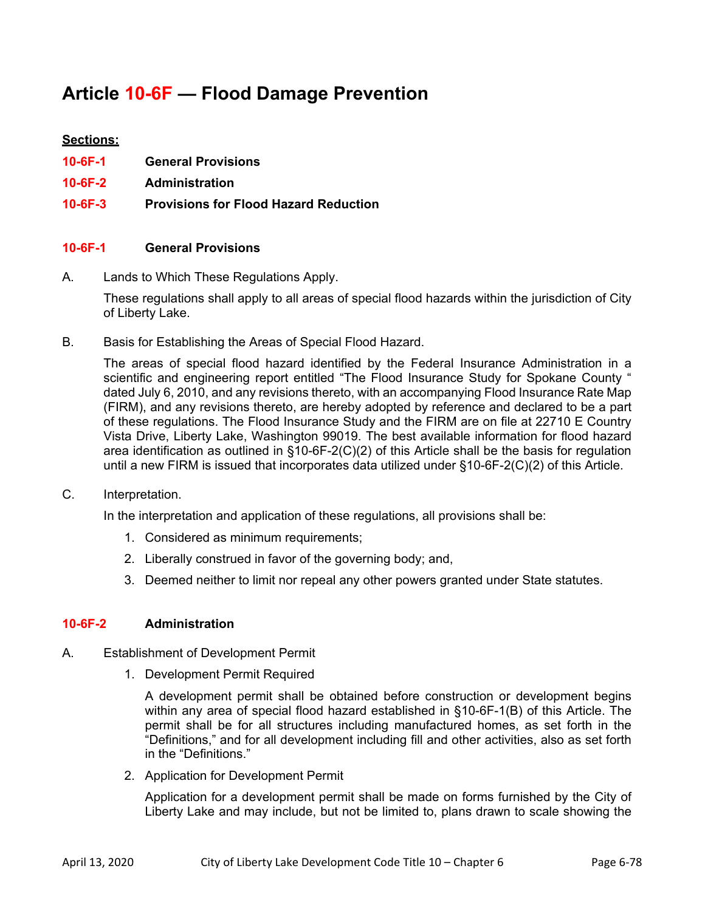## **Article 10-6F — Flood Damage Prevention**

## **Sections:**

- **10-6F-1 General Provisions**
- **10-6F-2 Administration**
- **10-6F-3 Provisions for Flood Hazard Reduction**

### **10-6F-1 General Provisions**

A. Lands to Which These Regulations Apply.

 These regulations shall apply to all areas of special flood hazards within the jurisdiction of City of Liberty Lake.

B. Basis for Establishing the Areas of Special Flood Hazard.

 The areas of special flood hazard identified by the Federal Insurance Administration in a scientific and engineering report entitled "The Flood Insurance Study for Spokane County " dated July 6, 2010, and any revisions thereto, with an accompanying Flood Insurance Rate Map (FIRM), and any revisions thereto, are hereby adopted by reference and declared to be a part of these regulations. The Flood Insurance Study and the FIRM are on file at 22710 E Country Vista Drive, Liberty Lake, Washington 99019. The best available information for flood hazard area identification as outlined in  $\S$ 10-6F-2(C)(2) of this Article shall be the basis for regulation until a new FIRM is issued that incorporates data utilized under §10-6F-2(C)(2) of this Article.

C. Interpretation.

In the interpretation and application of these regulations, all provisions shall be:

- 1. Considered as minimum requirements;
- 2. Liberally construed in favor of the governing body; and,
- 3. Deemed neither to limit nor repeal any other powers granted under State statutes.

### **10-6F-2 Administration**

- A. Establishment of Development Permit
	- 1. Development Permit Required

A development permit shall be obtained before construction or development begins within any area of special flood hazard established in §10-6F-1(B) of this Article. The permit shall be for all structures including manufactured homes, as set forth in the "Definitions," and for all development including fill and other activities, also as set forth in the "Definitions."

2. Application for Development Permit

Application for a development permit shall be made on forms furnished by the City of Liberty Lake and may include, but not be limited to, plans drawn to scale showing the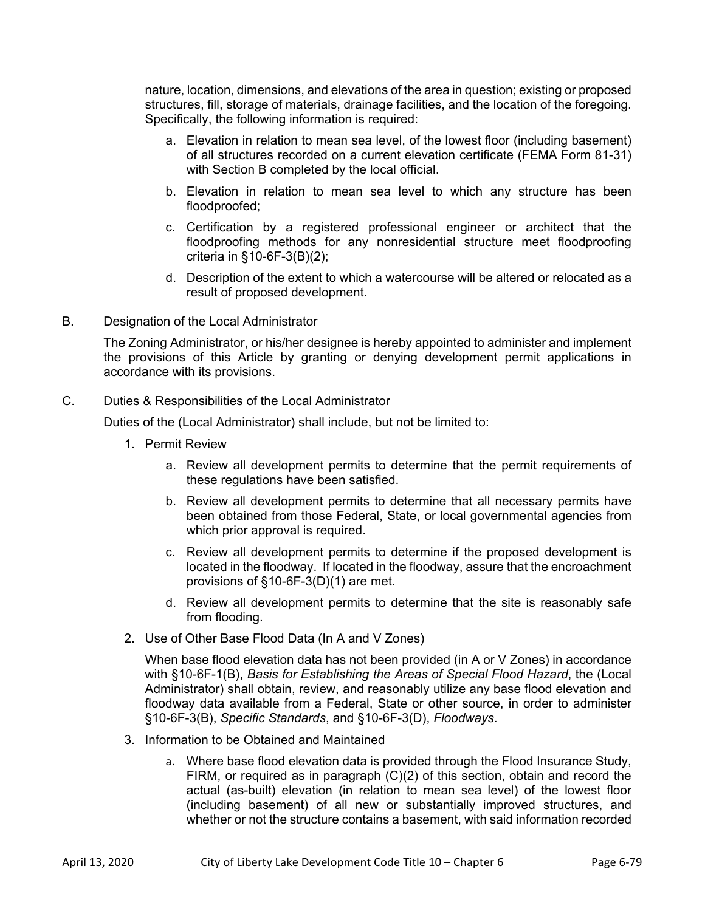nature, location, dimensions, and elevations of the area in question; existing or proposed structures, fill, storage of materials, drainage facilities, and the location of the foregoing. Specifically, the following information is required:

- a. Elevation in relation to mean sea level, of the lowest floor (including basement) of all structures recorded on a current elevation certificate (FEMA Form 81-31) with Section B completed by the local official.
- b. Elevation in relation to mean sea level to which any structure has been floodproofed;
- c. Certification by a registered professional engineer or architect that the floodproofing methods for any nonresidential structure meet floodproofing criteria in §10-6F-3(B)(2);
- d. Description of the extent to which a watercourse will be altered or relocated as a result of proposed development.
- B. Designation of the Local Administrator

 The Zoning Administrator, or his/her designee is hereby appointed to administer and implement the provisions of this Article by granting or denying development permit applications in accordance with its provisions.

C. Duties & Responsibilities of the Local Administrator

Duties of the (Local Administrator) shall include, but not be limited to:

- 1. Permit Review
	- a. Review all development permits to determine that the permit requirements of these regulations have been satisfied.
	- b. Review all development permits to determine that all necessary permits have been obtained from those Federal, State, or local governmental agencies from which prior approval is required.
	- c. Review all development permits to determine if the proposed development is located in the floodway. If located in the floodway, assure that the encroachment provisions of §10-6F-3(D)(1) are met.
	- d. Review all development permits to determine that the site is reasonably safe from flooding.
- 2. Use of Other Base Flood Data (In A and V Zones)

When base flood elevation data has not been provided (in A or V Zones) in accordance with §10-6F-1(B), *Basis for Establishing the Areas of Special Flood Hazard*, the (Local Administrator) shall obtain, review, and reasonably utilize any base flood elevation and floodway data available from a Federal, State or other source, in order to administer §10-6F-3(B), *Specific Standards*, and §10-6F-3(D), *Floodways*.

- 3. Information to be Obtained and Maintained
	- a. Where base flood elevation data is provided through the Flood Insurance Study, FIRM, or required as in paragraph (C)(2) of this section, obtain and record the actual (as-built) elevation (in relation to mean sea level) of the lowest floor (including basement) of all new or substantially improved structures, and whether or not the structure contains a basement, with said information recorded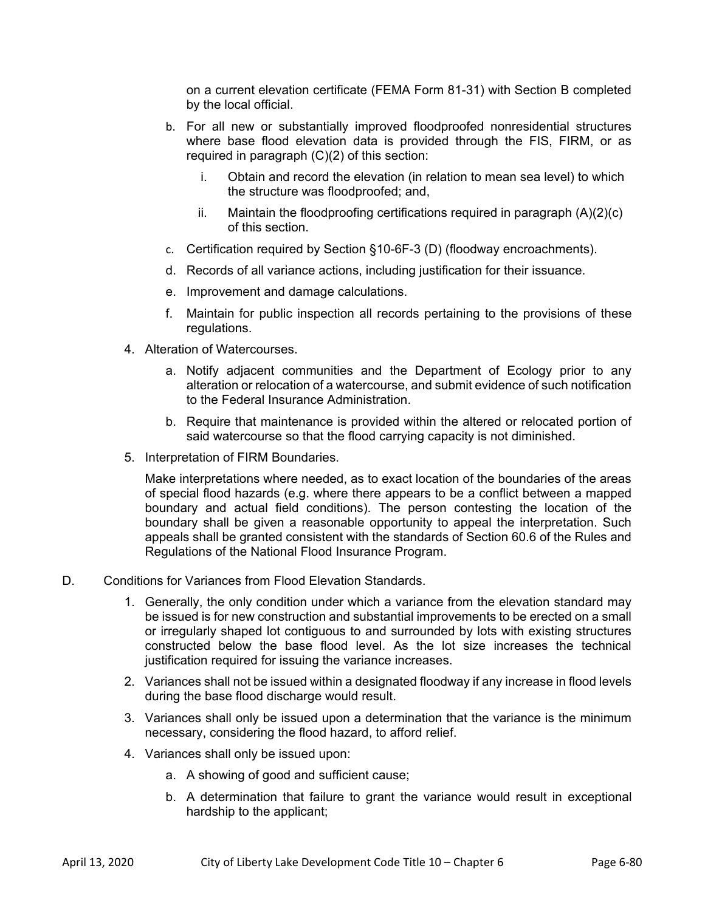on a current elevation certificate (FEMA Form 81-31) with Section B completed by the local official.

- b. For all new or substantially improved floodproofed nonresidential structures where base flood elevation data is provided through the FIS, FIRM, or as required in paragraph (C)(2) of this section:
	- i. Obtain and record the elevation (in relation to mean sea level) to which the structure was floodproofed; and,
	- ii. Maintain the floodproofing certifications required in paragraph  $(A)(2)(c)$ of this section.
- c. Certification required by Section §10-6F-3 (D) (floodway encroachments).
- d. Records of all variance actions, including justification for their issuance.
- e. Improvement and damage calculations.
- f. Maintain for public inspection all records pertaining to the provisions of these regulations.
- 4. Alteration of Watercourses.
	- a. Notify adjacent communities and the Department of Ecology prior to any alteration or relocation of a watercourse, and submit evidence of such notification to the Federal Insurance Administration.
	- b. Require that maintenance is provided within the altered or relocated portion of said watercourse so that the flood carrying capacity is not diminished.
- 5. Interpretation of FIRM Boundaries.

Make interpretations where needed, as to exact location of the boundaries of the areas of special flood hazards (e.g. where there appears to be a conflict between a mapped boundary and actual field conditions). The person contesting the location of the boundary shall be given a reasonable opportunity to appeal the interpretation. Such appeals shall be granted consistent with the standards of Section 60.6 of the Rules and Regulations of the National Flood Insurance Program.

- D. Conditions for Variances from Flood Elevation Standards.
	- 1. Generally, the only condition under which a variance from the elevation standard may be issued is for new construction and substantial improvements to be erected on a small or irregularly shaped lot contiguous to and surrounded by lots with existing structures constructed below the base flood level. As the lot size increases the technical justification required for issuing the variance increases.
	- 2. Variances shall not be issued within a designated floodway if any increase in flood levels during the base flood discharge would result.
	- 3. Variances shall only be issued upon a determination that the variance is the minimum necessary, considering the flood hazard, to afford relief.
	- 4. Variances shall only be issued upon:
		- a. A showing of good and sufficient cause;
		- b. A determination that failure to grant the variance would result in exceptional hardship to the applicant;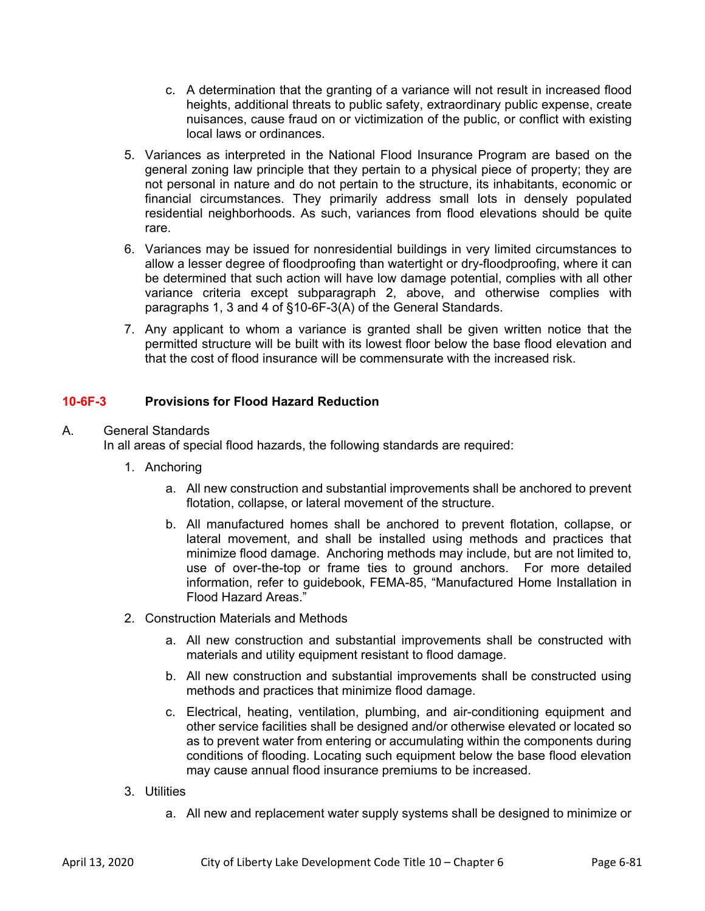- c. A determination that the granting of a variance will not result in increased flood heights, additional threats to public safety, extraordinary public expense, create nuisances, cause fraud on or victimization of the public, or conflict with existing local laws or ordinances.
- 5. Variances as interpreted in the National Flood Insurance Program are based on the general zoning law principle that they pertain to a physical piece of property; they are not personal in nature and do not pertain to the structure, its inhabitants, economic or financial circumstances. They primarily address small lots in densely populated residential neighborhoods. As such, variances from flood elevations should be quite rare.
- 6. Variances may be issued for nonresidential buildings in very limited circumstances to allow a lesser degree of floodproofing than watertight or dry-floodproofing, where it can be determined that such action will have low damage potential, complies with all other variance criteria except subparagraph 2, above, and otherwise complies with paragraphs 1, 3 and 4 of §10-6F-3(A) of the General Standards.
- 7. Any applicant to whom a variance is granted shall be given written notice that the permitted structure will be built with its lowest floor below the base flood elevation and that the cost of flood insurance will be commensurate with the increased risk.

## **10-6F-3 Provisions for Flood Hazard Reduction**

### A. General Standards

In all areas of special flood hazards, the following standards are required:

- 1. Anchoring
	- a. All new construction and substantial improvements shall be anchored to prevent flotation, collapse, or lateral movement of the structure.
	- b. All manufactured homes shall be anchored to prevent flotation, collapse, or lateral movement, and shall be installed using methods and practices that minimize flood damage. Anchoring methods may include, but are not limited to, use of over-the-top or frame ties to ground anchors. For more detailed information, refer to guidebook, FEMA-85, "Manufactured Home Installation in Flood Hazard Areas."
- 2. Construction Materials and Methods
	- a. All new construction and substantial improvements shall be constructed with materials and utility equipment resistant to flood damage.
	- b. All new construction and substantial improvements shall be constructed using methods and practices that minimize flood damage.
	- c. Electrical, heating, ventilation, plumbing, and air-conditioning equipment and other service facilities shall be designed and/or otherwise elevated or located so as to prevent water from entering or accumulating within the components during conditions of flooding. Locating such equipment below the base flood elevation may cause annual flood insurance premiums to be increased.
- 3. Utilities
	- a. All new and replacement water supply systems shall be designed to minimize or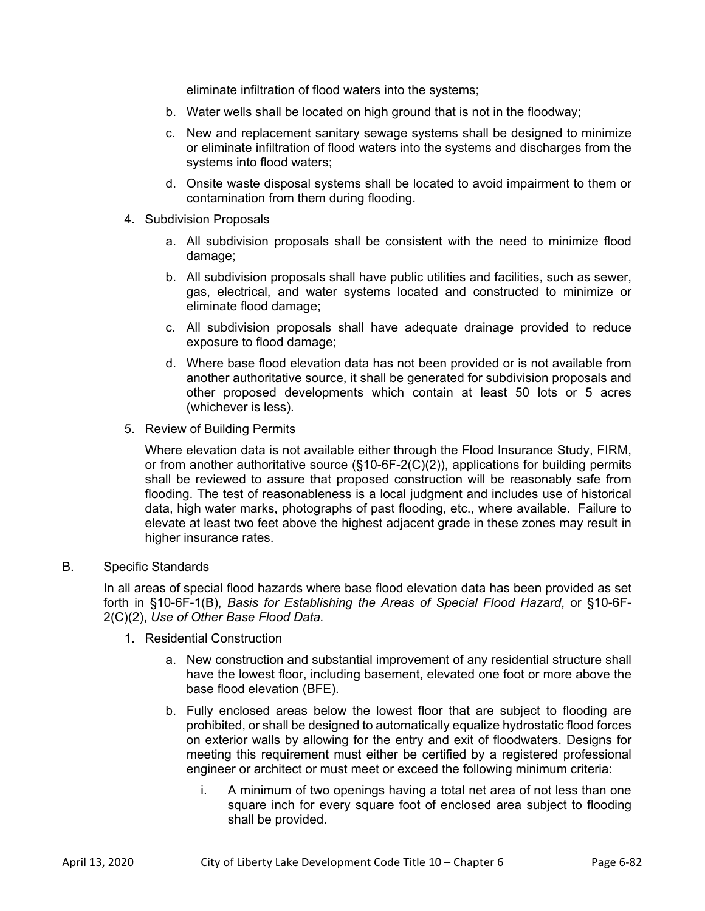eliminate infiltration of flood waters into the systems;

- b. Water wells shall be located on high ground that is not in the floodway;
- c. New and replacement sanitary sewage systems shall be designed to minimize or eliminate infiltration of flood waters into the systems and discharges from the systems into flood waters;
- d. Onsite waste disposal systems shall be located to avoid impairment to them or contamination from them during flooding.
- 4. Subdivision Proposals
	- a. All subdivision proposals shall be consistent with the need to minimize flood damage;
	- b. All subdivision proposals shall have public utilities and facilities, such as sewer, gas, electrical, and water systems located and constructed to minimize or eliminate flood damage;
	- c. All subdivision proposals shall have adequate drainage provided to reduce exposure to flood damage;
	- d. Where base flood elevation data has not been provided or is not available from another authoritative source, it shall be generated for subdivision proposals and other proposed developments which contain at least 50 lots or 5 acres (whichever is less).
- 5. Review of Building Permits

Where elevation data is not available either through the Flood Insurance Study, FIRM, or from another authoritative source ( $\S$ 10-6F-2(C)(2)), applications for building permits shall be reviewed to assure that proposed construction will be reasonably safe from flooding. The test of reasonableness is a local judgment and includes use of historical data, high water marks, photographs of past flooding, etc., where available. Failure to elevate at least two feet above the highest adjacent grade in these zones may result in higher insurance rates.

#### B. Specific Standards

In all areas of special flood hazards where base flood elevation data has been provided as set forth in §10-6F-1(B), *Basis for Establishing the Areas of Special Flood Hazard*, or §10-6F-2(C)(2), *Use of Other Base Flood Data.* 

- 1. Residential Construction
	- a. New construction and substantial improvement of any residential structure shall have the lowest floor, including basement, elevated one foot or more above the base flood elevation (BFE).
	- b. Fully enclosed areas below the lowest floor that are subject to flooding are prohibited, or shall be designed to automatically equalize hydrostatic flood forces on exterior walls by allowing for the entry and exit of floodwaters. Designs for meeting this requirement must either be certified by a registered professional engineer or architect or must meet or exceed the following minimum criteria:
		- i. A minimum of two openings having a total net area of not less than one square inch for every square foot of enclosed area subject to flooding shall be provided.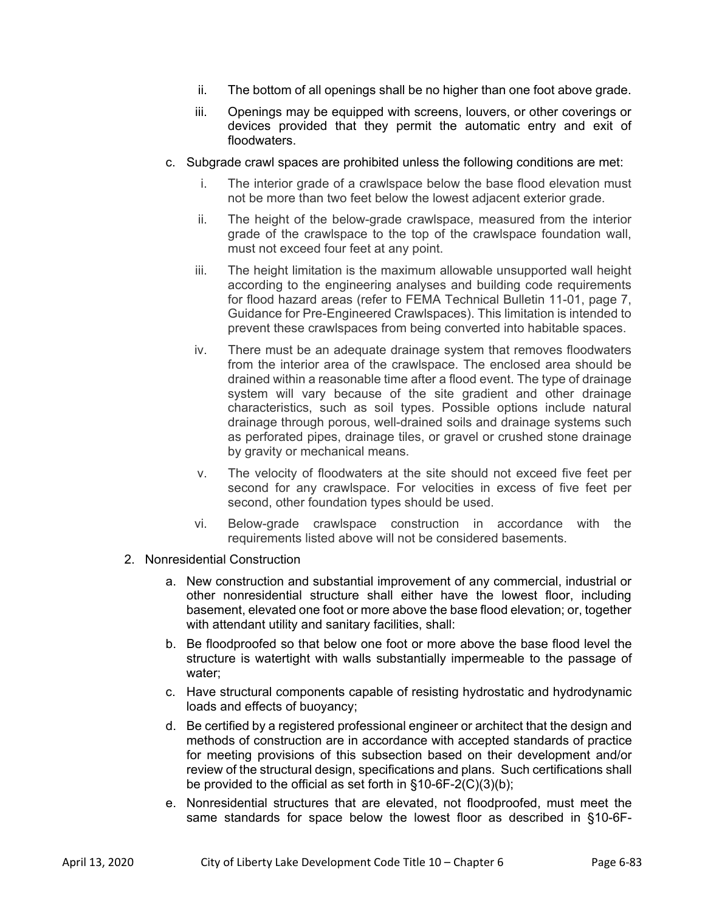- ii. The bottom of all openings shall be no higher than one foot above grade.
- iii. Openings may be equipped with screens, louvers, or other coverings or devices provided that they permit the automatic entry and exit of floodwaters.
- c. Subgrade crawl spaces are prohibited unless the following conditions are met:
	- i. The interior grade of a crawlspace below the base flood elevation must not be more than two feet below the lowest adjacent exterior grade.
	- ii. The height of the below-grade crawlspace, measured from the interior grade of the crawlspace to the top of the crawlspace foundation wall, must not exceed four feet at any point.
	- iii. The height limitation is the maximum allowable unsupported wall height according to the engineering analyses and building code requirements for flood hazard areas (refer to FEMA Technical Bulletin 11-01, page 7, Guidance for Pre-Engineered Crawlspaces). This limitation is intended to prevent these crawlspaces from being converted into habitable spaces.
	- iv. There must be an adequate drainage system that removes floodwaters from the interior area of the crawlspace. The enclosed area should be drained within a reasonable time after a flood event. The type of drainage system will vary because of the site gradient and other drainage characteristics, such as soil types. Possible options include natural drainage through porous, well-drained soils and drainage systems such as perforated pipes, drainage tiles, or gravel or crushed stone drainage by gravity or mechanical means.
	- v. The velocity of floodwaters at the site should not exceed five feet per second for any crawlspace. For velocities in excess of five feet per second, other foundation types should be used.
	- vi. Below-grade crawlspace construction in accordance with the requirements listed above will not be considered basements.
- 2. Nonresidential Construction
	- a. New construction and substantial improvement of any commercial, industrial or other nonresidential structure shall either have the lowest floor, including basement, elevated one foot or more above the base flood elevation; or, together with attendant utility and sanitary facilities, shall:
	- b. Be floodproofed so that below one foot or more above the base flood level the structure is watertight with walls substantially impermeable to the passage of water;
	- c. Have structural components capable of resisting hydrostatic and hydrodynamic loads and effects of buoyancy;
	- d. Be certified by a registered professional engineer or architect that the design and methods of construction are in accordance with accepted standards of practice for meeting provisions of this subsection based on their development and/or review of the structural design, specifications and plans. Such certifications shall be provided to the official as set forth in §10-6F-2(C)(3)(b);
	- e. Nonresidential structures that are elevated, not floodproofed, must meet the same standards for space below the lowest floor as described in §10-6F-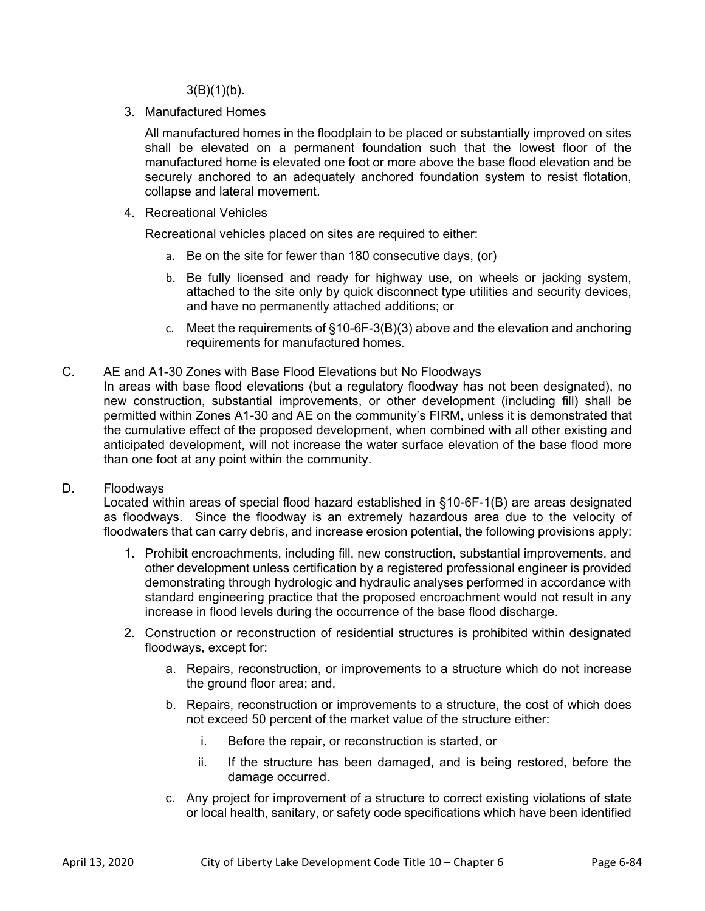$3(B)(1)(b)$ .

3. Manufactured Homes

 All manufactured homes in the floodplain to be placed or substantially improved on sites shall be elevated on a permanent foundation such that the lowest floor of the manufactured home is elevated one foot or more above the base flood elevation and be securely anchored to an adequately anchored foundation system to resist flotation, collapse and lateral movement.

4. Recreational Vehicles

Recreational vehicles placed on sites are required to either:

- a. Be on the site for fewer than 180 consecutive days, (or)
- b. Be fully licensed and ready for highway use, on wheels or jacking system, attached to the site only by quick disconnect type utilities and security devices, and have no permanently attached additions; or
- c. Meet the requirements of §10-6F-3(B)(3) above and the elevation and anchoring requirements for manufactured homes.
- C. AE and A1-30 Zones with Base Flood Elevations but No Floodways

In areas with base flood elevations (but a regulatory floodway has not been designated), no new construction, substantial improvements, or other development (including fill) shall be permitted within Zones A1-30 and AE on the community's FIRM, unless it is demonstrated that the cumulative effect of the proposed development, when combined with all other existing and anticipated development, will not increase the water surface elevation of the base flood more than one foot at any point within the community.

### D. Floodways

 Located within areas of special flood hazard established in §10-6F-1(B) are areas designated as floodways. Since the floodway is an extremely hazardous area due to the velocity of floodwaters that can carry debris, and increase erosion potential, the following provisions apply:

- 1. Prohibit encroachments, including fill, new construction, substantial improvements, and other development unless certification by a registered professional engineer is provided demonstrating through hydrologic and hydraulic analyses performed in accordance with standard engineering practice that the proposed encroachment would not result in any increase in flood levels during the occurrence of the base flood discharge.
- 2. Construction or reconstruction of residential structures is prohibited within designated floodways, except for:
	- a. Repairs, reconstruction, or improvements to a structure which do not increase the ground floor area; and,
	- b. Repairs, reconstruction or improvements to a structure, the cost of which does not exceed 50 percent of the market value of the structure either:
		- i. Before the repair, or reconstruction is started, or
		- ii. If the structure has been damaged, and is being restored, before the damage occurred.
	- c. Any project for improvement of a structure to correct existing violations of state or local health, sanitary, or safety code specifications which have been identified